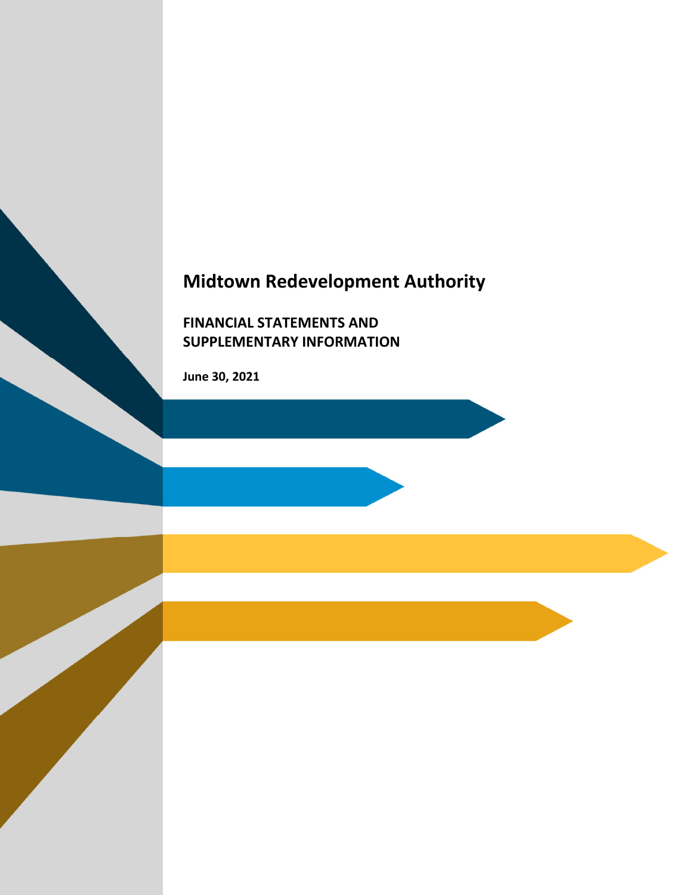# **Midtown Redevelopment Authority**

**FINANCIAL STATEMENTS AND SUPPLEMENTARY INFORMATION**

**June 30, 2021**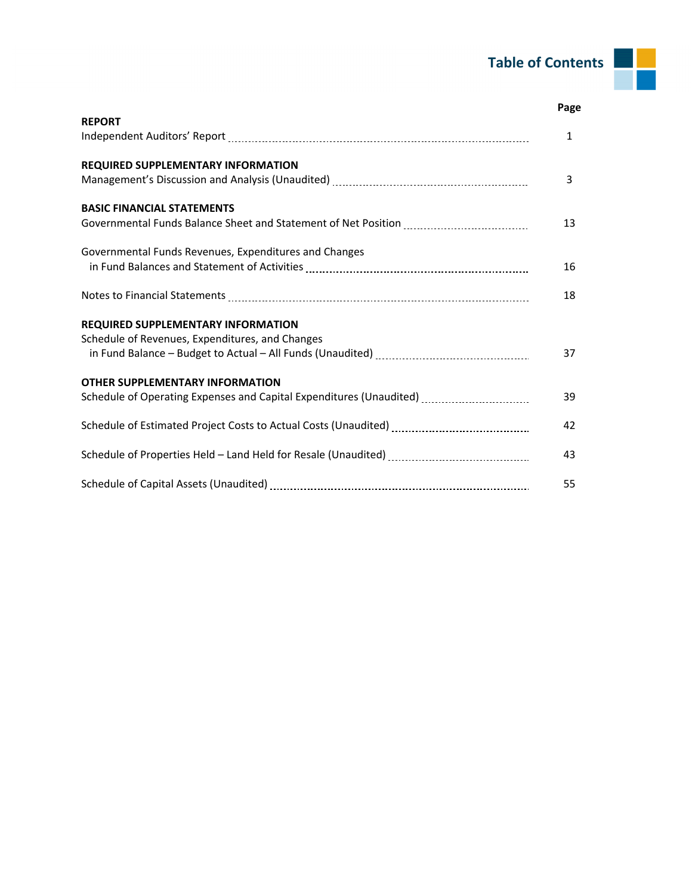## **Table of Contents**

| w<br>. .<br>۰.<br>× |
|---------------------|
|---------------------|

И.

| <b>REPORT</b>                                                                                                                                                                                                                  |              |
|--------------------------------------------------------------------------------------------------------------------------------------------------------------------------------------------------------------------------------|--------------|
| Independent Auditors' Report [1111] [121] Independent Auditors' Report [1111] Independent Auditors' Report                                                                                                                     | $\mathbf{1}$ |
| <b>REQUIRED SUPPLEMENTARY INFORMATION</b>                                                                                                                                                                                      |              |
| Management's Discussion and Analysis (Unaudited) [111] [2012] [2012] Management's Discussion and Analysis (Unaudited) [2012] [2012] [2012] [2012] [2012] [2012] [2012] [2012] [2012] [2012] [2012] [2012] [2012] [2012] [2012] | 3            |
| <b>BASIC FINANCIAL STATEMENTS</b>                                                                                                                                                                                              |              |
| Governmental Funds Balance Sheet and Statement of Net Position [11, 2010] Sovernmental Funds Balance Sheet and Statement of Net Position                                                                                       | 13           |
| Governmental Funds Revenues, Expenditures and Changes                                                                                                                                                                          |              |
|                                                                                                                                                                                                                                | 16           |
|                                                                                                                                                                                                                                | 18           |
| <b>REQUIRED SUPPLEMENTARY INFORMATION</b>                                                                                                                                                                                      |              |
| Schedule of Revenues, Expenditures, and Changes                                                                                                                                                                                |              |
|                                                                                                                                                                                                                                | 37           |
| <b>OTHER SUPPLEMENTARY INFORMATION</b>                                                                                                                                                                                         |              |
| Schedule of Operating Expenses and Capital Expenditures (Unaudited) [111] [121] Schedule of Operating Expenses and Capital Expenditures (Unaudited) [121] Annan Expenditures and Schedule Assemments (Unaudited) Assembly      | 39           |
|                                                                                                                                                                                                                                | 42           |
| Schedule of Properties Held - Land Held for Resale (Unaudited) [111] [121] Schedule of Properties Held - Land Held for Resale (Unaudited) [121] [121] Asheddale of Properties Held                                             | 43           |
|                                                                                                                                                                                                                                | 55           |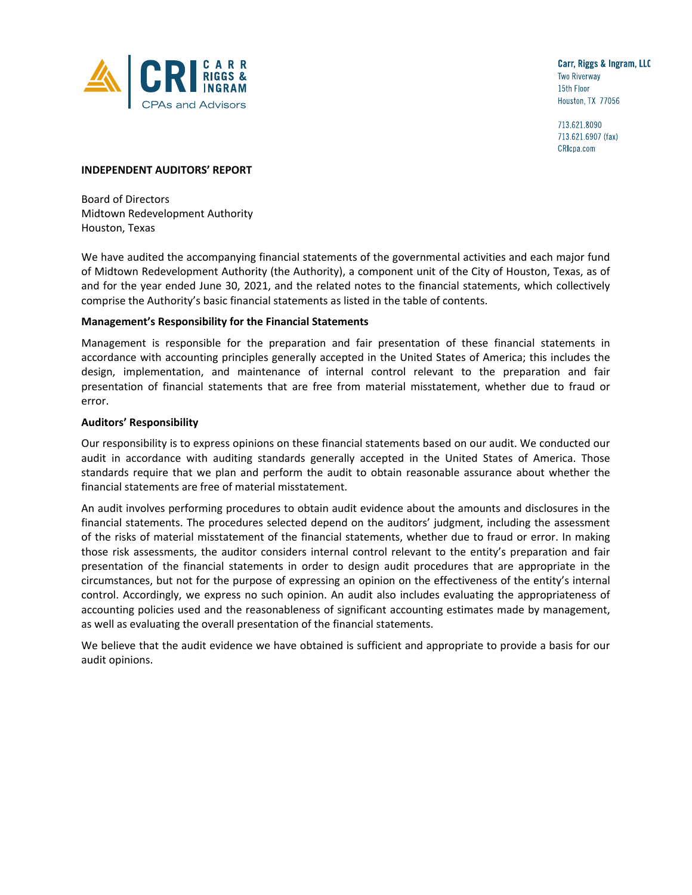

Carr, Riggs & Ingram, LLC **Two Riverway** 15th Floor Houston, TX 77056

713.621.8090 713.621.6907 (fax) CRIcpa.com

### **INDEPENDENT AUDITORS' REPORT**

Board of Directors Midtown Redevelopment Authority Houston, Texas

We have audited the accompanying financial statements of the governmental activities and each major fund of Midtown Redevelopment Authority (the Authority), a component unit of the City of Houston, Texas, as of and for the year ended June 30, 2021, and the related notes to the financial statements, which collectively comprise the Authority's basic financial statements as listed in the table of contents.

### **Management's Responsibility for the Financial Statements**

Management is responsible for the preparation and fair presentation of these financial statements in accordance with accounting principles generally accepted in the United States of America; this includes the design, implementation, and maintenance of internal control relevant to the preparation and fair presentation of financial statements that are free from material misstatement, whether due to fraud or error.

#### **Auditors' Responsibility**

Our responsibility is to express opinions on these financial statements based on our audit. We conducted our audit in accordance with auditing standards generally accepted in the United States of America. Those standards require that we plan and perform the audit to obtain reasonable assurance about whether the financial statements are free of material misstatement.

An audit involves performing procedures to obtain audit evidence about the amounts and disclosures in the financial statements. The procedures selected depend on the auditors' judgment, including the assessment of the risks of material misstatement of the financial statements, whether due to fraud or error. In making those risk assessments, the auditor considers internal control relevant to the entity's preparation and fair presentation of the financial statements in order to design audit procedures that are appropriate in the circumstances, but not for the purpose of expressing an opinion on the effectiveness of the entity's internal control. Accordingly, we express no such opinion. An audit also includes evaluating the appropriateness of accounting policies used and the reasonableness of significant accounting estimates made by management, as well as evaluating the overall presentation of the financial statements.

We believe that the audit evidence we have obtained is sufficient and appropriate to provide a basis for our audit opinions.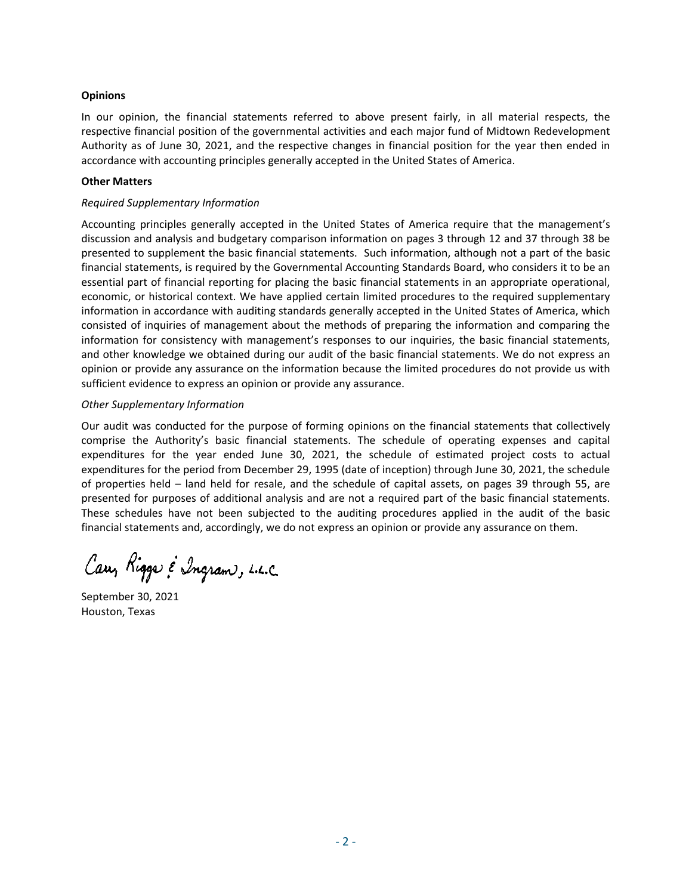### **Opinions**

In our opinion, the financial statements referred to above present fairly, in all material respects, the respective financial position of the governmental activities and each major fund of Midtown Redevelopment Authority as of June 30, 2021, and the respective changes in financial position for the year then ended in accordance with accounting principles generally accepted in the United States of America.

### **Other Matters**

### *Required Supplementary Information*

Accounting principles generally accepted in the United States of America require that the management's discussion and analysis and budgetary comparison information on pages 3 through 12 and 37 through 38 be presented to supplement the basic financial statements. Such information, although not a part of the basic financial statements, is required by the Governmental Accounting Standards Board, who considers it to be an essential part of financial reporting for placing the basic financial statements in an appropriate operational, economic, or historical context. We have applied certain limited procedures to the required supplementary information in accordance with auditing standards generally accepted in the United States of America, which consisted of inquiries of management about the methods of preparing the information and comparing the information for consistency with management's responses to our inquiries, the basic financial statements, and other knowledge we obtained during our audit of the basic financial statements. We do not express an opinion or provide any assurance on the information because the limited procedures do not provide us with sufficient evidence to express an opinion or provide any assurance.

### *Other Supplementary Information*

Our audit was conducted for the purpose of forming opinions on the financial statements that collectively comprise the Authority's basic financial statements. The schedule of operating expenses and capital expenditures for the year ended June 30, 2021, the schedule of estimated project costs to actual expenditures for the period from December 29, 1995 (date of inception) through June 30, 2021, the schedule of properties held – land held for resale, and the schedule of capital assets, on pages 39 through 55, are presented for purposes of additional analysis and are not a required part of the basic financial statements. These schedules have not been subjected to the auditing procedures applied in the audit of the basic financial statements and, accordingly, we do not express an opinion or provide any assurance on them.

Cary Rigge & Ingram, L.L.C.

September 30, 2021 Houston, Texas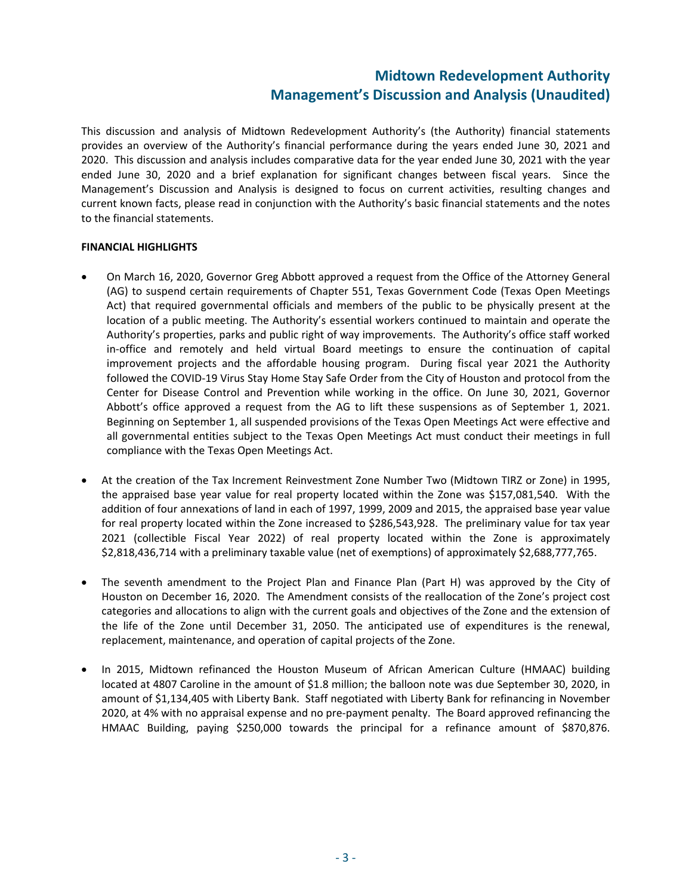This discussion and analysis of Midtown Redevelopment Authority's (the Authority) financial statements provides an overview of the Authority's financial performance during the years ended June 30, 2021 and 2020. This discussion and analysis includes comparative data for the year ended June 30, 2021 with the year ended June 30, 2020 and a brief explanation for significant changes between fiscal years. Since the Management's Discussion and Analysis is designed to focus on current activities, resulting changes and current known facts, please read in conjunction with the Authority's basic financial statements and the notes to the financial statements.

### **FINANCIAL HIGHLIGHTS**

- On March 16, 2020, Governor Greg Abbott approved a request from the Office of the Attorney General (AG) to suspend certain requirements of Chapter 551, Texas Government Code (Texas Open Meetings Act) that required governmental officials and members of the public to be physically present at the location of a public meeting. The Authority's essential workers continued to maintain and operate the Authority's properties, parks and public right of way improvements. The Authority's office staff worked in‐office and remotely and held virtual Board meetings to ensure the continuation of capital improvement projects and the affordable housing program. During fiscal year 2021 the Authority followed the COVID‐19 Virus Stay Home Stay Safe Order from the City of Houston and protocol from the Center for Disease Control and Prevention while working in the office. On June 30, 2021, Governor Abbott's office approved a request from the AG to lift these suspensions as of September 1, 2021. Beginning on September 1, all suspended provisions of the Texas Open Meetings Act were effective and all governmental entities subject to the Texas Open Meetings Act must conduct their meetings in full compliance with the Texas Open Meetings Act.
- At the creation of the Tax Increment Reinvestment Zone Number Two (Midtown TIRZ or Zone) in 1995, the appraised base year value for real property located within the Zone was \$157,081,540. With the addition of four annexations of land in each of 1997, 1999, 2009 and 2015, the appraised base year value for real property located within the Zone increased to \$286,543,928. The preliminary value for tax year 2021 (collectible Fiscal Year 2022) of real property located within the Zone is approximately \$2,818,436,714 with a preliminary taxable value (net of exemptions) of approximately \$2,688,777,765.
- The seventh amendment to the Project Plan and Finance Plan (Part H) was approved by the City of Houston on December 16, 2020. The Amendment consists of the reallocation of the Zone's project cost categories and allocations to align with the current goals and objectives of the Zone and the extension of the life of the Zone until December 31, 2050. The anticipated use of expenditures is the renewal, replacement, maintenance, and operation of capital projects of the Zone.
- In 2015, Midtown refinanced the Houston Museum of African American Culture (HMAAC) building located at 4807 Caroline in the amount of \$1.8 million; the balloon note was due September 30, 2020, in amount of \$1,134,405 with Liberty Bank. Staff negotiated with Liberty Bank for refinancing in November 2020, at 4% with no appraisal expense and no pre‐payment penalty. The Board approved refinancing the HMAAC Building, paying \$250,000 towards the principal for a refinance amount of \$870,876.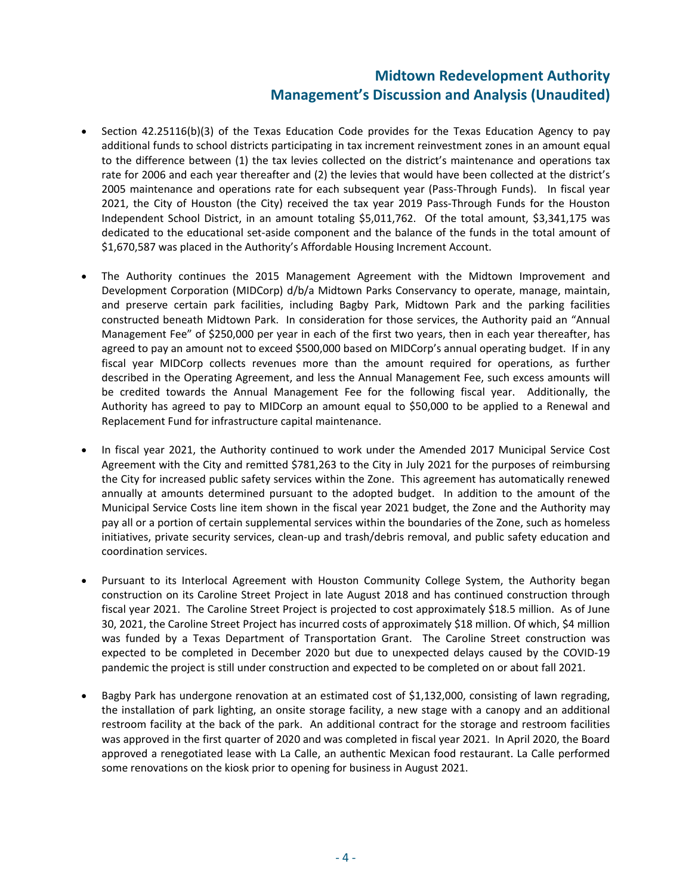- Section 42.25116(b)(3) of the Texas Education Code provides for the Texas Education Agency to pay additional funds to school districts participating in tax increment reinvestment zones in an amount equal to the difference between (1) the tax levies collected on the district's maintenance and operations tax rate for 2006 and each year thereafter and (2) the levies that would have been collected at the district's 2005 maintenance and operations rate for each subsequent year (Pass-Through Funds). In fiscal year 2021, the City of Houston (the City) received the tax year 2019 Pass-Through Funds for the Houston Independent School District, in an amount totaling \$5,011,762. Of the total amount, \$3,341,175 was dedicated to the educational set‐aside component and the balance of the funds in the total amount of \$1,670,587 was placed in the Authority's Affordable Housing Increment Account.
- The Authority continues the 2015 Management Agreement with the Midtown Improvement and Development Corporation (MIDCorp) d/b/a Midtown Parks Conservancy to operate, manage, maintain, and preserve certain park facilities, including Bagby Park, Midtown Park and the parking facilities constructed beneath Midtown Park. In consideration for those services, the Authority paid an "Annual Management Fee" of \$250,000 per year in each of the first two years, then in each year thereafter, has agreed to pay an amount not to exceed \$500,000 based on MIDCorp's annual operating budget. If in any fiscal year MIDCorp collects revenues more than the amount required for operations, as further described in the Operating Agreement, and less the Annual Management Fee, such excess amounts will be credited towards the Annual Management Fee for the following fiscal year. Additionally, the Authority has agreed to pay to MIDCorp an amount equal to \$50,000 to be applied to a Renewal and Replacement Fund for infrastructure capital maintenance.
- In fiscal year 2021, the Authority continued to work under the Amended 2017 Municipal Service Cost Agreement with the City and remitted \$781,263 to the City in July 2021 for the purposes of reimbursing the City for increased public safety services within the Zone. This agreement has automatically renewed annually at amounts determined pursuant to the adopted budget. In addition to the amount of the Municipal Service Costs line item shown in the fiscal year 2021 budget, the Zone and the Authority may pay all or a portion of certain supplemental services within the boundaries of the Zone, such as homeless initiatives, private security services, clean‐up and trash/debris removal, and public safety education and coordination services.
- Pursuant to its Interlocal Agreement with Houston Community College System, the Authority began construction on its Caroline Street Project in late August 2018 and has continued construction through fiscal year 2021. The Caroline Street Project is projected to cost approximately \$18.5 million. As of June 30, 2021, the Caroline Street Project has incurred costs of approximately \$18 million. Of which, \$4 million was funded by a Texas Department of Transportation Grant. The Caroline Street construction was expected to be completed in December 2020 but due to unexpected delays caused by the COVID‐19 pandemic the project is still under construction and expected to be completed on or about fall 2021.
- Bagby Park has undergone renovation at an estimated cost of \$1,132,000, consisting of lawn regrading, the installation of park lighting, an onsite storage facility, a new stage with a canopy and an additional restroom facility at the back of the park. An additional contract for the storage and restroom facilities was approved in the first quarter of 2020 and was completed in fiscal year 2021. In April 2020, the Board approved a renegotiated lease with La Calle, an authentic Mexican food restaurant. La Calle performed some renovations on the kiosk prior to opening for business in August 2021.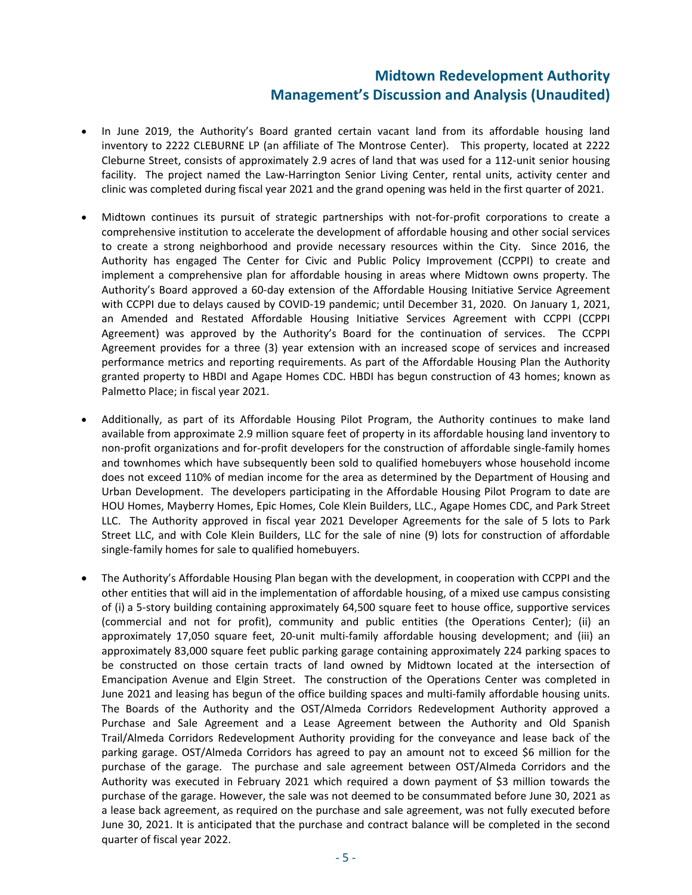- In June 2019, the Authority's Board granted certain vacant land from its affordable housing land inventory to 2222 CLEBURNE LP (an affiliate of The Montrose Center). This property, located at 2222 Cleburne Street, consists of approximately 2.9 acres of land that was used for a 112‐unit senior housing facility. The project named the Law-Harrington Senior Living Center, rental units, activity center and clinic was completed during fiscal year 2021 and the grand opening was held in the first quarter of 2021.
- Midtown continues its pursuit of strategic partnerships with not-for-profit corporations to create a comprehensive institution to accelerate the development of affordable housing and other social services to create a strong neighborhood and provide necessary resources within the City. Since 2016, the Authority has engaged The Center for Civic and Public Policy Improvement (CCPPI) to create and implement a comprehensive plan for affordable housing in areas where Midtown owns property. The Authority's Board approved a 60‐day extension of the Affordable Housing Initiative Service Agreement with CCPPI due to delays caused by COVID-19 pandemic; until December 31, 2020. On January 1, 2021, an Amended and Restated Affordable Housing Initiative Services Agreement with CCPPI (CCPPI Agreement) was approved by the Authority's Board for the continuation of services. The CCPPI Agreement provides for a three (3) year extension with an increased scope of services and increased performance metrics and reporting requirements. As part of the Affordable Housing Plan the Authority granted property to HBDI and Agape Homes CDC. HBDI has begun construction of 43 homes; known as Palmetto Place; in fiscal year 2021.
- Additionally, as part of its Affordable Housing Pilot Program, the Authority continues to make land available from approximate 2.9 million square feet of property in its affordable housing land inventory to non‐profit organizations and for‐profit developers for the construction of affordable single‐family homes and townhomes which have subsequently been sold to qualified homebuyers whose household income does not exceed 110% of median income for the area as determined by the Department of Housing and Urban Development. The developers participating in the Affordable Housing Pilot Program to date are HOU Homes, Mayberry Homes, Epic Homes, Cole Klein Builders, LLC., Agape Homes CDC, and Park Street LLC. The Authority approved in fiscal year 2021 Developer Agreements for the sale of 5 lots to Park Street LLC, and with Cole Klein Builders, LLC for the sale of nine (9) lots for construction of affordable single-family homes for sale to qualified homebuyers.
- The Authority's Affordable Housing Plan began with the development, in cooperation with CCPPI and the other entities that will aid in the implementation of affordable housing, of a mixed use campus consisting of (i) a 5‐story building containing approximately 64,500 square feet to house office, supportive services (commercial and not for profit), community and public entities (the Operations Center); (ii) an approximately 17,050 square feet, 20-unit multi-family affordable housing development; and (iii) an approximately 83,000 square feet public parking garage containing approximately 224 parking spaces to be constructed on those certain tracts of land owned by Midtown located at the intersection of Emancipation Avenue and Elgin Street. The construction of the Operations Center was completed in June 2021 and leasing has begun of the office building spaces and multi‐family affordable housing units. The Boards of the Authority and the OST/Almeda Corridors Redevelopment Authority approved a Purchase and Sale Agreement and a Lease Agreement between the Authority and Old Spanish Trail/Almeda Corridors Redevelopment Authority providing for the conveyance and lease back of the parking garage. OST/Almeda Corridors has agreed to pay an amount not to exceed \$6 million for the purchase of the garage. The purchase and sale agreement between OST/Almeda Corridors and the Authority was executed in February 2021 which required a down payment of \$3 million towards the purchase of the garage. However, the sale was not deemed to be consummated before June 30, 2021 as a lease back agreement, as required on the purchase and sale agreement, was not fully executed before June 30, 2021. It is anticipated that the purchase and contract balance will be completed in the second quarter of fiscal year 2022.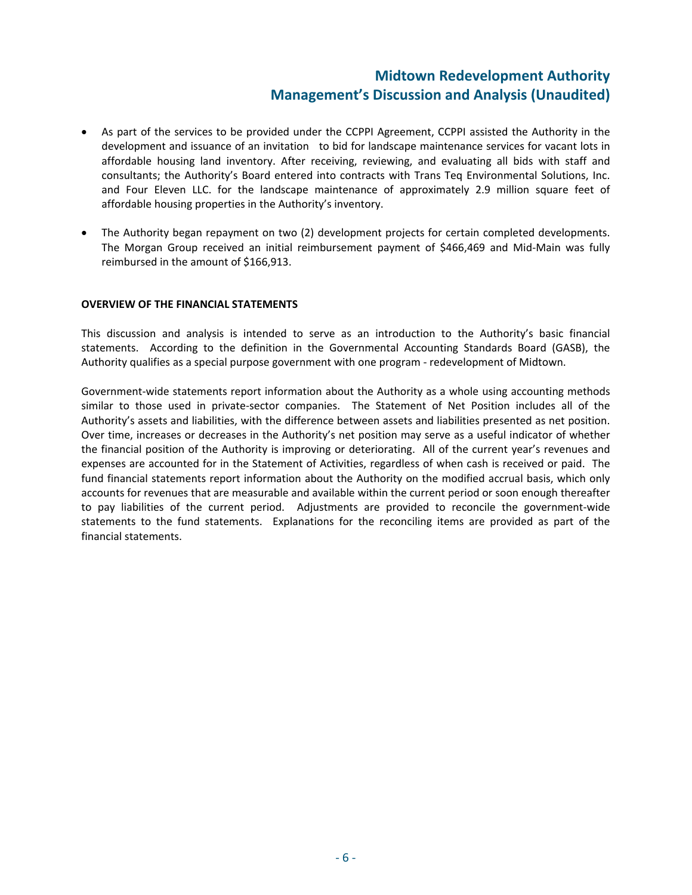- As part of the services to be provided under the CCPPI Agreement, CCPPI assisted the Authority in the development and issuance of an invitation to bid for landscape maintenance services for vacant lots in affordable housing land inventory. After receiving, reviewing, and evaluating all bids with staff and consultants; the Authority's Board entered into contracts with Trans Teq Environmental Solutions, Inc. and Four Eleven LLC. for the landscape maintenance of approximately 2.9 million square feet of affordable housing properties in the Authority's inventory.
- The Authority began repayment on two (2) development projects for certain completed developments. The Morgan Group received an initial reimbursement payment of \$466,469 and Mid-Main was fully reimbursed in the amount of \$166,913.

### **OVERVIEW OF THE FINANCIAL STATEMENTS**

This discussion and analysis is intended to serve as an introduction to the Authority's basic financial statements. According to the definition in the Governmental Accounting Standards Board (GASB), the Authority qualifies as a special purpose government with one program ‐ redevelopment of Midtown.

Government‐wide statements report information about the Authority as a whole using accounting methods similar to those used in private-sector companies. The Statement of Net Position includes all of the Authority's assets and liabilities, with the difference between assets and liabilities presented as net position. Over time, increases or decreases in the Authority's net position may serve as a useful indicator of whether the financial position of the Authority is improving or deteriorating. All of the current year's revenues and expenses are accounted for in the Statement of Activities, regardless of when cash is received or paid. The fund financial statements report information about the Authority on the modified accrual basis, which only accounts for revenues that are measurable and available within the current period or soon enough thereafter to pay liabilities of the current period. Adjustments are provided to reconcile the government‐wide statements to the fund statements. Explanations for the reconciling items are provided as part of the financial statements.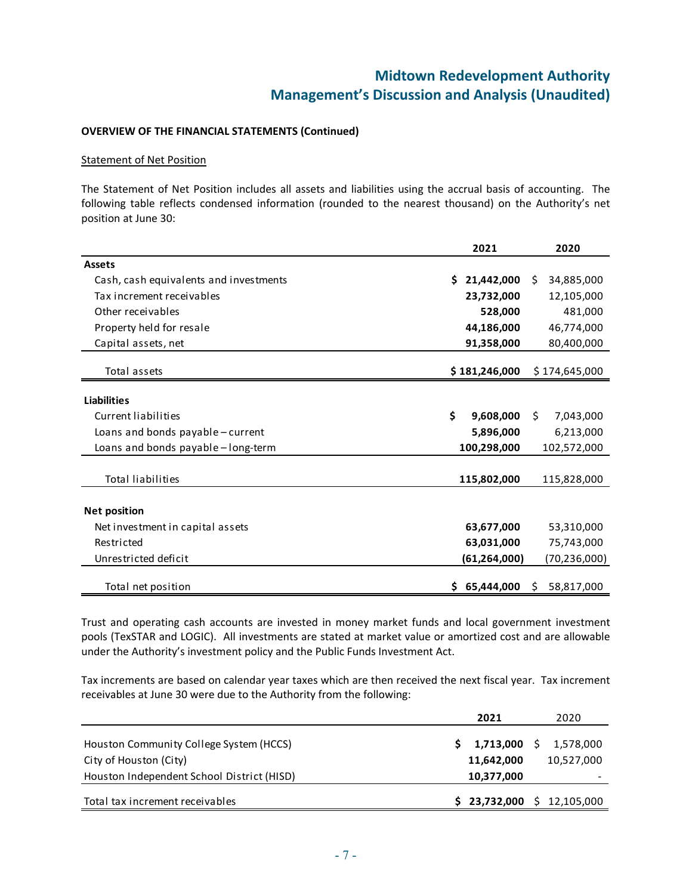### **OVERVIEW OF THE FINANCIAL STATEMENTS (Continued)**

#### Statement of Net Position

The Statement of Net Position includes all assets and liabilities using the accrual basis of accounting. The following table reflects condensed information (rounded to the nearest thousand) on the Authority's net position at June 30:

|                                        | 2021             | 2020             |
|----------------------------------------|------------------|------------------|
| <b>Assets</b>                          |                  |                  |
| Cash, cash equivalents and investments | 21,442,000<br>S. | Ŝ.<br>34,885,000 |
| Tax increment receivables              | 23,732,000       | 12,105,000       |
| Other receivables                      | 528,000          | 481,000          |
| Property held for resale               | 44,186,000       | 46,774,000       |
| Capital assets, net                    | 91,358,000       | 80,400,000       |
| Total assets                           | \$181,246,000    | \$174,645,000    |
|                                        |                  |                  |
| <b>Liabilities</b>                     |                  |                  |
| Current liabilities                    | \$<br>9,608,000  | Ŝ.<br>7,043,000  |
| Loans and bonds payable - current      | 5,896,000        | 6,213,000        |
| Loans and bonds payable - long-term    | 100,298,000      | 102,572,000      |
|                                        |                  |                  |
| <b>Total liabilities</b>               | 115,802,000      | 115,828,000      |
|                                        |                  |                  |
| <b>Net position</b>                    |                  |                  |
| Net investment in capital assets       | 63,677,000       | 53,310,000       |
| Restricted                             | 63,031,000       | 75,743,000       |
| Unrestricted deficit                   | (61, 264, 000)   | (70,236,000)     |
|                                        |                  |                  |
| Total net position                     | 65,444,000<br>S. | 58,817,000<br>S  |

Trust and operating cash accounts are invested in money market funds and local government investment pools (TexSTAR and LOGIC). All investments are stated at market value or amortized cost and are allowable under the Authority's investment policy and the Public Funds Investment Act.

Tax increments are based on calendar year taxes which are then received the next fiscal year. Tax increment receivables at June 30 were due to the Authority from the following:

|                                                                   | 2021                    | 2020                          |
|-------------------------------------------------------------------|-------------------------|-------------------------------|
| Houston Community College System (HCCS)<br>City of Houston (City) | 1,713,000<br>11,642,000 | S.<br>1,578,000<br>10,527,000 |
| Houston Independent School District (HISD)                        | 10,377,000              |                               |
| Total tax increment receivables                                   | \$23,732,000            | \$12,105,000                  |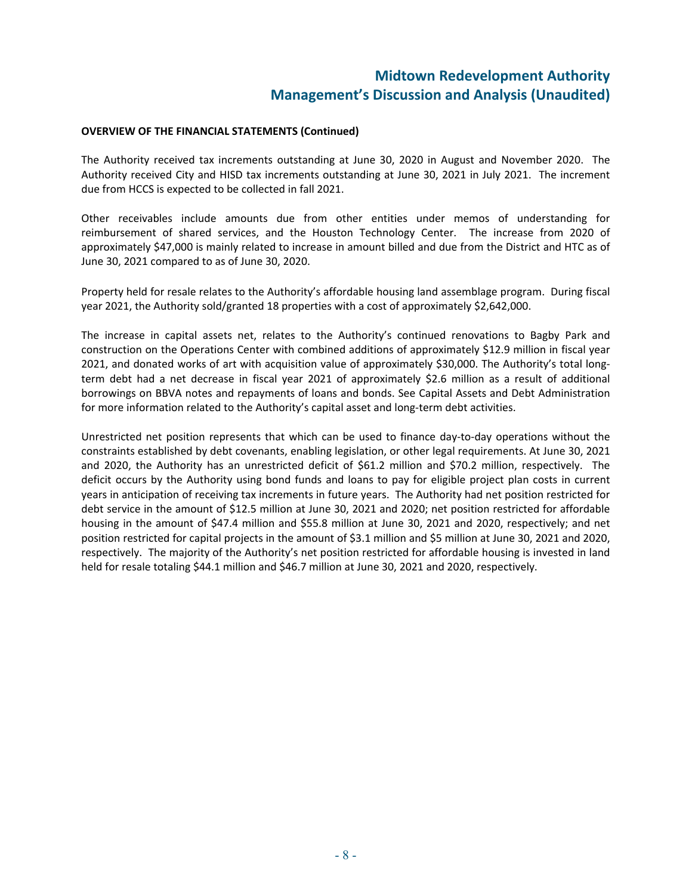### **OVERVIEW OF THE FINANCIAL STATEMENTS (Continued)**

The Authority received tax increments outstanding at June 30, 2020 in August and November 2020. The Authority received City and HISD tax increments outstanding at June 30, 2021 in July 2021. The increment due from HCCS is expected to be collected in fall 2021.

Other receivables include amounts due from other entities under memos of understanding for reimbursement of shared services, and the Houston Technology Center. The increase from 2020 of approximately \$47,000 is mainly related to increase in amount billed and due from the District and HTC as of June 30, 2021 compared to as of June 30, 2020.

Property held for resale relates to the Authority's affordable housing land assemblage program. During fiscal year 2021, the Authority sold/granted 18 properties with a cost of approximately \$2,642,000.

The increase in capital assets net, relates to the Authority's continued renovations to Bagby Park and construction on the Operations Center with combined additions of approximately \$12.9 million in fiscal year 2021, and donated works of art with acquisition value of approximately \$30,000. The Authority's total long‐ term debt had a net decrease in fiscal year 2021 of approximately \$2.6 million as a result of additional borrowings on BBVA notes and repayments of loans and bonds. See Capital Assets and Debt Administration for more information related to the Authority's capital asset and long-term debt activities.

Unrestricted net position represents that which can be used to finance day‐to‐day operations without the constraints established by debt covenants, enabling legislation, or other legal requirements. At June 30, 2021 and 2020, the Authority has an unrestricted deficit of \$61.2 million and \$70.2 million, respectively. The deficit occurs by the Authority using bond funds and loans to pay for eligible project plan costs in current years in anticipation of receiving tax increments in future years. The Authority had net position restricted for debt service in the amount of \$12.5 million at June 30, 2021 and 2020; net position restricted for affordable housing in the amount of \$47.4 million and \$55.8 million at June 30, 2021 and 2020, respectively; and net position restricted for capital projects in the amount of \$3.1 million and \$5 million at June 30, 2021 and 2020, respectively. The majority of the Authority's net position restricted for affordable housing is invested in land held for resale totaling \$44.1 million and \$46.7 million at June 30, 2021 and 2020, respectively.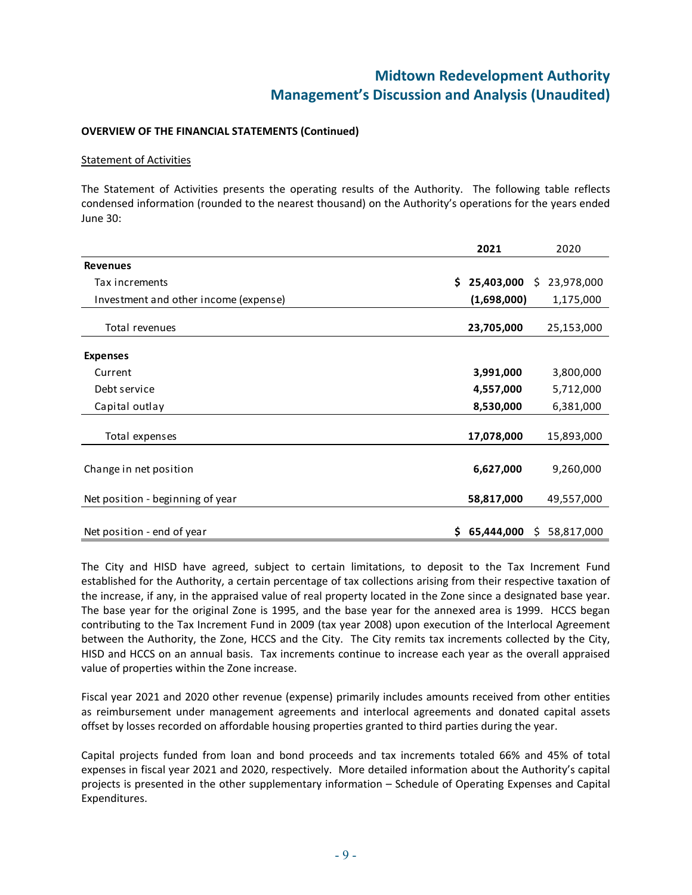### **OVERVIEW OF THE FINANCIAL STATEMENTS (Continued)**

#### Statement of Activities

The Statement of Activities presents the operating results of the Authority. The following table reflects condensed information (rounded to the nearest thousand) on the Authority's operations for the years ended June 30:

|                                       | 2021             | 2020             |
|---------------------------------------|------------------|------------------|
| <b>Revenues</b>                       |                  |                  |
| Tax increments                        | 25,403,000<br>Ś. | 23,978,000<br>S. |
| Investment and other income (expense) | (1,698,000)      | 1,175,000        |
| Total revenues                        | 23,705,000       | 25,153,000       |
| <b>Expenses</b>                       |                  |                  |
| Current                               | 3,991,000        | 3,800,000        |
| Debt service                          | 4,557,000        | 5,712,000        |
| Capital outlay                        | 8,530,000        | 6,381,000        |
| Total expenses                        | 17,078,000       | 15,893,000       |
| Change in net position                | 6,627,000        | 9,260,000        |
| Net position - beginning of year      | 58,817,000       | 49,557,000       |
| Net position - end of year            | 65,444,000<br>S. | \$58,817,000     |

The City and HISD have agreed, subject to certain limitations, to deposit to the Tax Increment Fund established for the Authority, a certain percentage of tax collections arising from their respective taxation of the increase, if any, in the appraised value of real property located in the Zone since a designated base year. The base year for the original Zone is 1995, and the base year for the annexed area is 1999. HCCS began contributing to the Tax Increment Fund in 2009 (tax year 2008) upon execution of the Interlocal Agreement between the Authority, the Zone, HCCS and the City. The City remits tax increments collected by the City, HISD and HCCS on an annual basis. Tax increments continue to increase each year as the overall appraised value of properties within the Zone increase.

Fiscal year 2021 and 2020 other revenue (expense) primarily includes amounts received from other entities as reimbursement under management agreements and interlocal agreements and donated capital assets offset by losses recorded on affordable housing properties granted to third parties during the year.

Capital projects funded from loan and bond proceeds and tax increments totaled 66% and 45% of total expenses in fiscal year 2021 and 2020, respectively. More detailed information about the Authority's capital projects is presented in the other supplementary information – Schedule of Operating Expenses and Capital Expenditures.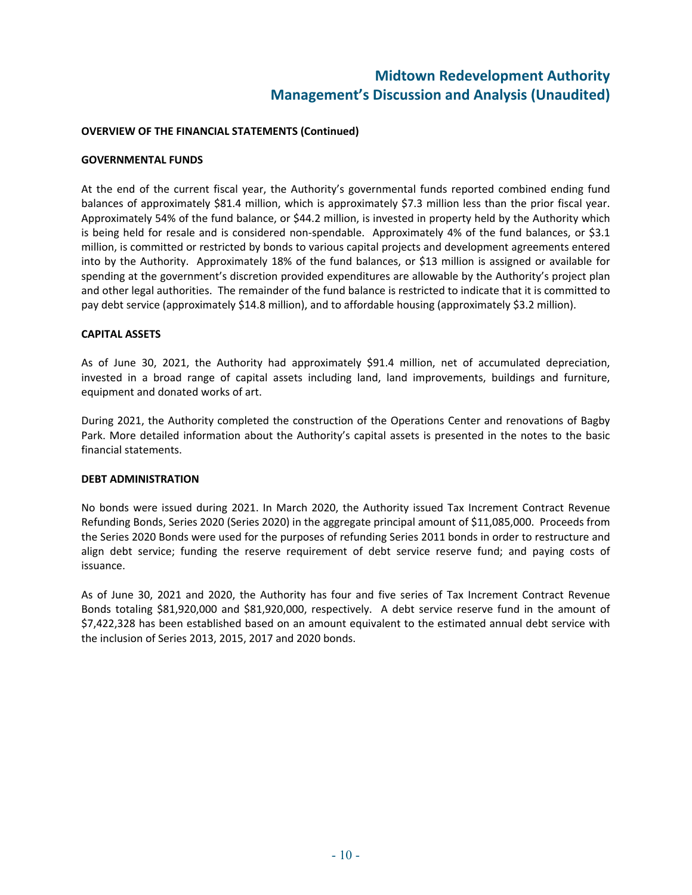### **OVERVIEW OF THE FINANCIAL STATEMENTS (Continued)**

#### **GOVERNMENTAL FUNDS**

At the end of the current fiscal year, the Authority's governmental funds reported combined ending fund balances of approximately \$81.4 million, which is approximately \$7.3 million less than the prior fiscal year. Approximately 54% of the fund balance, or \$44.2 million, is invested in property held by the Authority which is being held for resale and is considered non-spendable. Approximately 4% of the fund balances, or \$3.1 million, is committed or restricted by bonds to various capital projects and development agreements entered into by the Authority. Approximately 18% of the fund balances, or \$13 million is assigned or available for spending at the government's discretion provided expenditures are allowable by the Authority's project plan and other legal authorities. The remainder of the fund balance is restricted to indicate that it is committed to pay debt service (approximately \$14.8 million), and to affordable housing (approximately \$3.2 million).

#### **CAPITAL ASSETS**

As of June 30, 2021, the Authority had approximately \$91.4 million, net of accumulated depreciation, invested in a broad range of capital assets including land, land improvements, buildings and furniture, equipment and donated works of art.

During 2021, the Authority completed the construction of the Operations Center and renovations of Bagby Park. More detailed information about the Authority's capital assets is presented in the notes to the basic financial statements.

### **DEBT ADMINISTRATION**

No bonds were issued during 2021. In March 2020, the Authority issued Tax Increment Contract Revenue Refunding Bonds, Series 2020 (Series 2020) in the aggregate principal amount of \$11,085,000. Proceeds from the Series 2020 Bonds were used for the purposes of refunding Series 2011 bonds in order to restructure and align debt service; funding the reserve requirement of debt service reserve fund; and paying costs of issuance.

As of June 30, 2021 and 2020, the Authority has four and five series of Tax Increment Contract Revenue Bonds totaling \$81,920,000 and \$81,920,000, respectively. A debt service reserve fund in the amount of \$7,422,328 has been established based on an amount equivalent to the estimated annual debt service with the inclusion of Series 2013, 2015, 2017 and 2020 bonds.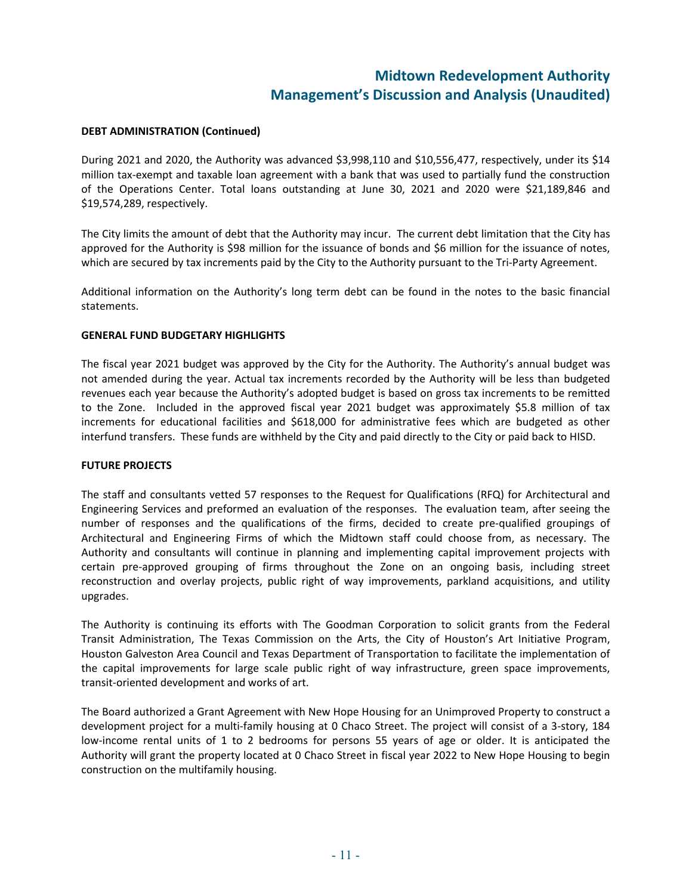### **DEBT ADMINISTRATION (Continued)**

During 2021 and 2020, the Authority was advanced \$3,998,110 and \$10,556,477, respectively, under its \$14 million tax‐exempt and taxable loan agreement with a bank that was used to partially fund the construction of the Operations Center. Total loans outstanding at June 30, 2021 and 2020 were \$21,189,846 and \$19,574,289, respectively.

The City limits the amount of debt that the Authority may incur. The current debt limitation that the City has approved for the Authority is \$98 million for the issuance of bonds and \$6 million for the issuance of notes, which are secured by tax increments paid by the City to the Authority pursuant to the Tri-Party Agreement.

Additional information on the Authority's long term debt can be found in the notes to the basic financial statements.

### **GENERAL FUND BUDGETARY HIGHLIGHTS**

The fiscal year 2021 budget was approved by the City for the Authority. The Authority's annual budget was not amended during the year. Actual tax increments recorded by the Authority will be less than budgeted revenues each year because the Authority's adopted budget is based on gross tax increments to be remitted to the Zone. Included in the approved fiscal year 2021 budget was approximately \$5.8 million of tax increments for educational facilities and \$618,000 for administrative fees which are budgeted as other interfund transfers. These funds are withheld by the City and paid directly to the City or paid back to HISD.

### **FUTURE PROJECTS**

The staff and consultants vetted 57 responses to the Request for Qualifications (RFQ) for Architectural and Engineering Services and preformed an evaluation of the responses. The evaluation team, after seeing the number of responses and the qualifications of the firms, decided to create pre-qualified groupings of Architectural and Engineering Firms of which the Midtown staff could choose from, as necessary. The Authority and consultants will continue in planning and implementing capital improvement projects with certain pre‐approved grouping of firms throughout the Zone on an ongoing basis, including street reconstruction and overlay projects, public right of way improvements, parkland acquisitions, and utility upgrades.

The Authority is continuing its efforts with The Goodman Corporation to solicit grants from the Federal Transit Administration, The Texas Commission on the Arts, the City of Houston's Art Initiative Program, Houston Galveston Area Council and Texas Department of Transportation to facilitate the implementation of the capital improvements for large scale public right of way infrastructure, green space improvements, transit‐oriented development and works of art.

The Board authorized a Grant Agreement with New Hope Housing for an Unimproved Property to construct a development project for a multi-family housing at 0 Chaco Street. The project will consist of a 3-story, 184 low-income rental units of 1 to 2 bedrooms for persons 55 years of age or older. It is anticipated the Authority will grant the property located at 0 Chaco Street in fiscal year 2022 to New Hope Housing to begin construction on the multifamily housing.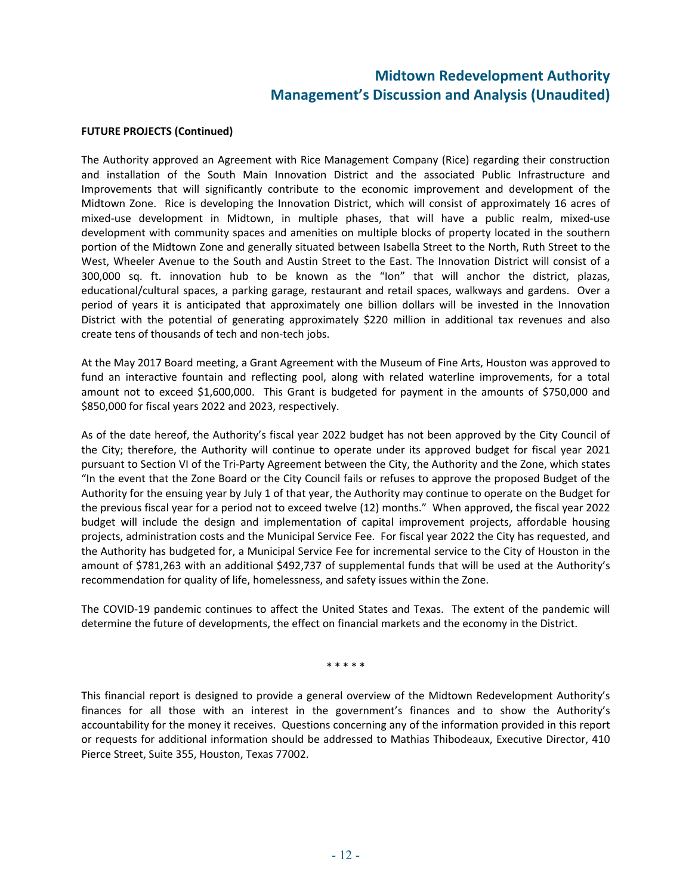### **FUTURE PROJECTS (Continued)**

The Authority approved an Agreement with Rice Management Company (Rice) regarding their construction and installation of the South Main Innovation District and the associated Public Infrastructure and Improvements that will significantly contribute to the economic improvement and development of the Midtown Zone. Rice is developing the Innovation District, which will consist of approximately 16 acres of mixed-use development in Midtown, in multiple phases, that will have a public realm, mixed-use development with community spaces and amenities on multiple blocks of property located in the southern portion of the Midtown Zone and generally situated between Isabella Street to the North, Ruth Street to the West, Wheeler Avenue to the South and Austin Street to the East. The Innovation District will consist of a 300,000 sq. ft. innovation hub to be known as the "Ion" that will anchor the district, plazas, educational/cultural spaces, a parking garage, restaurant and retail spaces, walkways and gardens. Over a period of years it is anticipated that approximately one billion dollars will be invested in the Innovation District with the potential of generating approximately \$220 million in additional tax revenues and also create tens of thousands of tech and non‐tech jobs.

At the May 2017 Board meeting, a Grant Agreement with the Museum of Fine Arts, Houston was approved to fund an interactive fountain and reflecting pool, along with related waterline improvements, for a total amount not to exceed \$1,600,000. This Grant is budgeted for payment in the amounts of \$750,000 and \$850,000 for fiscal years 2022 and 2023, respectively.

As of the date hereof, the Authority's fiscal year 2022 budget has not been approved by the City Council of the City; therefore, the Authority will continue to operate under its approved budget for fiscal year 2021 pursuant to Section VI of the Tri‐Party Agreement between the City, the Authority and the Zone, which states "In the event that the Zone Board or the City Council fails or refuses to approve the proposed Budget of the Authority for the ensuing year by July 1 of that year, the Authority may continue to operate on the Budget for the previous fiscal year for a period not to exceed twelve (12) months." When approved, the fiscal year 2022 budget will include the design and implementation of capital improvement projects, affordable housing projects, administration costs and the Municipal Service Fee. For fiscal year 2022 the City has requested, and the Authority has budgeted for, a Municipal Service Fee for incremental service to the City of Houston in the amount of \$781,263 with an additional \$492,737 of supplemental funds that will be used at the Authority's recommendation for quality of life, homelessness, and safety issues within the Zone.

The COVID‐19 pandemic continues to affect the United States and Texas. The extent of the pandemic will determine the future of developments, the effect on financial markets and the economy in the District.

\* \* \* \* \*

This financial report is designed to provide a general overview of the Midtown Redevelopment Authority's finances for all those with an interest in the government's finances and to show the Authority's accountability for the money it receives. Questions concerning any of the information provided in this report or requests for additional information should be addressed to Mathias Thibodeaux, Executive Director, 410 Pierce Street, Suite 355, Houston, Texas 77002.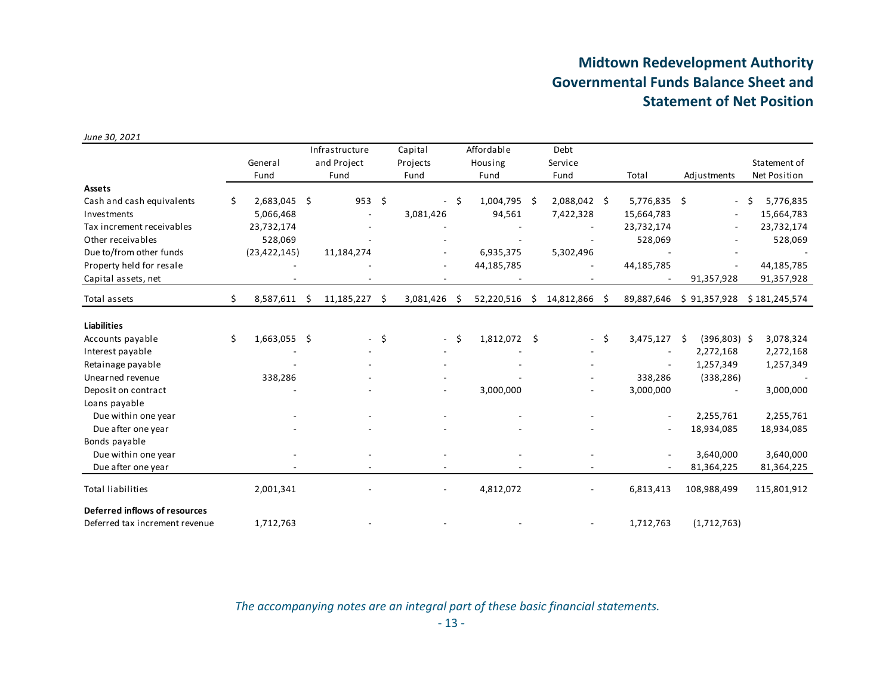## **Midtown Redevelopment Authority Governmental Funds Balance Sheet and Statement of Net Position**

| JUNE 30, ZUZI                  |                      |                |                                    | Infrastructure   |    | Capital   |         | Affordable   |             | Debt         |     |              |                       |                 |
|--------------------------------|----------------------|----------------|------------------------------------|------------------|----|-----------|---------|--------------|-------------|--------------|-----|--------------|-----------------------|-----------------|
|                                | General              |                | and Project<br>Projects<br>Housing |                  |    |           | Service |              |             |              |     | Statement of |                       |                 |
|                                | Fund<br>Fund<br>Fund |                |                                    | Fund<br>Fund     |    |           |         | Total        | Adjustments | Net Position |     |              |                       |                 |
| Assets                         |                      |                |                                    |                  |    |           |         |              |             |              |     |              |                       |                 |
| Cash and cash equivalents      | \$                   | 2,683,045      | \$                                 | 953 <sup>5</sup> |    |           | Ś.      | 1,004,795    | Ŝ.          | 2,088,042 \$ |     | 5,776,835    | Ŝ.                    | 5,776,835<br>Ŝ. |
| Investments                    |                      | 5,066,468      |                                    |                  |    | 3,081,426 |         | 94,561       |             | 7,422,328    |     | 15,664,783   |                       | 15,664,783      |
| Tax increment receivables      |                      | 23,732,174     |                                    |                  |    |           |         |              |             |              |     | 23,732,174   |                       | 23,732,174      |
| Other receivables              |                      | 528,069        |                                    |                  |    |           |         |              |             |              |     | 528,069      |                       | 528,069         |
| Due to/from other funds        |                      | (23, 422, 145) |                                    | 11,184,274       |    |           |         | 6,935,375    |             | 5,302,496    |     |              |                       |                 |
| Property held for resale       |                      |                |                                    |                  |    |           |         | 44,185,785   |             |              |     | 44,185,785   |                       | 44,185,785      |
| Capital assets, net            |                      |                |                                    |                  |    |           |         |              |             |              |     |              | 91,357,928            | 91,357,928      |
| Total assets                   |                      | 8,587,611      | -\$                                | 11,185,227       | \$ | 3,081,426 | \$.     | 52,220,516   | S.          | 14,812,866   | -\$ | 89,887,646   | \$91,357,928          | \$181,245,574   |
| <b>Liabilities</b>             |                      |                |                                    |                  |    |           |         |              |             |              |     |              |                       |                 |
| Accounts payable               | \$                   | 1,663,055 \$   |                                    | $\sim$           | \$ |           | Ŝ       | 1,812,072 \$ |             |              | -\$ | 3,475,127    | $(396,803)$ \$<br>-\$ | 3,078,324       |
| Interest payable               |                      |                |                                    |                  |    |           |         |              |             |              |     |              | 2,272,168             | 2,272,168       |
| Retainage payable              |                      |                |                                    |                  |    |           |         |              |             |              |     |              | 1,257,349             | 1,257,349       |
| Unearned revenue               |                      | 338,286        |                                    |                  |    |           |         |              |             |              |     | 338,286      | (338, 286)            |                 |
| Deposit on contract            |                      |                |                                    |                  |    |           |         | 3,000,000    |             |              |     | 3,000,000    |                       | 3,000,000       |
| Loans payable                  |                      |                |                                    |                  |    |           |         |              |             |              |     |              |                       |                 |
| Due within one year            |                      |                |                                    |                  |    |           |         |              |             |              |     |              | 2,255,761             | 2,255,761       |
| Due after one year             |                      |                |                                    |                  |    |           |         |              |             |              |     |              | 18,934,085            | 18,934,085      |
| Bonds payable                  |                      |                |                                    |                  |    |           |         |              |             |              |     |              |                       |                 |
| Due within one year            |                      |                |                                    |                  |    |           |         |              |             |              |     |              | 3,640,000             | 3,640,000       |
| Due after one year             |                      |                |                                    |                  |    |           |         |              |             |              |     |              | 81,364,225            | 81,364,225      |
| <b>Total liabilities</b>       |                      | 2,001,341      |                                    |                  |    |           |         | 4,812,072    |             |              |     | 6,813,413    | 108,988,499           | 115,801,912     |
| Deferred inflows of resources  |                      |                |                                    |                  |    |           |         |              |             |              |     |              |                       |                 |
| Deferred tax increment revenue |                      | 1,712,763      |                                    |                  |    |           |         |              |             |              |     | 1,712,763    | (1,712,763)           |                 |

*June 30, 2021*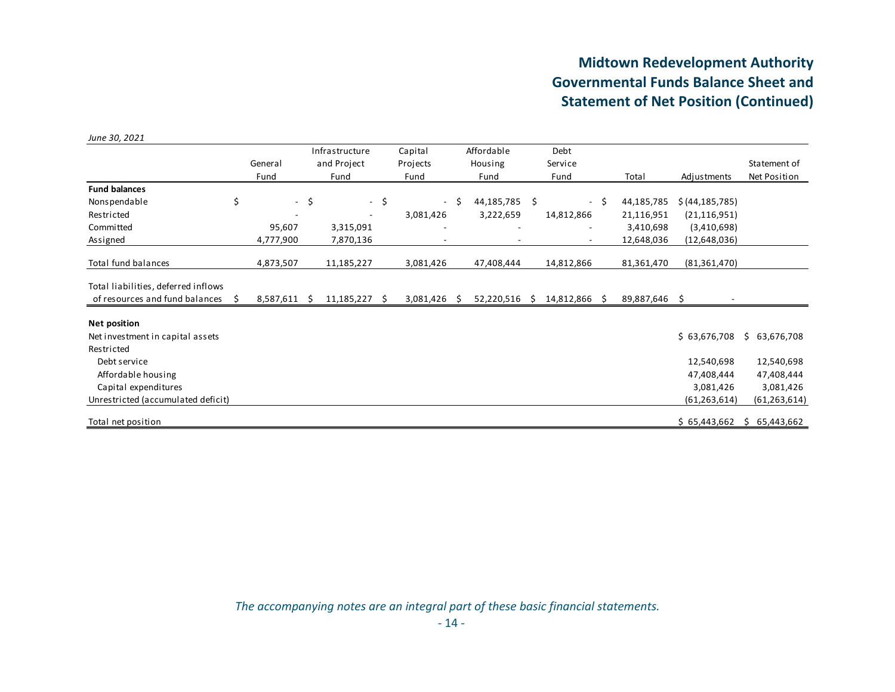## **Midtown Redevelopment Authority Governmental Funds Balance Sheet and Statement of Net Position (Continued)**

| June 30, 2021                       |    |           |                  |        |                |    |               |     |                          |    |               |                   |     |                |
|-------------------------------------|----|-----------|------------------|--------|----------------|----|---------------|-----|--------------------------|----|---------------|-------------------|-----|----------------|
|                                     |    |           | Infrastructure   |        | Capital        |    | Affordable    |     | Debt                     |    |               |                   |     |                |
|                                     |    | General   | and Project      |        | Projects       |    | Housing       |     | Service                  |    |               |                   |     | Statement of   |
|                                     |    | Fund      | Fund             |        | Fund           |    | Fund          |     | Fund                     |    | Total         | Adjustments       |     | Net Position   |
| <b>Fund balances</b>                |    |           |                  |        |                |    |               |     |                          |    |               |                   |     |                |
| Nonspendable                        | \$ | $\sim 10$ | \$               | $-$ \$ | $\sim$         | Ŝ. | 44,185,785 \$ |     | $\sim$                   | -S | 44,185,785    | \$ (44, 185, 785) |     |                |
| Restricted                          |    |           |                  |        | 3,081,426      |    | 3,222,659     |     | 14,812,866               |    | 21,116,951    | (21, 116, 951)    |     |                |
| Committed                           |    | 95,607    | 3,315,091        |        |                |    |               |     |                          |    | 3,410,698     | (3,410,698)       |     |                |
| Assigned                            |    | 4,777,900 | 7,870,136        |        |                |    |               |     | $\overline{\phantom{a}}$ |    | 12,648,036    | (12,648,036)      |     |                |
|                                     |    |           |                  |        |                |    |               |     |                          |    |               |                   |     |                |
| Total fund balances                 |    | 4,873,507 | 11,185,227       |        | 3,081,426      |    | 47,408,444    |     | 14,812,866               |    | 81,361,470    | (81,361,470)      |     |                |
| Total liabilities, deferred inflows |    |           |                  |        |                |    |               |     |                          |    |               |                   |     |                |
| of resources and fund balances      | Ŝ. | 8,587,611 | \$<br>11,185,227 | S.     | $3,081,426$ \$ |    | 52,220,516    | \$. | 14,812,866 \$            |    | 89,887,646 \$ |                   |     |                |
|                                     |    |           |                  |        |                |    |               |     |                          |    |               |                   |     |                |
| <b>Net position</b>                 |    |           |                  |        |                |    |               |     |                          |    |               |                   |     |                |
| Net investment in capital assets    |    |           |                  |        |                |    |               |     |                          |    |               | \$63,676,708      | \$. | 63,676,708     |
| Restricted                          |    |           |                  |        |                |    |               |     |                          |    |               |                   |     |                |
| Debt service                        |    |           |                  |        |                |    |               |     |                          |    |               | 12,540,698        |     | 12,540,698     |
| Affordable housing                  |    |           |                  |        |                |    |               |     |                          |    |               | 47,408,444        |     | 47,408,444     |
| Capital expenditures                |    |           |                  |        |                |    |               |     |                          |    |               | 3,081,426         |     | 3,081,426      |
| Unrestricted (accumulated deficit)  |    |           |                  |        |                |    |               |     |                          |    |               | (61, 263, 614)    |     | (61, 263, 614) |
| Total net position                  |    |           |                  |        |                |    |               |     |                          |    |               | \$65,443,662      | S.  | 65,443,662     |
|                                     |    |           |                  |        |                |    |               |     |                          |    |               |                   |     |                |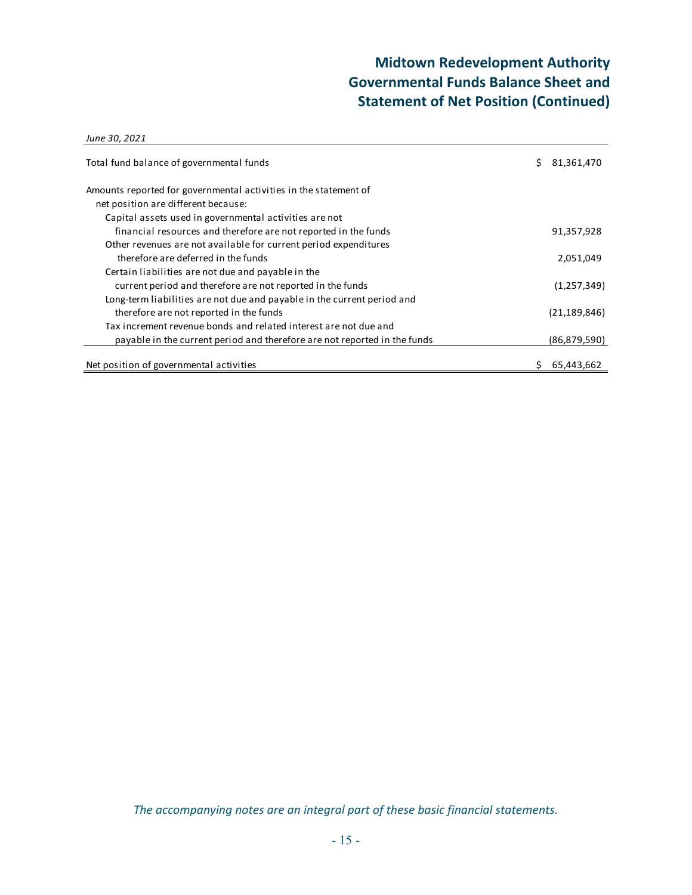## **Midtown Redevelopment Authority Governmental Funds Balance Sheet and Statement of Net Position (Continued)**

| Total fund balance of governmental funds                                  | 81,361,470   |
|---------------------------------------------------------------------------|--------------|
| Amounts reported for governmental activities in the statement of          |              |
| net position are different because:                                       |              |
| Capital assets used in governmental activities are not                    |              |
| financial resources and therefore are not reported in the funds           | 91,357,928   |
| Other revenues are not available for current period expenditures          |              |
| therefore are deferred in the funds                                       | 2,051,049    |
| Certain liabilities are not due and payable in the                        |              |
| current period and therefore are not reported in the funds                | (1,257,349)  |
| Long-term liabilities are not due and payable in the current period and   |              |
| therefore are not reported in the funds                                   | (21,189,846) |
| Tax increment revenue bonds and related interest are not due and          |              |
| payable in the current period and therefore are not reported in the funds | (86,879,590) |
|                                                                           |              |
| Net position of governmental activities                                   | 65,443,662   |

*June 30, 2021*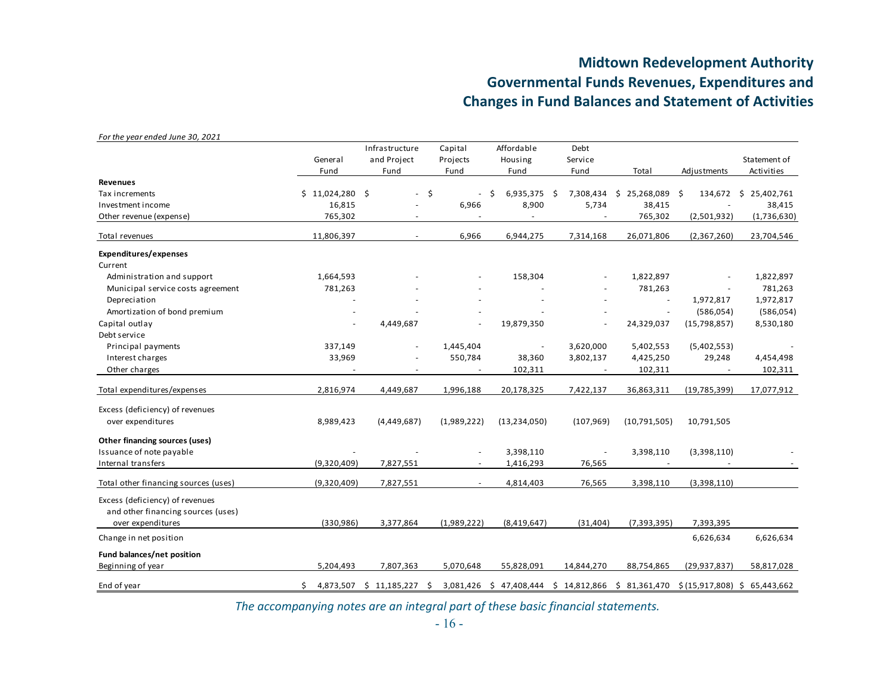## **Midtown Redevelopment Authority Governmental Funds Revenues, Expenditures and Changes in Fund Balances and Statement of Activities**

| For the year ended June 30, 2021     |                  |                          |                          |                                                  |                          |                  |                |              |
|--------------------------------------|------------------|--------------------------|--------------------------|--------------------------------------------------|--------------------------|------------------|----------------|--------------|
|                                      |                  | Infrastructure           | Capital                  | Affordable                                       | Debt                     |                  |                |              |
|                                      | General          | and Project              | Projects                 | Housing                                          | Service                  |                  |                | Statement of |
|                                      | Fund             | Fund                     | Fund                     | Fund                                             | Fund                     | Total            | Adjustments    | Activities   |
| <b>Revenues</b>                      |                  |                          |                          |                                                  |                          |                  |                |              |
| Tax increments                       | $$11,024,280$ \$ | $\sim$                   | -\$                      | $6,935,375$ \$<br>- \$                           | 7,308,434                | 25,268,089<br>\$ | Ŝ.<br>134,672  | \$25,402,761 |
| Investment income                    | 16,815           | ÷,                       | 6,966                    | 8,900                                            | 5,734                    | 38,415           |                | 38,415       |
| Other revenue (expense)              | 765,302          | $\overline{\phantom{a}}$ |                          | ÷,                                               | $\sim$                   | 765,302          | (2,501,932)    | (1,736,630)  |
| Total revenues                       | 11,806,397       |                          | 6,966                    | 6,944,275                                        | 7,314,168                | 26,071,806       | (2,367,260)    | 23,704,546   |
| Expenditures/expenses                |                  |                          |                          |                                                  |                          |                  |                |              |
| Current                              |                  |                          |                          |                                                  |                          |                  |                |              |
| Administration and support           | 1,664,593        |                          |                          | 158,304                                          |                          | 1,822,897        |                | 1,822,897    |
| Municipal service costs agreement    | 781,263          |                          |                          |                                                  |                          | 781,263          |                | 781,263      |
| Depreciation                         |                  |                          |                          |                                                  |                          |                  | 1,972,817      | 1,972,817    |
| Amortization of bond premium         |                  |                          |                          |                                                  |                          |                  | (586, 054)     | (586, 054)   |
| Capital outlay                       |                  | 4,449,687                |                          | 19,879,350                                       | ٠                        | 24,329,037       | (15,798,857)   | 8,530,180    |
| Debt service                         |                  |                          |                          |                                                  |                          |                  |                |              |
| Principal payments                   | 337,149          |                          | 1,445,404                |                                                  | 3,620,000                | 5,402,553        | (5,402,553)    |              |
| Interest charges                     | 33,969           |                          | 550,784                  | 38,360                                           | 3,802,137                | 4,425,250        | 29,248         | 4,454,498    |
| Other charges                        |                  |                          | $\overline{\phantom{a}}$ | 102,311                                          | $\overline{\phantom{a}}$ | 102,311          |                | 102,311      |
| Total expenditures/expenses          | 2,816,974        | 4,449,687                | 1,996,188                | 20,178,325                                       | 7,422,137                | 36,863,311       | (19, 785, 399) | 17,077,912   |
| Excess (deficiency) of revenues      |                  |                          |                          |                                                  |                          |                  |                |              |
| over expenditures                    | 8,989,423        | (4,449,687)              | (1,989,222)              | (13, 234, 050)                                   | (107, 969)               | (10,791,505)     | 10,791,505     |              |
|                                      |                  |                          |                          |                                                  |                          |                  |                |              |
| Other financing sources (uses)       |                  |                          |                          |                                                  |                          |                  |                |              |
| Issuance of note payable             |                  |                          |                          | 3,398,110                                        | $\overline{a}$           | 3,398,110        | (3,398,110)    |              |
| Internal transfers                   | (9,320,409)      | 7,827,551                |                          | 1,416,293                                        | 76,565                   |                  |                |              |
| Total other financing sources (uses) | (9,320,409)      | 7,827,551                |                          | 4,814,403                                        | 76,565                   | 3,398,110        | (3,398,110)    |              |
| Excess (deficiency) of revenues      |                  |                          |                          |                                                  |                          |                  |                |              |
| and other financing sources (uses)   |                  |                          |                          |                                                  |                          |                  |                |              |
| over expenditures                    | (330, 986)       | 3,377,864                | (1,989,222)              | (8,419,647)                                      | (31, 404)                | (7, 393, 395)    | 7,393,395      |              |
| Change in net position               |                  |                          |                          |                                                  |                          |                  | 6,626,634      | 6,626,634    |
| Fund balances/net position           |                  |                          |                          |                                                  |                          |                  |                |              |
| Beginning of year                    | 5,204,493        | 7,807,363                | 5,070,648                | 55,828,091                                       | 14,844,270               | 88,754,865       | (29, 937, 837) | 58,817,028   |
|                                      |                  | 4,873,507 \$ 11,185,227  |                          |                                                  |                          |                  | \$(15,917,808) |              |
| End of year                          | Ś.               |                          | Ŝ.                       | 3,081,426 \$47,408,444 \$14,812,866 \$81,361,470 |                          |                  |                | \$65,443,662 |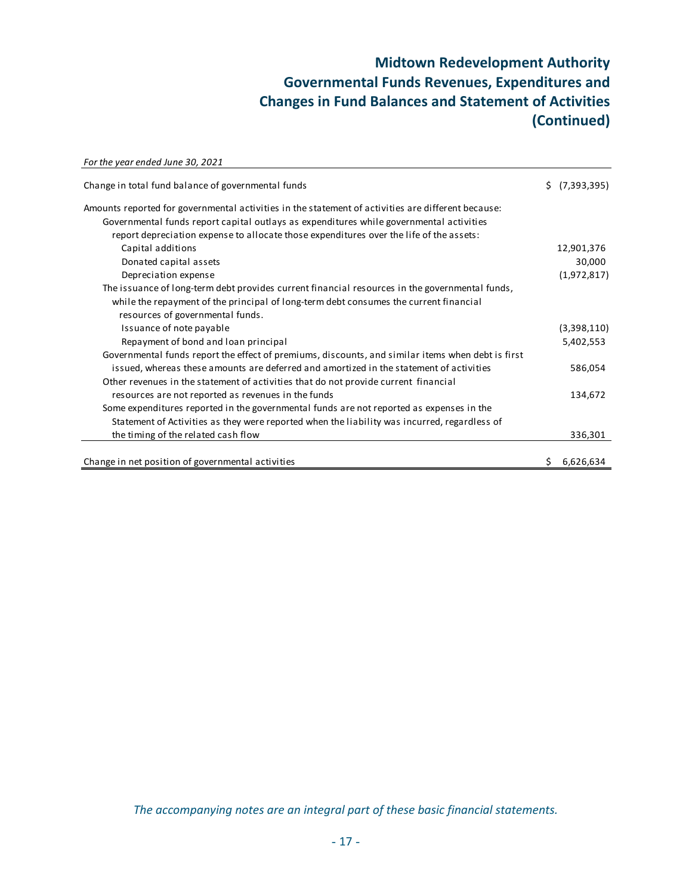## **Midtown Redevelopment Authority Governmental Funds Revenues, Expenditures and Changes in Fund Balances and Statement of Activities (Continued)**

| For the year ended June 30, 2021                                                                   |               |
|----------------------------------------------------------------------------------------------------|---------------|
| Change in total fund balance of governmental funds                                                 | \$(7,393,395) |
| Amounts reported for governmental activities in the statement of activities are different because: |               |
| Governmental funds report capital outlays as expenditures while governmental activities            |               |
| report depreciation expense to allocate those expenditures over the life of the assets:            |               |
| Capital additions                                                                                  | 12,901,376    |
| Donated capital assets                                                                             | 30,000        |
| Depreciation expense                                                                               | (1,972,817)   |
| The issuance of long-term debt provides current financial resources in the governmental funds,     |               |
| while the repayment of the principal of long-term debt consumes the current financial              |               |
| resources of governmental funds.                                                                   |               |
| Issuance of note payable                                                                           | (3,398,110)   |
| Repayment of bond and loan principal                                                               | 5,402,553     |
| Governmental funds report the effect of premiums, discounts, and similar items when debt is first  |               |
| issued, whereas these amounts are deferred and amortized in the statement of activities            | 586,054       |
| Other revenues in the statement of activities that do not provide current financial                |               |
| resources are not reported as revenues in the funds                                                | 134,672       |
| Some expenditures reported in the governmental funds are not reported as expenses in the           |               |
| Statement of Activities as they were reported when the liability was incurred, regardless of       |               |
| the timing of the related cash flow                                                                | 336,301       |
|                                                                                                    |               |
| Change in net position of governmental activities                                                  | 6,626,634     |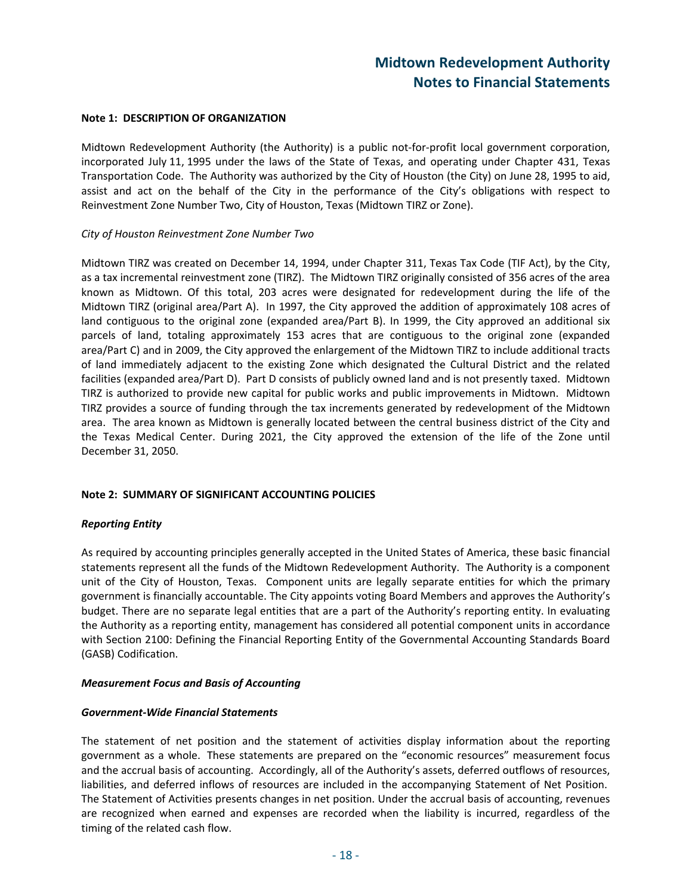### **Note 1: DESCRIPTION OF ORGANIZATION**

Midtown Redevelopment Authority (the Authority) is a public not‐for‐profit local government corporation, incorporated July 11, 1995 under the laws of the State of Texas, and operating under Chapter 431, Texas Transportation Code. The Authority was authorized by the City of Houston (the City) on June 28, 1995 to aid, assist and act on the behalf of the City in the performance of the City's obligations with respect to Reinvestment Zone Number Two, City of Houston, Texas (Midtown TIRZ or Zone).

#### *City of Houston Reinvestment Zone Number Two*

Midtown TIRZ was created on December 14, 1994, under Chapter 311, Texas Tax Code (TIF Act), by the City, as a tax incremental reinvestment zone (TIRZ). The Midtown TIRZ originally consisted of 356 acres of the area known as Midtown. Of this total, 203 acres were designated for redevelopment during the life of the Midtown TIRZ (original area/Part A). In 1997, the City approved the addition of approximately 108 acres of land contiguous to the original zone (expanded area/Part B). In 1999, the City approved an additional six parcels of land, totaling approximately 153 acres that are contiguous to the original zone (expanded area/Part C) and in 2009, the City approved the enlargement of the Midtown TIRZ to include additional tracts of land immediately adjacent to the existing Zone which designated the Cultural District and the related facilities (expanded area/Part D). Part D consists of publicly owned land and is not presently taxed. Midtown TIRZ is authorized to provide new capital for public works and public improvements in Midtown. Midtown TIRZ provides a source of funding through the tax increments generated by redevelopment of the Midtown area. The area known as Midtown is generally located between the central business district of the City and the Texas Medical Center. During 2021, the City approved the extension of the life of the Zone until December 31, 2050.

### **Note 2: SUMMARY OF SIGNIFICANT ACCOUNTING POLICIES**

### *Reporting Entity*

As required by accounting principles generally accepted in the United States of America, these basic financial statements represent all the funds of the Midtown Redevelopment Authority. The Authority is a component unit of the City of Houston, Texas. Component units are legally separate entities for which the primary government is financially accountable. The City appoints voting Board Members and approves the Authority's budget. There are no separate legal entities that are a part of the Authority's reporting entity. In evaluating the Authority as a reporting entity, management has considered all potential component units in accordance with Section 2100: Defining the Financial Reporting Entity of the Governmental Accounting Standards Board (GASB) Codification.

### *Measurement Focus and Basis of Accounting*

#### *Government‐Wide Financial Statements*

The statement of net position and the statement of activities display information about the reporting government as a whole. These statements are prepared on the "economic resources" measurement focus and the accrual basis of accounting. Accordingly, all of the Authority's assets, deferred outflows of resources, liabilities, and deferred inflows of resources are included in the accompanying Statement of Net Position. The Statement of Activities presents changes in net position. Under the accrual basis of accounting, revenues are recognized when earned and expenses are recorded when the liability is incurred, regardless of the timing of the related cash flow.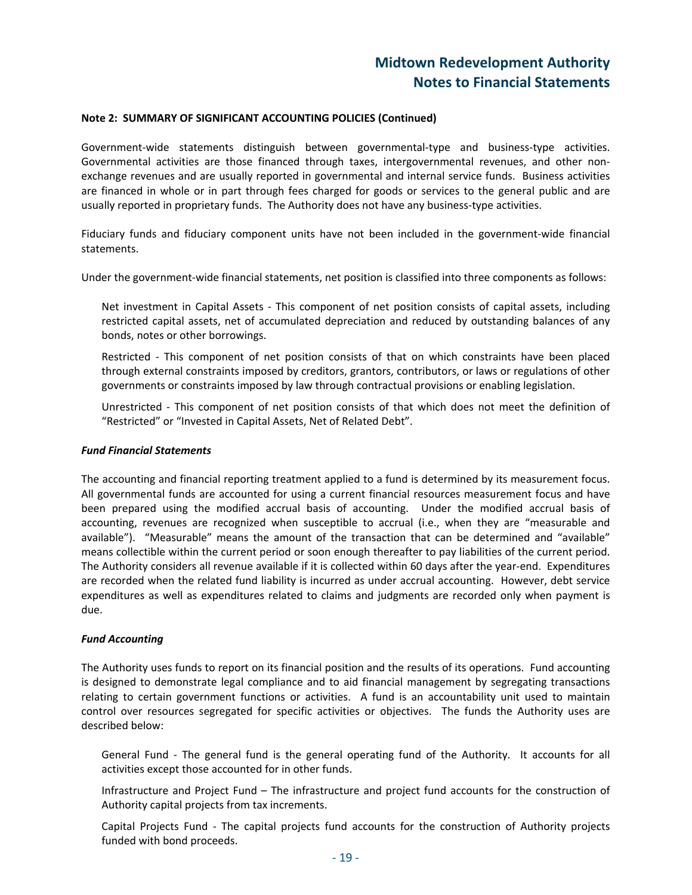### **Note 2: SUMMARY OF SIGNIFICANT ACCOUNTING POLICIES (Continued)**

Government-wide statements distinguish between governmental-type and business-type activities. Governmental activities are those financed through taxes, intergovernmental revenues, and other nonexchange revenues and are usually reported in governmental and internal service funds. Business activities are financed in whole or in part through fees charged for goods or services to the general public and are usually reported in proprietary funds. The Authority does not have any business‐type activities.

Fiduciary funds and fiduciary component units have not been included in the government‐wide financial statements.

Under the government‐wide financial statements, net position is classified into three components as follows:

Net investment in Capital Assets - This component of net position consists of capital assets, including restricted capital assets, net of accumulated depreciation and reduced by outstanding balances of any bonds, notes or other borrowings.

Restricted - This component of net position consists of that on which constraints have been placed through external constraints imposed by creditors, grantors, contributors, or laws or regulations of other governments or constraints imposed by law through contractual provisions or enabling legislation.

Unrestricted ‐ This component of net position consists of that which does not meet the definition of "Restricted" or "Invested in Capital Assets, Net of Related Debt".

#### *Fund Financial Statements*

The accounting and financial reporting treatment applied to a fund is determined by its measurement focus. All governmental funds are accounted for using a current financial resources measurement focus and have been prepared using the modified accrual basis of accounting. Under the modified accrual basis of accounting, revenues are recognized when susceptible to accrual (i.e., when they are "measurable and available"). "Measurable" means the amount of the transaction that can be determined and "available" means collectible within the current period or soon enough thereafter to pay liabilities of the current period. The Authority considers all revenue available if it is collected within 60 days after the year‐end. Expenditures are recorded when the related fund liability is incurred as under accrual accounting. However, debt service expenditures as well as expenditures related to claims and judgments are recorded only when payment is due.

### *Fund Accounting*

The Authority uses funds to report on its financial position and the results of its operations. Fund accounting is designed to demonstrate legal compliance and to aid financial management by segregating transactions relating to certain government functions or activities. A fund is an accountability unit used to maintain control over resources segregated for specific activities or objectives. The funds the Authority uses are described below:

General Fund - The general fund is the general operating fund of the Authority. It accounts for all activities except those accounted for in other funds.

Infrastructure and Project Fund – The infrastructure and project fund accounts for the construction of Authority capital projects from tax increments.

Capital Projects Fund ‐ The capital projects fund accounts for the construction of Authority projects funded with bond proceeds.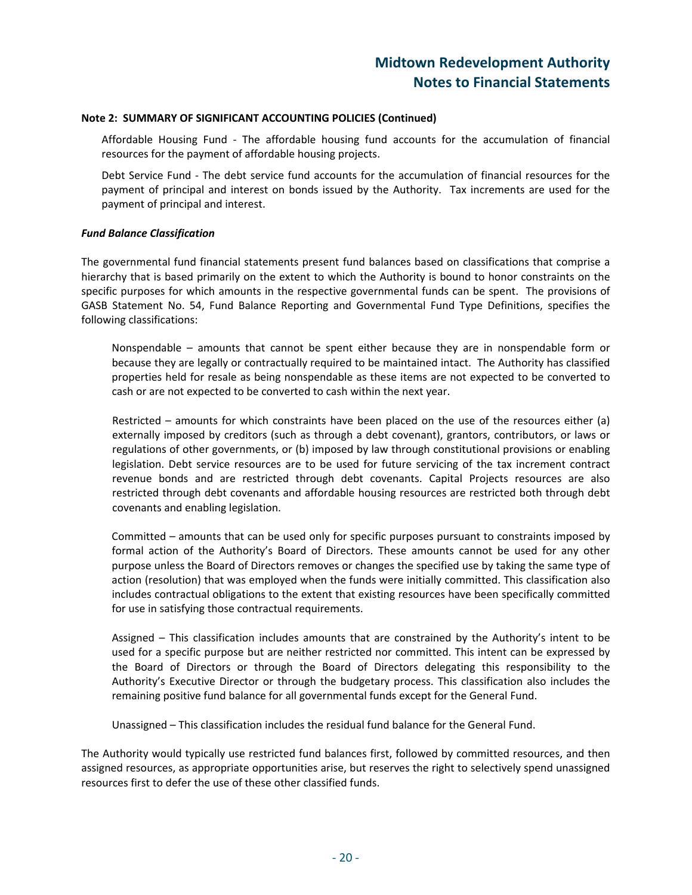### **Note 2: SUMMARY OF SIGNIFICANT ACCOUNTING POLICIES (Continued)**

Affordable Housing Fund - The affordable housing fund accounts for the accumulation of financial resources for the payment of affordable housing projects.

Debt Service Fund ‐ The debt service fund accounts for the accumulation of financial resources for the payment of principal and interest on bonds issued by the Authority. Tax increments are used for the payment of principal and interest.

### *Fund Balance Classification*

The governmental fund financial statements present fund balances based on classifications that comprise a hierarchy that is based primarily on the extent to which the Authority is bound to honor constraints on the specific purposes for which amounts in the respective governmental funds can be spent. The provisions of GASB Statement No. 54, Fund Balance Reporting and Governmental Fund Type Definitions, specifies the following classifications:

Nonspendable – amounts that cannot be spent either because they are in nonspendable form or because they are legally or contractually required to be maintained intact. The Authority has classified properties held for resale as being nonspendable as these items are not expected to be converted to cash or are not expected to be converted to cash within the next year.

Restricted – amounts for which constraints have been placed on the use of the resources either (a) externally imposed by creditors (such as through a debt covenant), grantors, contributors, or laws or regulations of other governments, or (b) imposed by law through constitutional provisions or enabling legislation. Debt service resources are to be used for future servicing of the tax increment contract revenue bonds and are restricted through debt covenants. Capital Projects resources are also restricted through debt covenants and affordable housing resources are restricted both through debt covenants and enabling legislation.

Committed – amounts that can be used only for specific purposes pursuant to constraints imposed by formal action of the Authority's Board of Directors. These amounts cannot be used for any other purpose unless the Board of Directors removes or changes the specified use by taking the same type of action (resolution) that was employed when the funds were initially committed. This classification also includes contractual obligations to the extent that existing resources have been specifically committed for use in satisfying those contractual requirements.

Assigned – This classification includes amounts that are constrained by the Authority's intent to be used for a specific purpose but are neither restricted nor committed. This intent can be expressed by the Board of Directors or through the Board of Directors delegating this responsibility to the Authority's Executive Director or through the budgetary process. This classification also includes the remaining positive fund balance for all governmental funds except for the General Fund.

Unassigned – This classification includes the residual fund balance for the General Fund.

The Authority would typically use restricted fund balances first, followed by committed resources, and then assigned resources, as appropriate opportunities arise, but reserves the right to selectively spend unassigned resources first to defer the use of these other classified funds.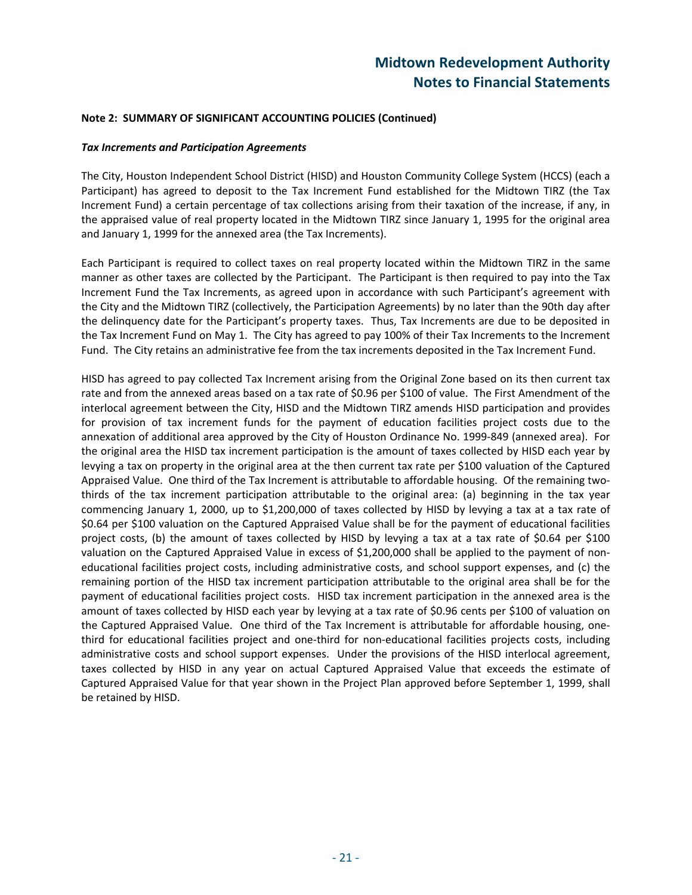### **Note 2: SUMMARY OF SIGNIFICANT ACCOUNTING POLICIES (Continued)**

### *Tax Increments and Participation Agreements*

The City, Houston Independent School District (HISD) and Houston Community College System (HCCS) (each a Participant) has agreed to deposit to the Tax Increment Fund established for the Midtown TIRZ (the Tax Increment Fund) a certain percentage of tax collections arising from their taxation of the increase, if any, in the appraised value of real property located in the Midtown TIRZ since January 1, 1995 for the original area and January 1, 1999 for the annexed area (the Tax Increments).

Each Participant is required to collect taxes on real property located within the Midtown TIRZ in the same manner as other taxes are collected by the Participant. The Participant is then required to pay into the Tax Increment Fund the Tax Increments, as agreed upon in accordance with such Participant's agreement with the City and the Midtown TIRZ (collectively, the Participation Agreements) by no later than the 90th day after the delinquency date for the Participant's property taxes. Thus, Tax Increments are due to be deposited in the Tax Increment Fund on May 1. The City has agreed to pay 100% of their Tax Increments to the Increment Fund. The City retains an administrative fee from the tax increments deposited in the Tax Increment Fund.

HISD has agreed to pay collected Tax Increment arising from the Original Zone based on its then current tax rate and from the annexed areas based on a tax rate of \$0.96 per \$100 of value. The First Amendment of the interlocal agreement between the City, HISD and the Midtown TIRZ amends HISD participation and provides for provision of tax increment funds for the payment of education facilities project costs due to the annexation of additional area approved by the City of Houston Ordinance No. 1999‐849 (annexed area). For the original area the HISD tax increment participation is the amount of taxes collected by HISD each year by levying a tax on property in the original area at the then current tax rate per \$100 valuation of the Captured Appraised Value. One third of the Tax Increment is attributable to affordable housing. Of the remaining two‐ thirds of the tax increment participation attributable to the original area: (a) beginning in the tax year commencing January 1, 2000, up to \$1,200,000 of taxes collected by HISD by levying a tax at a tax rate of \$0.64 per \$100 valuation on the Captured Appraised Value shall be for the payment of educational facilities project costs, (b) the amount of taxes collected by HISD by levying a tax at a tax rate of \$0.64 per \$100 valuation on the Captured Appraised Value in excess of \$1,200,000 shall be applied to the payment of noneducational facilities project costs, including administrative costs, and school support expenses, and (c) the remaining portion of the HISD tax increment participation attributable to the original area shall be for the payment of educational facilities project costs. HISD tax increment participation in the annexed area is the amount of taxes collected by HISD each year by levying at a tax rate of \$0.96 cents per \$100 of valuation on the Captured Appraised Value. One third of the Tax Increment is attributable for affordable housing, onethird for educational facilities project and one‐third for non‐educational facilities projects costs, including administrative costs and school support expenses. Under the provisions of the HISD interlocal agreement, taxes collected by HISD in any year on actual Captured Appraised Value that exceeds the estimate of Captured Appraised Value for that year shown in the Project Plan approved before September 1, 1999, shall be retained by HISD.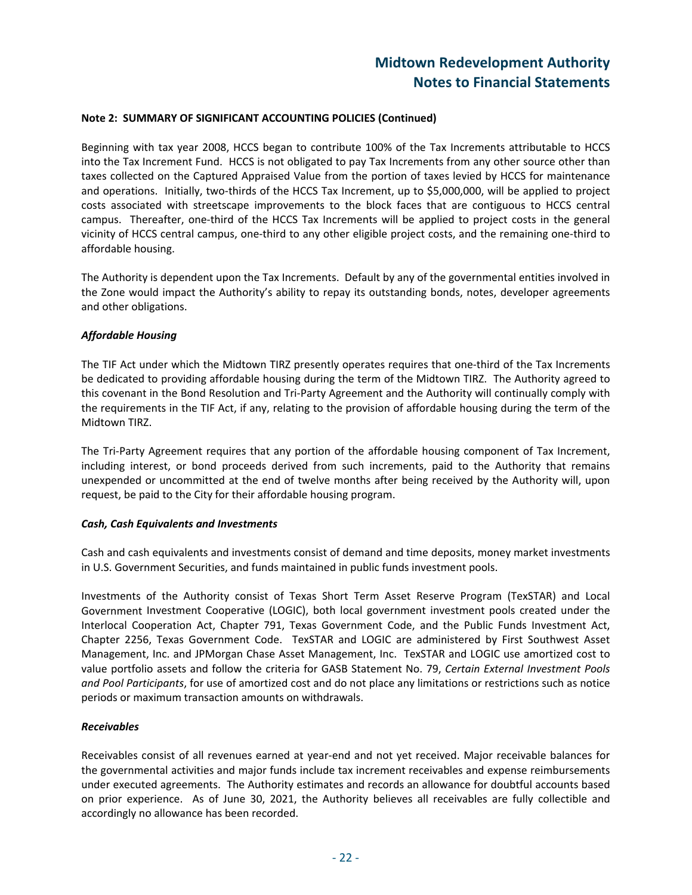### **Note 2: SUMMARY OF SIGNIFICANT ACCOUNTING POLICIES (Continued)**

Beginning with tax year 2008, HCCS began to contribute 100% of the Tax Increments attributable to HCCS into the Tax Increment Fund. HCCS is not obligated to pay Tax Increments from any other source other than taxes collected on the Captured Appraised Value from the portion of taxes levied by HCCS for maintenance and operations. Initially, two‐thirds of the HCCS Tax Increment, up to \$5,000,000, will be applied to project costs associated with streetscape improvements to the block faces that are contiguous to HCCS central campus. Thereafter, one‐third of the HCCS Tax Increments will be applied to project costs in the general vicinity of HCCS central campus, one‐third to any other eligible project costs, and the remaining one‐third to affordable housing.

The Authority is dependent upon the Tax Increments. Default by any of the governmental entities involved in the Zone would impact the Authority's ability to repay its outstanding bonds, notes, developer agreements and other obligations.

### *Affordable Housing*

The TIF Act under which the Midtown TIRZ presently operates requires that one‐third of the Tax Increments be dedicated to providing affordable housing during the term of the Midtown TIRZ. The Authority agreed to this covenant in the Bond Resolution and Tri‐Party Agreement and the Authority will continually comply with the requirements in the TIF Act, if any, relating to the provision of affordable housing during the term of the Midtown TIRZ.

The Tri-Party Agreement requires that any portion of the affordable housing component of Tax Increment, including interest, or bond proceeds derived from such increments, paid to the Authority that remains unexpended or uncommitted at the end of twelve months after being received by the Authority will, upon request, be paid to the City for their affordable housing program.

### *Cash, Cash Equivalents and Investments*

Cash and cash equivalents and investments consist of demand and time deposits, money market investments in U.S. Government Securities, and funds maintained in public funds investment pools.

Investments of the Authority consist of Texas Short Term Asset Reserve Program (TexSTAR) and Local Government Investment Cooperative (LOGIC), both local government investment pools created under the Interlocal Cooperation Act, Chapter 791, Texas Government Code, and the Public Funds Investment Act, Chapter 2256, Texas Government Code. TexSTAR and LOGIC are administered by First Southwest Asset Management, Inc. and JPMorgan Chase Asset Management, Inc. TexSTAR and LOGIC use amortized cost to value portfolio assets and follow the criteria for GASB Statement No. 79, *Certain External Investment Pools and Pool Participants*, for use of amortized cost and do not place any limitations or restrictions such as notice periods or maximum transaction amounts on withdrawals.

### *Receivables*

Receivables consist of all revenues earned at year-end and not yet received. Major receivable balances for the governmental activities and major funds include tax increment receivables and expense reimbursements under executed agreements. The Authority estimates and records an allowance for doubtful accounts based on prior experience. As of June 30, 2021, the Authority believes all receivables are fully collectible and accordingly no allowance has been recorded.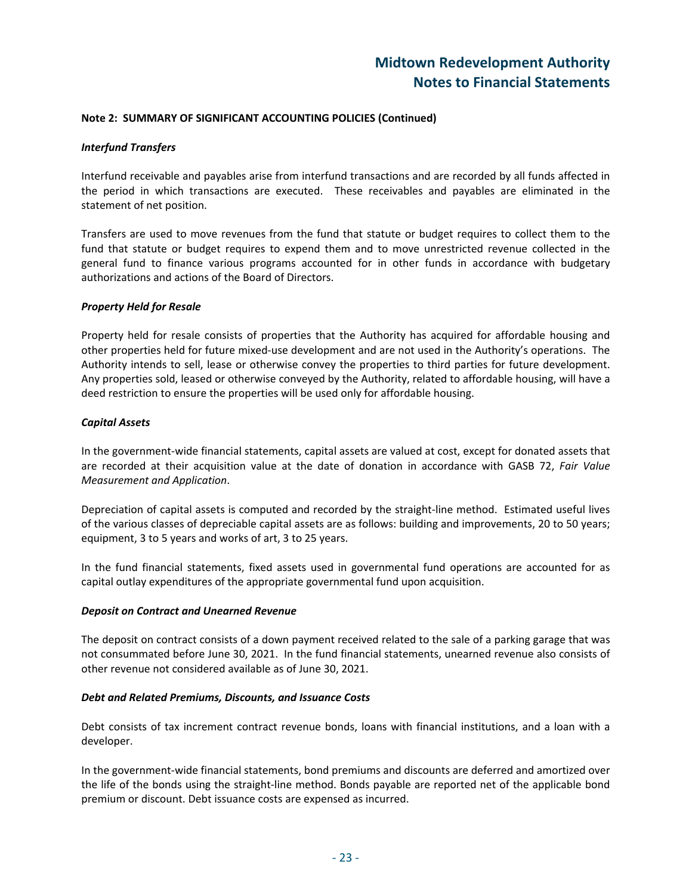### **Note 2: SUMMARY OF SIGNIFICANT ACCOUNTING POLICIES (Continued)**

### *Interfund Transfers*

Interfund receivable and payables arise from interfund transactions and are recorded by all funds affected in the period in which transactions are executed. These receivables and payables are eliminated in the statement of net position.

Transfers are used to move revenues from the fund that statute or budget requires to collect them to the fund that statute or budget requires to expend them and to move unrestricted revenue collected in the general fund to finance various programs accounted for in other funds in accordance with budgetary authorizations and actions of the Board of Directors.

### *Property Held for Resale*

Property held for resale consists of properties that the Authority has acquired for affordable housing and other properties held for future mixed‐use development and are not used in the Authority's operations. The Authority intends to sell, lease or otherwise convey the properties to third parties for future development. Any properties sold, leased or otherwise conveyed by the Authority, related to affordable housing, will have a deed restriction to ensure the properties will be used only for affordable housing.

### *Capital Assets*

In the government‐wide financial statements, capital assets are valued at cost, except for donated assets that are recorded at their acquisition value at the date of donation in accordance with GASB 72, *Fair Value Measurement and Application*.

Depreciation of capital assets is computed and recorded by the straight‐line method. Estimated useful lives of the various classes of depreciable capital assets are as follows: building and improvements, 20 to 50 years; equipment, 3 to 5 years and works of art, 3 to 25 years.

In the fund financial statements, fixed assets used in governmental fund operations are accounted for as capital outlay expenditures of the appropriate governmental fund upon acquisition.

### *Deposit on Contract and Unearned Revenue*

The deposit on contract consists of a down payment received related to the sale of a parking garage that was not consummated before June 30, 2021. In the fund financial statements, unearned revenue also consists of other revenue not considered available as of June 30, 2021.

### *Debt and Related Premiums, Discounts, and Issuance Costs*

Debt consists of tax increment contract revenue bonds, loans with financial institutions, and a loan with a developer.

In the government‐wide financial statements, bond premiums and discounts are deferred and amortized over the life of the bonds using the straight‐line method. Bonds payable are reported net of the applicable bond premium or discount. Debt issuance costs are expensed as incurred.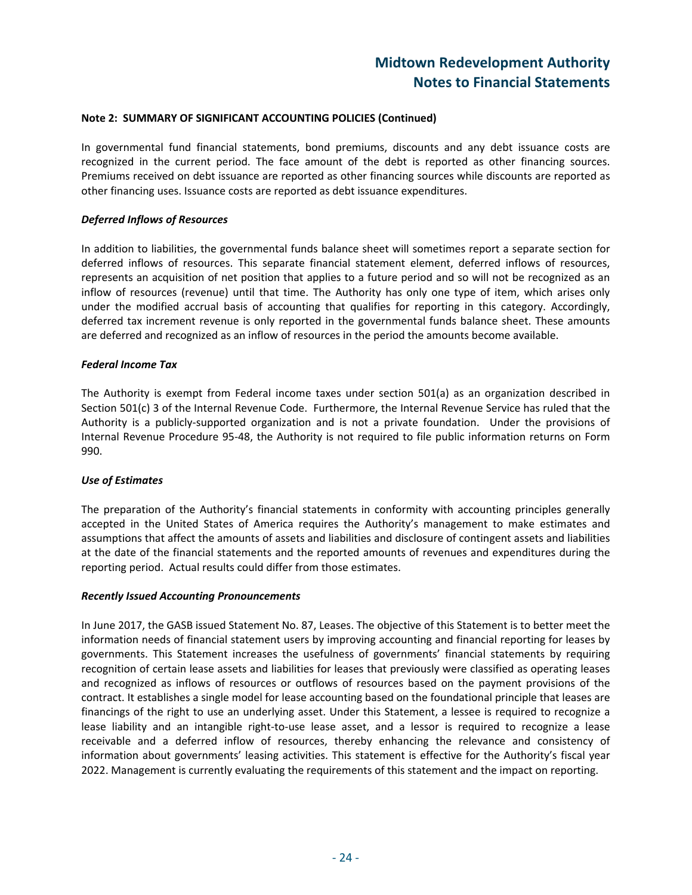### **Note 2: SUMMARY OF SIGNIFICANT ACCOUNTING POLICIES (Continued)**

In governmental fund financial statements, bond premiums, discounts and any debt issuance costs are recognized in the current period. The face amount of the debt is reported as other financing sources. Premiums received on debt issuance are reported as other financing sources while discounts are reported as other financing uses. Issuance costs are reported as debt issuance expenditures.

### *Deferred Inflows of Resources*

In addition to liabilities, the governmental funds balance sheet will sometimes report a separate section for deferred inflows of resources. This separate financial statement element, deferred inflows of resources, represents an acquisition of net position that applies to a future period and so will not be recognized as an inflow of resources (revenue) until that time. The Authority has only one type of item, which arises only under the modified accrual basis of accounting that qualifies for reporting in this category. Accordingly, deferred tax increment revenue is only reported in the governmental funds balance sheet. These amounts are deferred and recognized as an inflow of resources in the period the amounts become available.

### *Federal Income Tax*

The Authority is exempt from Federal income taxes under section 501(a) as an organization described in Section 501(c) 3 of the Internal Revenue Code. Furthermore, the Internal Revenue Service has ruled that the Authority is a publicly-supported organization and is not a private foundation. Under the provisions of Internal Revenue Procedure 95‐48, the Authority is not required to file public information returns on Form 990.

### *Use of Estimates*

The preparation of the Authority's financial statements in conformity with accounting principles generally accepted in the United States of America requires the Authority's management to make estimates and assumptions that affect the amounts of assets and liabilities and disclosure of contingent assets and liabilities at the date of the financial statements and the reported amounts of revenues and expenditures during the reporting period. Actual results could differ from those estimates.

### *Recently Issued Accounting Pronouncements*

In June 2017, the GASB issued Statement No. 87, Leases. The objective of this Statement is to better meet the information needs of financial statement users by improving accounting and financial reporting for leases by governments. This Statement increases the usefulness of governments' financial statements by requiring recognition of certain lease assets and liabilities for leases that previously were classified as operating leases and recognized as inflows of resources or outflows of resources based on the payment provisions of the contract. It establishes a single model for lease accounting based on the foundational principle that leases are financings of the right to use an underlying asset. Under this Statement, a lessee is required to recognize a lease liability and an intangible right-to-use lease asset, and a lessor is required to recognize a lease receivable and a deferred inflow of resources, thereby enhancing the relevance and consistency of information about governments' leasing activities. This statement is effective for the Authority's fiscal year 2022. Management is currently evaluating the requirements of this statement and the impact on reporting.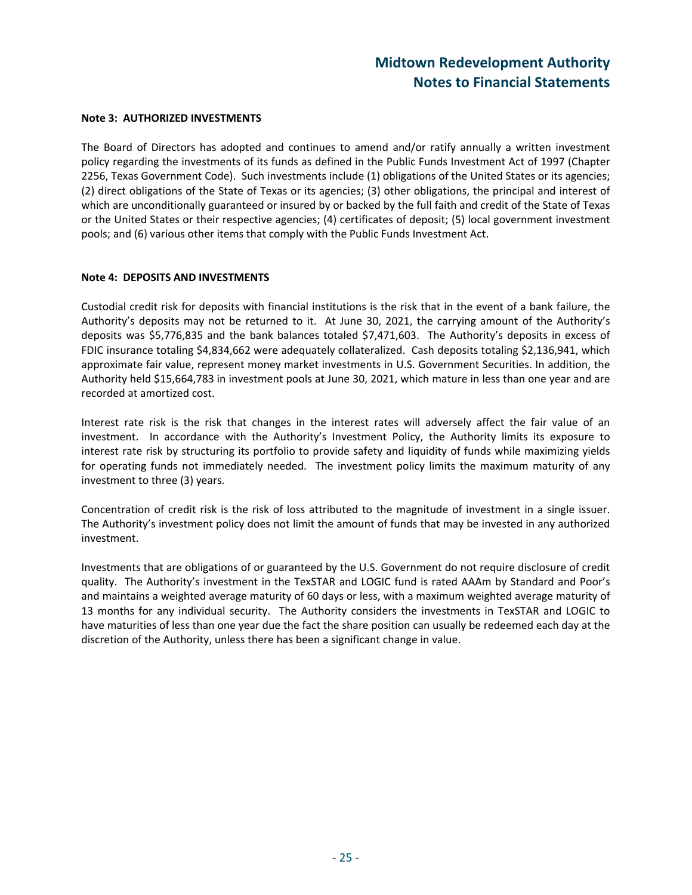#### **Note 3: AUTHORIZED INVESTMENTS**

The Board of Directors has adopted and continues to amend and/or ratify annually a written investment policy regarding the investments of its funds as defined in the Public Funds Investment Act of 1997 (Chapter 2256, Texas Government Code). Such investments include (1) obligations of the United States or its agencies; (2) direct obligations of the State of Texas or its agencies; (3) other obligations, the principal and interest of which are unconditionally guaranteed or insured by or backed by the full faith and credit of the State of Texas or the United States or their respective agencies; (4) certificates of deposit; (5) local government investment pools; and (6) various other items that comply with the Public Funds Investment Act.

#### **Note 4: DEPOSITS AND INVESTMENTS**

Custodial credit risk for deposits with financial institutions is the risk that in the event of a bank failure, the Authority's deposits may not be returned to it. At June 30, 2021, the carrying amount of the Authority's deposits was \$5,776,835 and the bank balances totaled \$7,471,603. The Authority's deposits in excess of FDIC insurance totaling \$4,834,662 were adequately collateralized. Cash deposits totaling \$2,136,941, which approximate fair value, represent money market investments in U.S. Government Securities. In addition, the Authority held \$15,664,783 in investment pools at June 30, 2021, which mature in less than one year and are recorded at amortized cost.

Interest rate risk is the risk that changes in the interest rates will adversely affect the fair value of an investment. In accordance with the Authority's Investment Policy, the Authority limits its exposure to interest rate risk by structuring its portfolio to provide safety and liquidity of funds while maximizing yields for operating funds not immediately needed. The investment policy limits the maximum maturity of any investment to three (3) years.

Concentration of credit risk is the risk of loss attributed to the magnitude of investment in a single issuer. The Authority's investment policy does not limit the amount of funds that may be invested in any authorized investment.

Investments that are obligations of or guaranteed by the U.S. Government do not require disclosure of credit quality. The Authority's investment in the TexSTAR and LOGIC fund is rated AAAm by Standard and Poor's and maintains a weighted average maturity of 60 days or less, with a maximum weighted average maturity of 13 months for any individual security. The Authority considers the investments in TexSTAR and LOGIC to have maturities of less than one year due the fact the share position can usually be redeemed each day at the discretion of the Authority, unless there has been a significant change in value.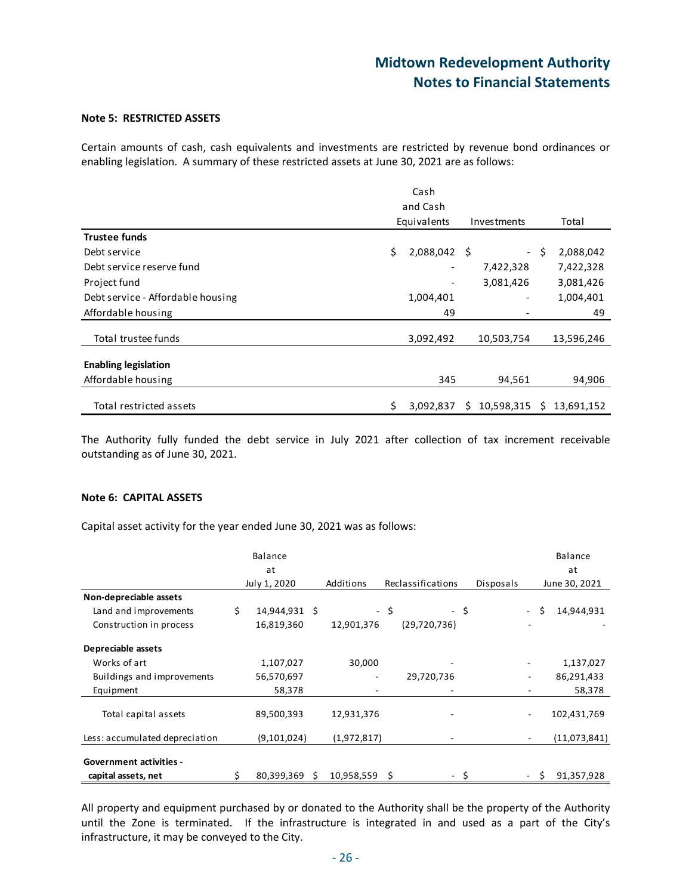### **Note 5: RESTRICTED ASSETS**

Certain amounts of cash, cash equivalents and investments are restricted by revenue bond ordinances or enabling legislation. A summary of these restricted assets at June 30, 2021 are as follows:

|                                   | Cash                     |                  |                  |
|-----------------------------------|--------------------------|------------------|------------------|
|                                   | and Cash                 |                  |                  |
|                                   | Equivalents              | Investments      | Total            |
| <b>Trustee funds</b>              |                          |                  |                  |
| Debt service                      | \$<br>2,088,042          | - \$<br>$\sim$   | \$<br>2,088,042  |
| Debt service reserve fund         | $\overline{\phantom{a}}$ | 7,422,328        | 7,422,328        |
| Project fund                      | $\overline{\phantom{a}}$ | 3,081,426        | 3,081,426        |
| Debt service - Affordable housing | 1,004,401                |                  | 1,004,401        |
| Affordable housing                | 49                       |                  | 49               |
| Total trustee funds               | 3,092,492                | 10,503,754       | 13,596,246       |
| <b>Enabling legislation</b>       |                          |                  |                  |
| Affordable housing                | 345                      | 94,561           | 94,906           |
| Total restricted assets           | \$<br>3,092,837          | 10,598,315<br>Ś. | 13,691,152<br>Ŝ. |

The Authority fully funded the debt service in July 2021 after collection of tax increment receivable outstanding as of June 30, 2021.

#### **Note 6: CAPITAL ASSETS**

Capital asset activity for the year ended June 30, 2021 was as follows:

|                                | Balance             |   |             |      |                   |      |           |                              |    | Balance       |
|--------------------------------|---------------------|---|-------------|------|-------------------|------|-----------|------------------------------|----|---------------|
|                                | at                  |   |             |      |                   |      |           |                              |    | at            |
|                                | July 1, 2020        |   | Additions   |      | Reclassifications |      | Disposals |                              |    | June 30, 2021 |
| Non-depreciable assets         |                     |   |             |      |                   |      |           |                              |    |               |
| Land and improvements          | \$<br>14,944,931 \$ |   |             | - \$ |                   | -\$  |           | $\sim$                       | Ś. | 14,944,931    |
| Construction in process        | 16,819,360          |   | 12,901,376  |      | (29, 720, 736)    |      |           |                              |    |               |
| Depreciable assets             |                     |   |             |      |                   |      |           |                              |    |               |
| Works of art                   | 1,107,027           |   | 30,000      |      |                   |      |           |                              |    | 1,137,027     |
| Buildings and improvements     | 56,570,697          |   | ۰           |      | 29,720,736        |      |           | $\qquad \qquad \blacksquare$ |    | 86,291,433    |
| Equipment                      | 58,378              |   |             |      |                   |      |           |                              |    | 58,378        |
| Total capital assets           | 89,500,393          |   | 12,931,376  |      |                   |      |           |                              |    | 102,431,769   |
| Less: accumulated depreciation | (9,101,024)         |   | (1,972,817) |      |                   |      |           |                              |    | (11,073,841)  |
| <b>Government activities -</b> |                     |   |             |      |                   |      |           |                              |    |               |
| capital assets, net            | \$<br>80,399,369    | S | 10,958,559  | Ŝ    |                   | - \$ |           | $\sim$                       | \$ | 91,357,928    |

All property and equipment purchased by or donated to the Authority shall be the property of the Authority until the Zone is terminated. If the infrastructure is integrated in and used as a part of the City's infrastructure, it may be conveyed to the City.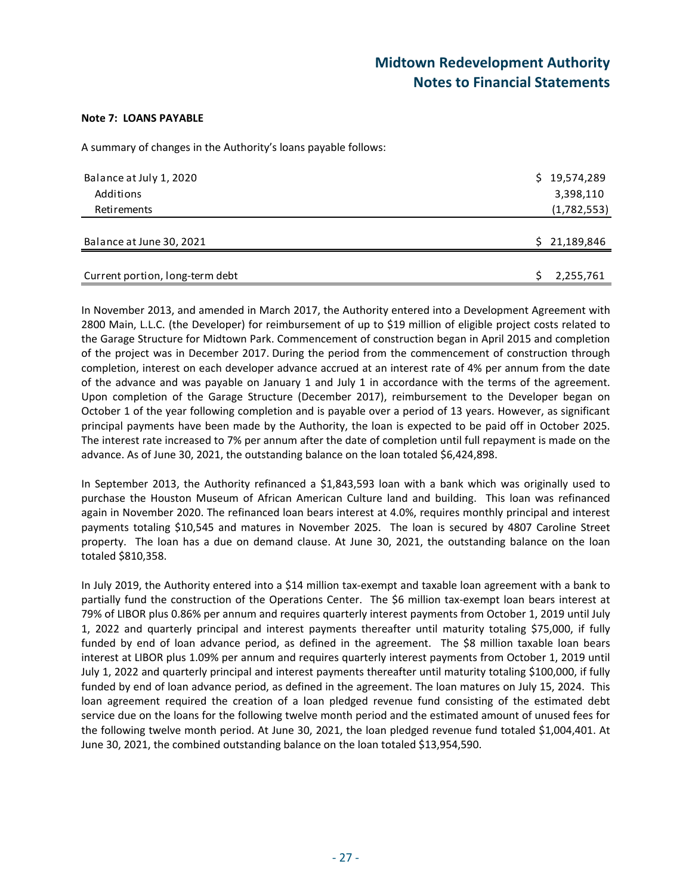### **Note 7: LOANS PAYABLE**

A summary of changes in the Authority's loans payable follows:

| Balance at July 1, 2020         | 19,574,289<br>S. |
|---------------------------------|------------------|
| Additions                       | 3,398,110        |
| Retirements                     | (1,782,553)      |
|                                 |                  |
| Balance at June 30, 2021        | 21,189,846<br>S. |
|                                 |                  |
| Current portion, long-term debt | 2,255,761        |

In November 2013, and amended in March 2017, the Authority entered into a Development Agreement with 2800 Main, L.L.C. (the Developer) for reimbursement of up to \$19 million of eligible project costs related to the Garage Structure for Midtown Park. Commencement of construction began in April 2015 and completion of the project was in December 2017. During the period from the commencement of construction through completion, interest on each developer advance accrued at an interest rate of 4% per annum from the date of the advance and was payable on January 1 and July 1 in accordance with the terms of the agreement. Upon completion of the Garage Structure (December 2017), reimbursement to the Developer began on October 1 of the year following completion and is payable over a period of 13 years. However, as significant principal payments have been made by the Authority, the loan is expected to be paid off in October 2025. The interest rate increased to 7% per annum after the date of completion until full repayment is made on the advance. As of June 30, 2021, the outstanding balance on the loan totaled \$6,424,898.

In September 2013, the Authority refinanced a \$1,843,593 loan with a bank which was originally used to purchase the Houston Museum of African American Culture land and building. This loan was refinanced again in November 2020. The refinanced loan bears interest at 4.0%, requires monthly principal and interest payments totaling \$10,545 and matures in November 2025. The loan is secured by 4807 Caroline Street property. The loan has a due on demand clause. At June 30, 2021, the outstanding balance on the loan totaled \$810,358.

In July 2019, the Authority entered into a \$14 million tax-exempt and taxable loan agreement with a bank to partially fund the construction of the Operations Center. The \$6 million tax-exempt loan bears interest at 79% of LIBOR plus 0.86% per annum and requires quarterly interest payments from October 1, 2019 until July 1, 2022 and quarterly principal and interest payments thereafter until maturity totaling \$75,000, if fully funded by end of loan advance period, as defined in the agreement. The \$8 million taxable loan bears interest at LIBOR plus 1.09% per annum and requires quarterly interest payments from October 1, 2019 until July 1, 2022 and quarterly principal and interest payments thereafter until maturity totaling \$100,000, if fully funded by end of loan advance period, as defined in the agreement. The loan matures on July 15, 2024. This loan agreement required the creation of a loan pledged revenue fund consisting of the estimated debt service due on the loans for the following twelve month period and the estimated amount of unused fees for the following twelve month period. At June 30, 2021, the loan pledged revenue fund totaled \$1,004,401. At June 30, 2021, the combined outstanding balance on the loan totaled \$13,954,590.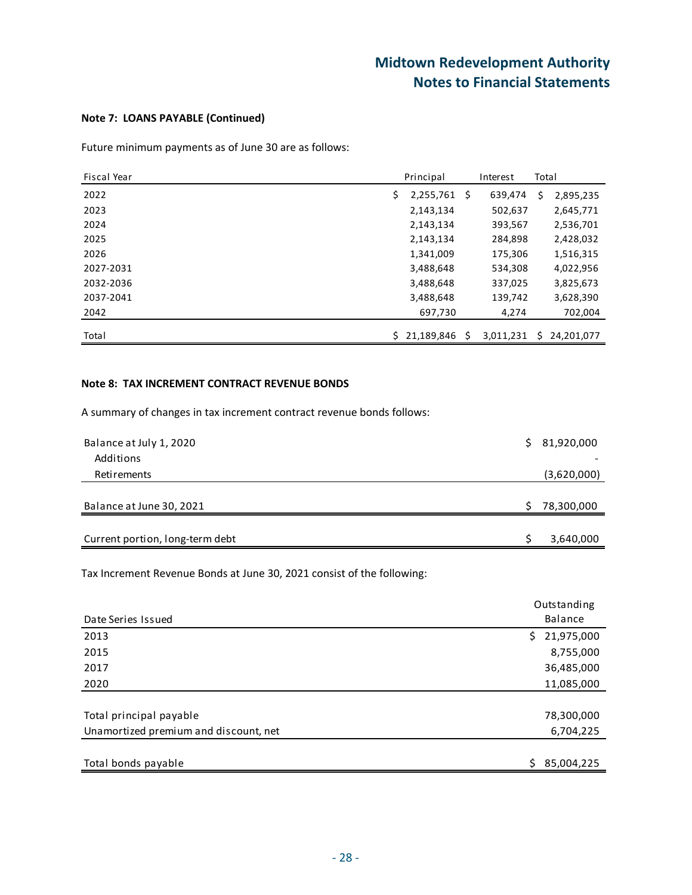### **Note 7: LOANS PAYABLE (Continued)**

Future minimum payments as of June 30 are as follows:

| Fiscal Year |     | Principal    |     | Interest  | Total |            |
|-------------|-----|--------------|-----|-----------|-------|------------|
| 2022        | \$. | 2,255,761    | -\$ | 639,474   | Ś     | 2,895,235  |
| 2023        |     | 2,143,134    |     | 502,637   |       | 2,645,771  |
| 2024        |     | 2,143,134    |     | 393,567   |       | 2,536,701  |
| 2025        |     | 2,143,134    |     | 284,898   |       | 2,428,032  |
| 2026        |     | 1,341,009    |     | 175,306   |       | 1,516,315  |
| 2027-2031   |     | 3,488,648    |     | 534,308   |       | 4,022,956  |
| 2032-2036   |     | 3,488,648    |     | 337,025   |       | 3,825,673  |
| 2037-2041   |     | 3,488,648    |     | 139,742   |       | 3,628,390  |
| 2042        |     | 697,730      |     | 4,274     |       | 702,004    |
| Total       |     | \$21.189.846 | S   | 3.011.231 | S.    | 24.201.077 |
|             |     |              |     |           |       |            |

### **Note 8: TAX INCREMENT CONTRACT REVENUE BONDS**

A summary of changes in tax increment contract revenue bonds follows:

| Balance at July 1, 2020         | Ś | 81,920,000  |
|---------------------------------|---|-------------|
| Additions                       |   |             |
| Retirements                     |   | (3,620,000) |
|                                 |   |             |
| Balance at June 30, 2021        |   | 78,300,000  |
|                                 |   |             |
| Current portion, long-term debt |   | 3,640,000   |

Tax Increment Revenue Bonds at June 30, 2021 consist of the following:

|                                       |    | Outstanding |
|---------------------------------------|----|-------------|
| Date Series Issued                    |    | Balance     |
| 2013                                  | Ś. | 21,975,000  |
| 2015                                  |    | 8,755,000   |
| 2017                                  |    | 36,485,000  |
| 2020                                  |    | 11,085,000  |
|                                       |    |             |
| Total principal payable               |    | 78,300,000  |
| Unamortized premium and discount, net |    | 6,704,225   |
|                                       |    |             |
| Total bonds payable                   | Ś. | 85,004,225  |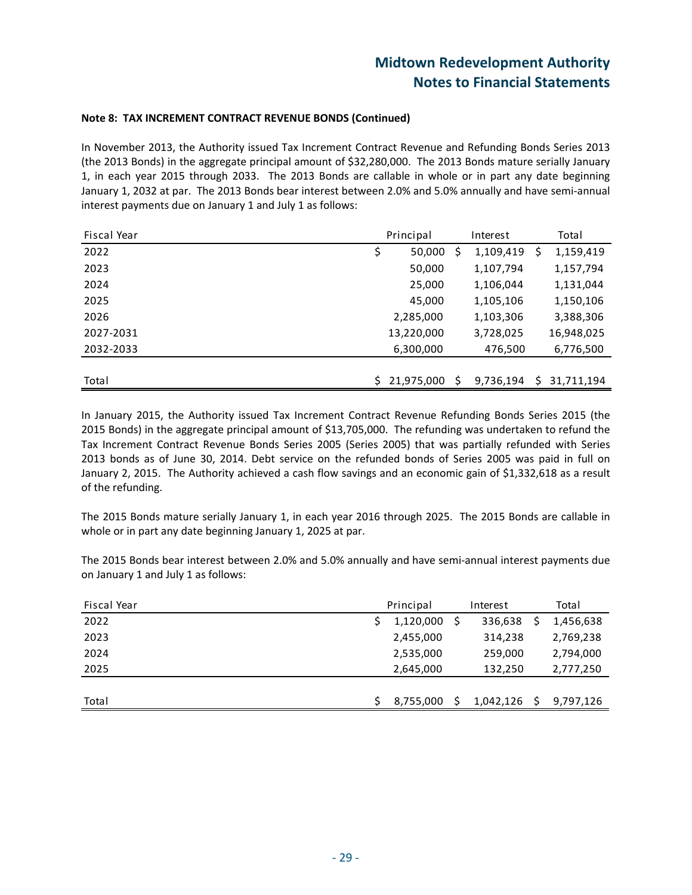### **Note 8: TAX INCREMENT CONTRACT REVENUE BONDS (Continued)**

In November 2013, the Authority issued Tax Increment Contract Revenue and Refunding Bonds Series 2013 (the 2013 Bonds) in the aggregate principal amount of \$32,280,000. The 2013 Bonds mature serially January 1, in each year 2015 through 2033. The 2013 Bonds are callable in whole or in part any date beginning January 1, 2032 at par. The 2013 Bonds bear interest between 2.0% and 5.0% annually and have semi‐annual interest payments due on January 1 and July 1 as follows:

| Fiscal Year | Principal    | Interest |           |    | Total      |  |  |
|-------------|--------------|----------|-----------|----|------------|--|--|
| 2022        | \$<br>50,000 | S        | 1,109,419 | Ş  | 1,159,419  |  |  |
| 2023        | 50,000       |          | 1,107,794 |    | 1,157,794  |  |  |
| 2024        | 25,000       |          | 1,106,044 |    | 1,131,044  |  |  |
| 2025        | 45,000       |          | 1,105,106 |    | 1,150,106  |  |  |
| 2026        | 2,285,000    |          | 1,103,306 |    | 3,388,306  |  |  |
| 2027-2031   | 13,220,000   |          | 3,728,025 |    | 16,948,025 |  |  |
| 2032-2033   | 6,300,000    |          | 476,500   |    | 6,776,500  |  |  |
|             |              |          |           |    |            |  |  |
| Total       | \$21,975,000 | Ŝ.       | 9,736,194 | Ś. | 31,711,194 |  |  |

In January 2015, the Authority issued Tax Increment Contract Revenue Refunding Bonds Series 2015 (the 2015 Bonds) in the aggregate principal amount of \$13,705,000. The refunding was undertaken to refund the Tax Increment Contract Revenue Bonds Series 2005 (Series 2005) that was partially refunded with Series 2013 bonds as of June 30, 2014. Debt service on the refunded bonds of Series 2005 was paid in full on January 2, 2015. The Authority achieved a cash flow savings and an economic gain of \$1,332,618 as a result of the refunding.

The 2015 Bonds mature serially January 1, in each year 2016 through 2025. The 2015 Bonds are callable in whole or in part any date beginning January 1, 2025 at par.

The 2015 Bonds bear interest between 2.0% and 5.0% annually and have semi‐annual interest payments due on January 1 and July 1 as follows:

| Fiscal Year | Principal |           |  | Interest  | Total |           |  |
|-------------|-----------|-----------|--|-----------|-------|-----------|--|
| 2022        |           | 1,120,000 |  | 336,638   |       | 1,456,638 |  |
| 2023        |           | 2,455,000 |  | 314,238   |       | 2,769,238 |  |
| 2024        |           | 2,535,000 |  | 259,000   |       | 2,794,000 |  |
| 2025        |           | 2,645,000 |  | 132,250   |       | 2,777,250 |  |
|             |           |           |  |           |       |           |  |
| Total       |           | 8,755,000 |  | 1,042,126 | S.    | 9,797,126 |  |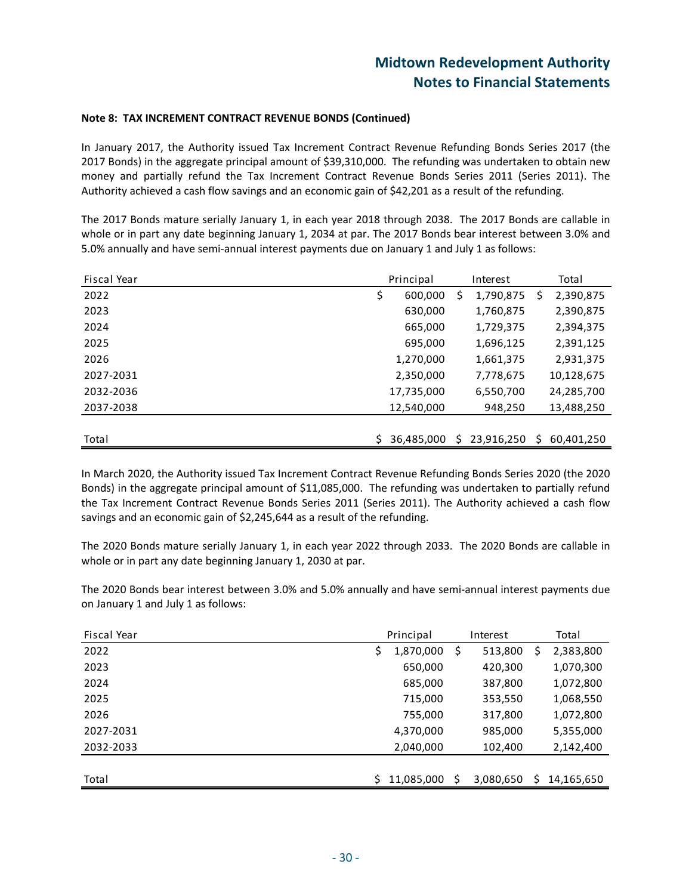### **Note 8: TAX INCREMENT CONTRACT REVENUE BONDS (Continued)**

In January 2017, the Authority issued Tax Increment Contract Revenue Refunding Bonds Series 2017 (the 2017 Bonds) in the aggregate principal amount of \$39,310,000. The refunding was undertaken to obtain new money and partially refund the Tax Increment Contract Revenue Bonds Series 2011 (Series 2011). The Authority achieved a cash flow savings and an economic gain of \$42,201 as a result of the refunding.

The 2017 Bonds mature serially January 1, in each year 2018 through 2038. The 2017 Bonds are callable in whole or in part any date beginning January 1, 2034 at par. The 2017 Bonds bear interest between 3.0% and 5.0% annually and have semi-annual interest payments due on January 1 and July 1 as follows:

| Fiscal Year | Principal<br>Interest |            |    |            |    | Total      |
|-------------|-----------------------|------------|----|------------|----|------------|
| 2022        | \$                    | 600,000    | \$ | 1,790,875  | S  | 2,390,875  |
| 2023        |                       | 630,000    |    | 1,760,875  |    | 2,390,875  |
| 2024        |                       | 665,000    |    | 1,729,375  |    | 2,394,375  |
| 2025        |                       | 695,000    |    | 1,696,125  |    | 2,391,125  |
| 2026        |                       | 1,270,000  |    | 1,661,375  |    | 2,931,375  |
| 2027-2031   |                       | 2,350,000  |    | 7,778,675  |    | 10,128,675 |
| 2032-2036   |                       | 17,735,000 |    | 6,550,700  |    | 24,285,700 |
| 2037-2038   |                       | 12,540,000 |    | 948,250    |    | 13,488,250 |
|             |                       |            |    |            |    |            |
| Total       |                       | 36,485,000 | Ś. | 23,916,250 | Ŝ. | 60,401,250 |

In March 2020, the Authority issued Tax Increment Contract Revenue Refunding Bonds Series 2020 (the 2020 Bonds) in the aggregate principal amount of \$11,085,000. The refunding was undertaken to partially refund the Tax Increment Contract Revenue Bonds Series 2011 (Series 2011). The Authority achieved a cash flow savings and an economic gain of \$2,245,644 as a result of the refunding.

The 2020 Bonds mature serially January 1, in each year 2022 through 2033. The 2020 Bonds are callable in whole or in part any date beginning January 1, 2030 at par.

The 2020 Bonds bear interest between 3.0% and 5.0% annually and have semi‐annual interest payments due on January 1 and July 1 as follows:

| Fiscal Year | Principal<br>Interest |            |   | Total     |    |            |
|-------------|-----------------------|------------|---|-----------|----|------------|
| 2022        | \$                    | 1,870,000  | Ş | 513,800   | S  | 2,383,800  |
| 2023        |                       | 650,000    |   | 420,300   |    | 1,070,300  |
| 2024        |                       | 685,000    |   | 387,800   |    | 1,072,800  |
| 2025        |                       | 715,000    |   | 353,550   |    | 1,068,550  |
| 2026        |                       | 755,000    |   | 317,800   |    | 1,072,800  |
| 2027-2031   |                       | 4,370,000  |   | 985,000   |    | 5,355,000  |
| 2032-2033   |                       | 2,040,000  |   | 102,400   |    | 2,142,400  |
|             |                       |            |   |           |    |            |
| Total       |                       | 11,085,000 | S | 3,080,650 | S. | 14,165,650 |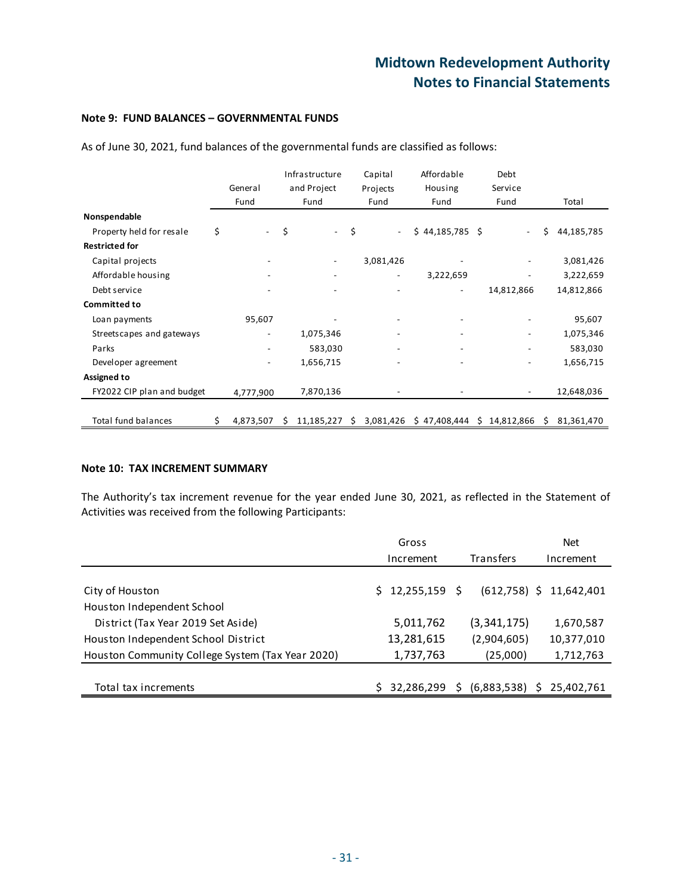### **Note 9: FUND BALANCES – GOVERNMENTAL FUNDS**

As of June 30, 2021, fund balances of the governmental funds are classified as follows:

|                            |                          |    | Infrastructure |     | Capital   | Affordable                      | Debt                     |    |            |
|----------------------------|--------------------------|----|----------------|-----|-----------|---------------------------------|--------------------------|----|------------|
|                            | General                  |    | and Project    |     | Projects  | Housing                         | Service                  |    |            |
|                            | Fund                     |    | Fund           |     | Fund      | Fund                            | Fund                     |    | Total      |
| Nonspendable               |                          |    |                |     |           |                                 |                          |    |            |
| Property held for resale   | \$<br>$\sim$             | \$ | $\sim$         | \$  | $\sim$    | $$44,185,785$ \$                | $\overline{\phantom{a}}$ | Ś. | 44,185,785 |
| <b>Restricted for</b>      |                          |    |                |     |           |                                 |                          |    |            |
| Capital projects           |                          |    |                |     | 3,081,426 |                                 | $\overline{\phantom{a}}$ |    | 3,081,426  |
| Affordable housing         |                          |    |                |     |           | 3,222,659                       |                          |    | 3,222,659  |
| Debt service               |                          |    |                |     |           | $\overline{\phantom{a}}$        | 14,812,866               |    | 14,812,866 |
| <b>Committed to</b>        |                          |    |                |     |           |                                 |                          |    |            |
| Loan payments              | 95,607                   |    |                |     |           |                                 |                          |    | 95,607     |
| Streetscapes and gateways  | $\overline{\phantom{a}}$ |    | 1,075,346      |     |           |                                 | $\overline{\phantom{a}}$ |    | 1,075,346  |
| Parks                      |                          |    | 583,030        |     |           |                                 |                          |    | 583,030    |
| Developer agreement        |                          |    | 1,656,715      |     |           |                                 |                          |    | 1,656,715  |
| Assigned to                |                          |    |                |     |           |                                 |                          |    |            |
| FY2022 CIP plan and budget | 4,777,900                |    | 7,870,136      |     |           |                                 | $\overline{\phantom{a}}$ |    | 12,648,036 |
|                            |                          |    |                |     |           |                                 |                          |    |            |
| <b>Total fund balances</b> | \$<br>4,873,507          | S  | 11,185,227     | \$. | 3,081,426 | $$47,408,444 \t$14,812,866 \t$$ |                          |    | 81,361,470 |

#### **Note 10: TAX INCREMENT SUMMARY**

The Authority's tax increment revenue for the year ended June 30, 2021, as reflected in the Statement of Activities was received from the following Participants:

|                                                  | Gross            |             | <b>Net</b>                |
|--------------------------------------------------|------------------|-------------|---------------------------|
|                                                  | Increment        | Transfers   | Increment                 |
|                                                  |                  |             |                           |
| City of Houston                                  | $$12,255,159$ \$ |             | $(612,758)$ \$ 11,642,401 |
| Houston Independent School                       |                  |             |                           |
| District (Tax Year 2019 Set Aside)               | 5,011,762        | (3,341,175) | 1,670,587                 |
| Houston Independent School District              | 13,281,615       | (2,904,605) | 10,377,010                |
| Houston Community College System (Tax Year 2020) | 1,737,763        | (25,000)    | 1,712,763                 |
|                                                  |                  |             |                           |
| Total tax increments                             | 32,286,299       | (6,883,538) | 25,402,761<br>S           |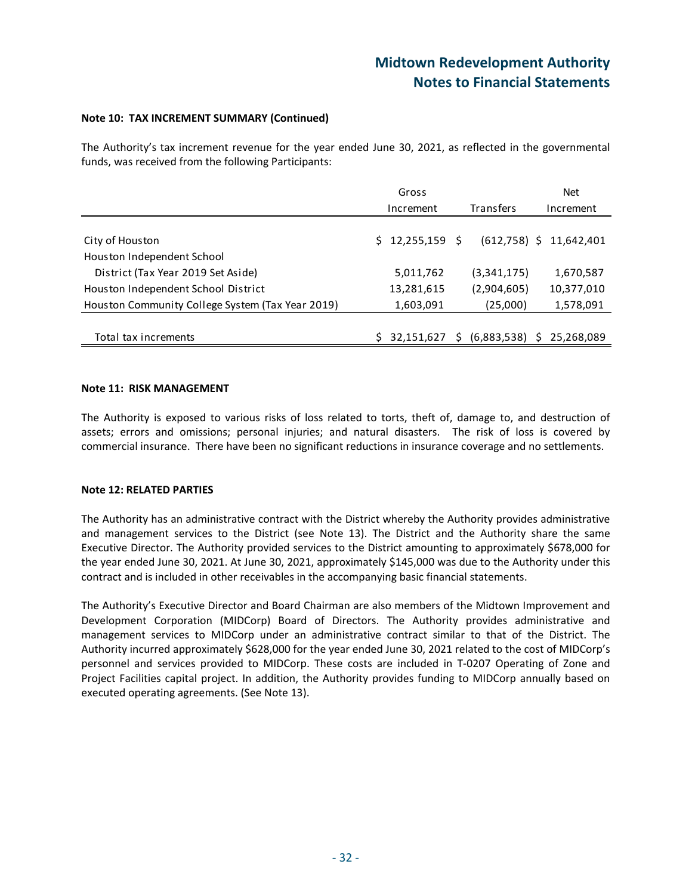### **Note 10: TAX INCREMENT SUMMARY (Continued)**

The Authority's tax increment revenue for the year ended June 30, 2021, as reflected in the governmental funds, was received from the following Participants:

|                                                  | Gross            |                   | <b>Net</b>                |
|--------------------------------------------------|------------------|-------------------|---------------------------|
|                                                  | Increment        | <b>Transfers</b>  | Increment                 |
|                                                  |                  |                   |                           |
| City of Houston                                  | $$12,255,159$ \$ |                   | $(612,758)$ \$ 11,642,401 |
| Houston Independent School                       |                  |                   |                           |
| District (Tax Year 2019 Set Aside)               | 5,011,762        | (3,341,175)       | 1,670,587                 |
| Houston Independent School District              | 13,281,615       | (2,904,605)       | 10,377,010                |
| Houston Community College System (Tax Year 2019) | 1,603,091        | (25,000)          | 1,578,091                 |
|                                                  |                  |                   |                           |
| Total tax increments                             | 32.151.627       | (6,883,538)<br>S. | 25.268.089<br>S.          |

### **Note 11: RISK MANAGEMENT**

The Authority is exposed to various risks of loss related to torts, theft of, damage to, and destruction of assets; errors and omissions; personal injuries; and natural disasters. The risk of loss is covered by commercial insurance. There have been no significant reductions in insurance coverage and no settlements.

### **Note 12: RELATED PARTIES**

The Authority has an administrative contract with the District whereby the Authority provides administrative and management services to the District (see Note 13). The District and the Authority share the same Executive Director. The Authority provided services to the District amounting to approximately \$678,000 for the year ended June 30, 2021. At June 30, 2021, approximately \$145,000 was due to the Authority under this contract and is included in other receivables in the accompanying basic financial statements.

The Authority's Executive Director and Board Chairman are also members of the Midtown Improvement and Development Corporation (MIDCorp) Board of Directors. The Authority provides administrative and management services to MIDCorp under an administrative contract similar to that of the District. The Authority incurred approximately \$628,000 for the year ended June 30, 2021 related to the cost of MIDCorp's personnel and services provided to MIDCorp. These costs are included in T‐0207 Operating of Zone and Project Facilities capital project. In addition, the Authority provides funding to MIDCorp annually based on executed operating agreements. (See Note 13).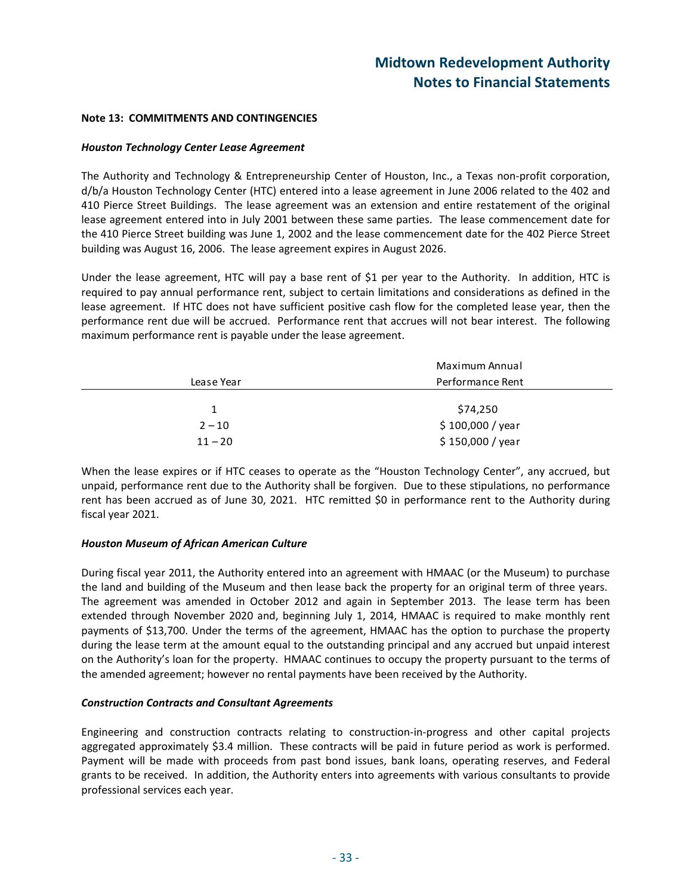### **Note 13: COMMITMENTS AND CONTINGENCIES**

### *Houston Technology Center Lease Agreement*

The Authority and Technology & Entrepreneurship Center of Houston, Inc., a Texas non‐profit corporation, d/b/a Houston Technology Center (HTC) entered into a lease agreement in June 2006 related to the 402 and 410 Pierce Street Buildings. The lease agreement was an extension and entire restatement of the original lease agreement entered into in July 2001 between these same parties. The lease commencement date for the 410 Pierce Street building was June 1, 2002 and the lease commencement date for the 402 Pierce Street building was August 16, 2006. The lease agreement expires in August 2026.

Under the lease agreement, HTC will pay a base rent of \$1 per year to the Authority. In addition, HTC is required to pay annual performance rent, subject to certain limitations and considerations as defined in the lease agreement. If HTC does not have sufficient positive cash flow for the completed lease year, then the performance rent due will be accrued. Performance rent that accrues will not bear interest. The following maximum performance rent is payable under the lease agreement.

| Lease Year | Maximum Annual<br>Performance Rent |
|------------|------------------------------------|
| 1          | \$74,250                           |
| $2 - 10$   | \$100,000 / year                   |
| $11 - 20$  | \$150,000 / year                   |

When the lease expires or if HTC ceases to operate as the "Houston Technology Center", any accrued, but unpaid, performance rent due to the Authority shall be forgiven. Due to these stipulations, no performance rent has been accrued as of June 30, 2021. HTC remitted \$0 in performance rent to the Authority during fiscal year 2021.

### *Houston Museum of African American Culture*

During fiscal year 2011, the Authority entered into an agreement with HMAAC (or the Museum) to purchase the land and building of the Museum and then lease back the property for an original term of three years. The agreement was amended in October 2012 and again in September 2013. The lease term has been extended through November 2020 and, beginning July 1, 2014, HMAAC is required to make monthly rent payments of \$13,700. Under the terms of the agreement, HMAAC has the option to purchase the property during the lease term at the amount equal to the outstanding principal and any accrued but unpaid interest on the Authority's loan for the property. HMAAC continues to occupy the property pursuant to the terms of the amended agreement; however no rental payments have been received by the Authority.

### *Construction Contracts and Consultant Agreements*

Engineering and construction contracts relating to construction‐in‐progress and other capital projects aggregated approximately \$3.4 million. These contracts will be paid in future period as work is performed. Payment will be made with proceeds from past bond issues, bank loans, operating reserves, and Federal grants to be received. In addition, the Authority enters into agreements with various consultants to provide professional services each year.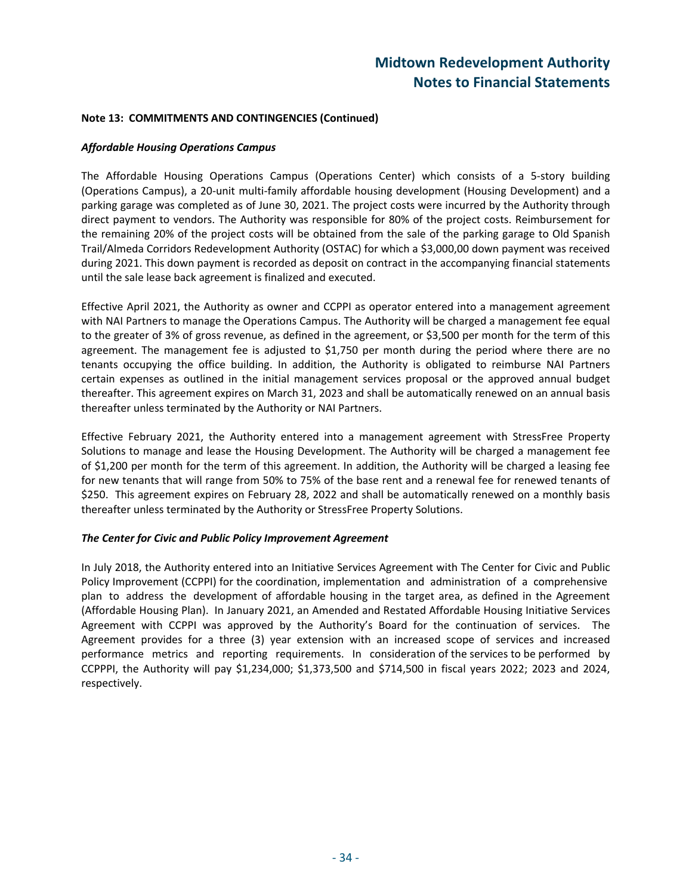### **Note 13: COMMITMENTS AND CONTINGENCIES (Continued)**

### *Affordable Housing Operations Campus*

The Affordable Housing Operations Campus (Operations Center) which consists of a 5‐story building (Operations Campus), a 20‐unit multi‐family affordable housing development (Housing Development) and a parking garage was completed as of June 30, 2021. The project costs were incurred by the Authority through direct payment to vendors. The Authority was responsible for 80% of the project costs. Reimbursement for the remaining 20% of the project costs will be obtained from the sale of the parking garage to Old Spanish Trail/Almeda Corridors Redevelopment Authority (OSTAC) for which a \$3,000,00 down payment was received during 2021. This down payment is recorded as deposit on contract in the accompanying financial statements until the sale lease back agreement is finalized and executed.

Effective April 2021, the Authority as owner and CCPPI as operator entered into a management agreement with NAI Partners to manage the Operations Campus. The Authority will be charged a management fee equal to the greater of 3% of gross revenue, as defined in the agreement, or \$3,500 per month for the term of this agreement. The management fee is adjusted to \$1,750 per month during the period where there are no tenants occupying the office building. In addition, the Authority is obligated to reimburse NAI Partners certain expenses as outlined in the initial management services proposal or the approved annual budget thereafter. This agreement expires on March 31, 2023 and shall be automatically renewed on an annual basis thereafter unless terminated by the Authority or NAI Partners.

Effective February 2021, the Authority entered into a management agreement with StressFree Property Solutions to manage and lease the Housing Development. The Authority will be charged a management fee of \$1,200 per month for the term of this agreement. In addition, the Authority will be charged a leasing fee for new tenants that will range from 50% to 75% of the base rent and a renewal fee for renewed tenants of \$250. This agreement expires on February 28, 2022 and shall be automatically renewed on a monthly basis thereafter unless terminated by the Authority or StressFree Property Solutions.

### *The Center for Civic and Public Policy Improvement Agreement*

In July 2018, the Authority entered into an Initiative Services Agreement with The Center for Civic and Public Policy Improvement (CCPPI) for the coordination, implementation and administration of a comprehensive plan to address the development of affordable housing in the target area, as defined in the Agreement (Affordable Housing Plan). In January 2021, an Amended and Restated Affordable Housing Initiative Services Agreement with CCPPI was approved by the Authority's Board for the continuation of services. The Agreement provides for a three (3) year extension with an increased scope of services and increased performance metrics and reporting requirements. In consideration of the services to be performed by CCPPPI, the Authority will pay \$1,234,000; \$1,373,500 and \$714,500 in fiscal years 2022; 2023 and 2024, respectively.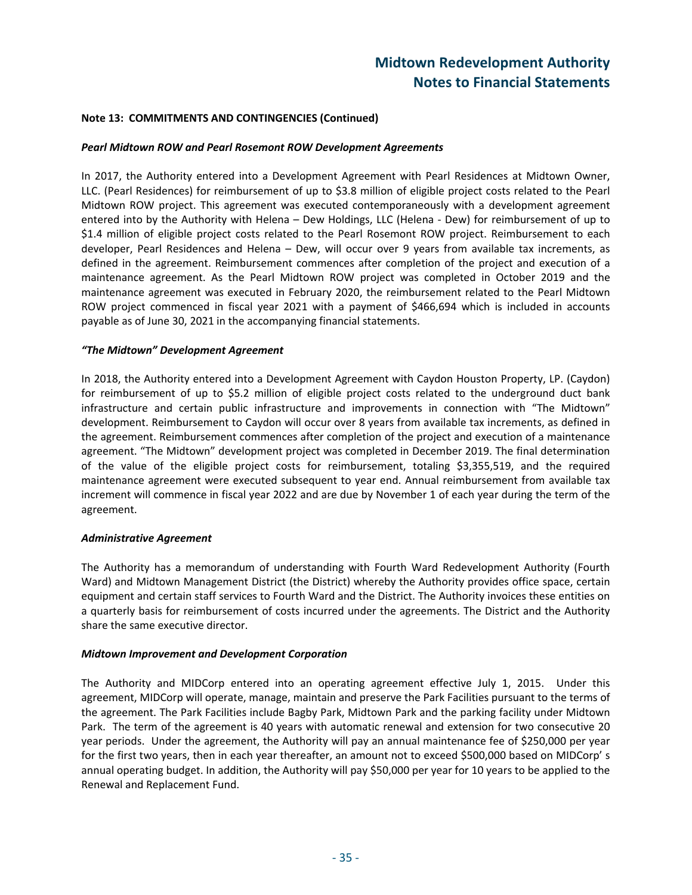### **Note 13: COMMITMENTS AND CONTINGENCIES (Continued)**

### *Pearl Midtown ROW and Pearl Rosemont ROW Development Agreements*

In 2017, the Authority entered into a Development Agreement with Pearl Residences at Midtown Owner, LLC. (Pearl Residences) for reimbursement of up to \$3.8 million of eligible project costs related to the Pearl Midtown ROW project. This agreement was executed contemporaneously with a development agreement entered into by the Authority with Helena – Dew Holdings, LLC (Helena ‐ Dew) for reimbursement of up to \$1.4 million of eligible project costs related to the Pearl Rosemont ROW project. Reimbursement to each developer, Pearl Residences and Helena – Dew, will occur over 9 years from available tax increments, as defined in the agreement. Reimbursement commences after completion of the project and execution of a maintenance agreement. As the Pearl Midtown ROW project was completed in October 2019 and the maintenance agreement was executed in February 2020, the reimbursement related to the Pearl Midtown ROW project commenced in fiscal year 2021 with a payment of \$466,694 which is included in accounts payable as of June 30, 2021 in the accompanying financial statements.

#### *"The Midtown" Development Agreement*

In 2018, the Authority entered into a Development Agreement with Caydon Houston Property, LP. (Caydon) for reimbursement of up to \$5.2 million of eligible project costs related to the underground duct bank infrastructure and certain public infrastructure and improvements in connection with "The Midtown" development. Reimbursement to Caydon will occur over 8 years from available tax increments, as defined in the agreement. Reimbursement commences after completion of the project and execution of a maintenance agreement. "The Midtown" development project was completed in December 2019. The final determination of the value of the eligible project costs for reimbursement, totaling \$3,355,519, and the required maintenance agreement were executed subsequent to year end. Annual reimbursement from available tax increment will commence in fiscal year 2022 and are due by November 1 of each year during the term of the agreement.

### *Administrative Agreement*

The Authority has a memorandum of understanding with Fourth Ward Redevelopment Authority (Fourth Ward) and Midtown Management District (the District) whereby the Authority provides office space, certain equipment and certain staff services to Fourth Ward and the District. The Authority invoices these entities on a quarterly basis for reimbursement of costs incurred under the agreements. The District and the Authority share the same executive director.

#### *Midtown Improvement and Development Corporation*

The Authority and MIDCorp entered into an operating agreement effective July 1, 2015. Under this agreement, MIDCorp will operate, manage, maintain and preserve the Park Facilities pursuant to the terms of the agreement. The Park Facilities include Bagby Park, Midtown Park and the parking facility under Midtown Park. The term of the agreement is 40 years with automatic renewal and extension for two consecutive 20 year periods. Under the agreement, the Authority will pay an annual maintenance fee of \$250,000 per year for the first two years, then in each year thereafter, an amount not to exceed \$500,000 based on MIDCorp' s annual operating budget. In addition, the Authority will pay \$50,000 per year for 10 years to be applied to the Renewal and Replacement Fund.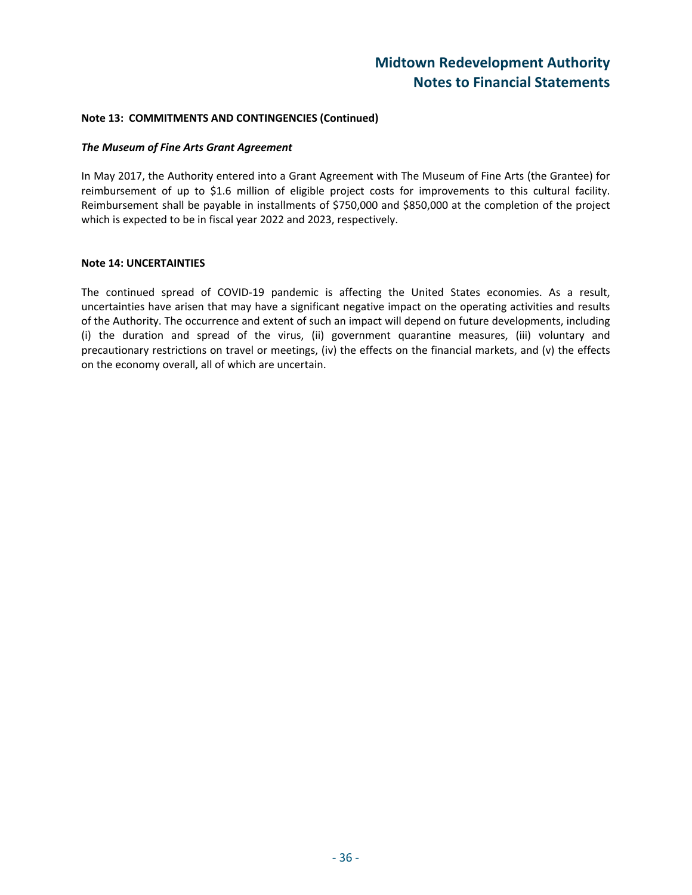### **Note 13: COMMITMENTS AND CONTINGENCIES (Continued)**

### *The Museum of Fine Arts Grant Agreement*

In May 2017, the Authority entered into a Grant Agreement with The Museum of Fine Arts (the Grantee) for reimbursement of up to \$1.6 million of eligible project costs for improvements to this cultural facility. Reimbursement shall be payable in installments of \$750,000 and \$850,000 at the completion of the project which is expected to be in fiscal year 2022 and 2023, respectively.

### **Note 14: UNCERTAINTIES**

The continued spread of COVID‐19 pandemic is affecting the United States economies. As a result, uncertainties have arisen that may have a significant negative impact on the operating activities and results of the Authority. The occurrence and extent of such an impact will depend on future developments, including (i) the duration and spread of the virus, (ii) government quarantine measures, (iii) voluntary and precautionary restrictions on travel or meetings, (iv) the effects on the financial markets, and (v) the effects on the economy overall, all of which are uncertain.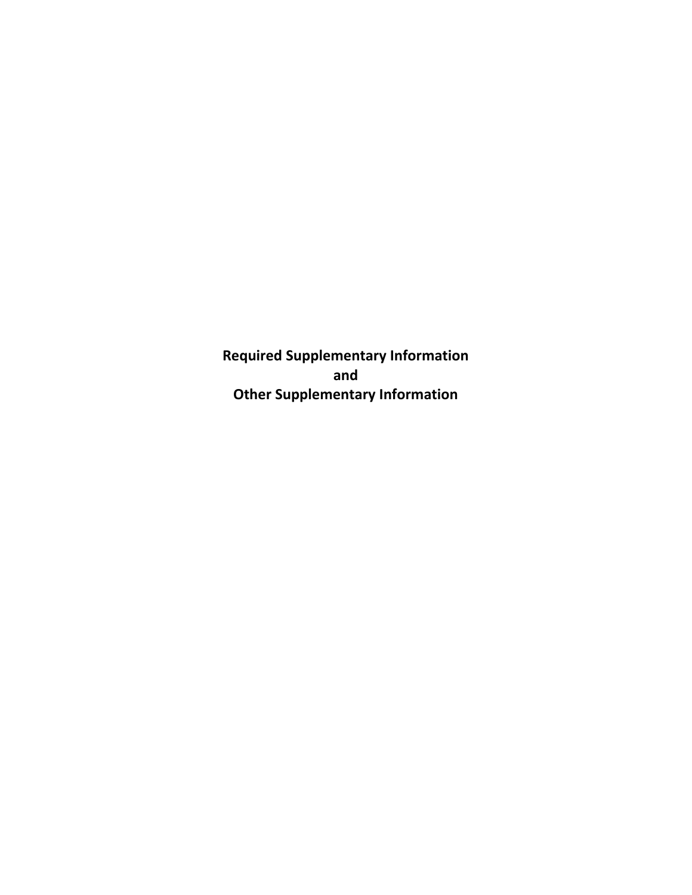**Required Supplementary Information and Other Supplementary Information**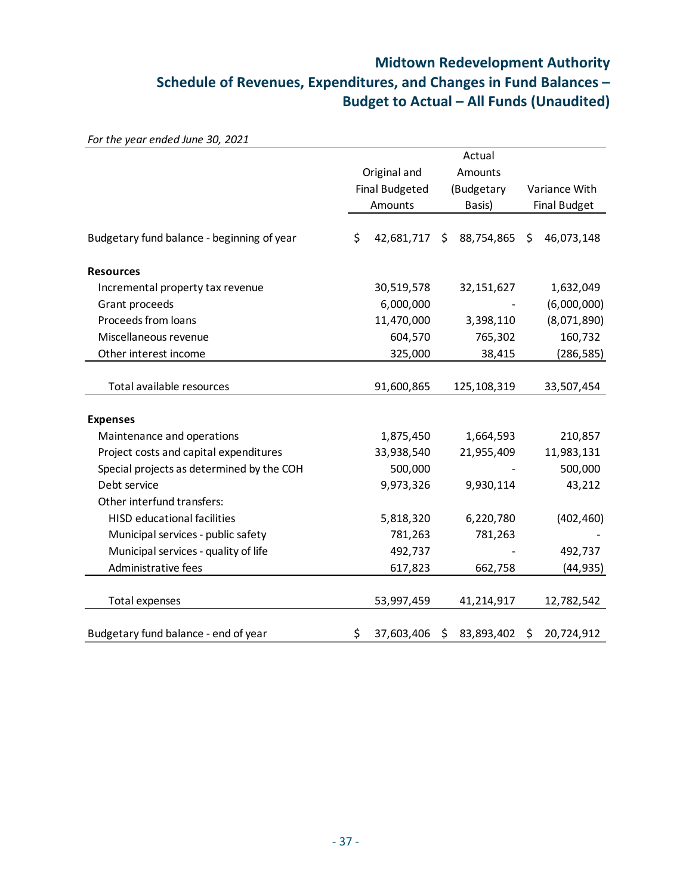## **Midtown Redevelopment Authority Schedule of Revenues, Expenditures, and Changes in Fund Balances – Budget to Actual – All Funds (Unaudited)**

|                                            |                         |                       |    | Actual      |               |                     |
|--------------------------------------------|-------------------------|-----------------------|----|-------------|---------------|---------------------|
|                                            | Original and<br>Amounts |                       |    |             |               |                     |
|                                            |                         | <b>Final Budgeted</b> |    | (Budgetary  | Variance With |                     |
|                                            |                         | Amounts               |    | Basis)      |               | <b>Final Budget</b> |
|                                            |                         |                       |    |             |               |                     |
| Budgetary fund balance - beginning of year | \$                      | 42,681,717            | \$ | 88,754,865  | \$            | 46,073,148          |
| <b>Resources</b>                           |                         |                       |    |             |               |                     |
| Incremental property tax revenue           |                         | 30,519,578            |    | 32,151,627  |               | 1,632,049           |
| Grant proceeds                             |                         | 6,000,000             |    |             |               | (6,000,000)         |
| Proceeds from loans                        |                         | 11,470,000            |    | 3,398,110   |               | (8,071,890)         |
| Miscellaneous revenue                      |                         | 604,570               |    | 765,302     |               | 160,732             |
| Other interest income                      |                         | 325,000               |    | 38,415      |               | (286, 585)          |
|                                            |                         |                       |    |             |               |                     |
| Total available resources                  |                         | 91,600,865            |    | 125,108,319 |               | 33,507,454          |
|                                            |                         |                       |    |             |               |                     |
| <b>Expenses</b>                            |                         |                       |    |             |               |                     |
| Maintenance and operations                 |                         | 1,875,450             |    | 1,664,593   |               | 210,857             |
| Project costs and capital expenditures     |                         | 33,938,540            |    | 21,955,409  |               | 11,983,131          |
| Special projects as determined by the COH  |                         | 500,000               |    |             |               | 500,000             |
| Debt service                               |                         | 9,973,326             |    | 9,930,114   |               | 43,212              |
| Other interfund transfers:                 |                         |                       |    |             |               |                     |
| <b>HISD educational facilities</b>         |                         | 5,818,320             |    | 6,220,780   |               | (402, 460)          |
| Municipal services - public safety         |                         | 781,263               |    | 781,263     |               |                     |
| Municipal services - quality of life       |                         | 492,737               |    |             |               | 492,737             |
| Administrative fees                        |                         | 617,823               |    | 662,758     |               | (44, 935)           |
|                                            |                         |                       |    |             |               |                     |
| <b>Total expenses</b>                      |                         | 53,997,459            |    | 41,214,917  |               | 12,782,542          |
| Budgetary fund balance - end of year       | \$                      | 37,603,406            | \$ | 83,893,402  | \$            | 20,724,912          |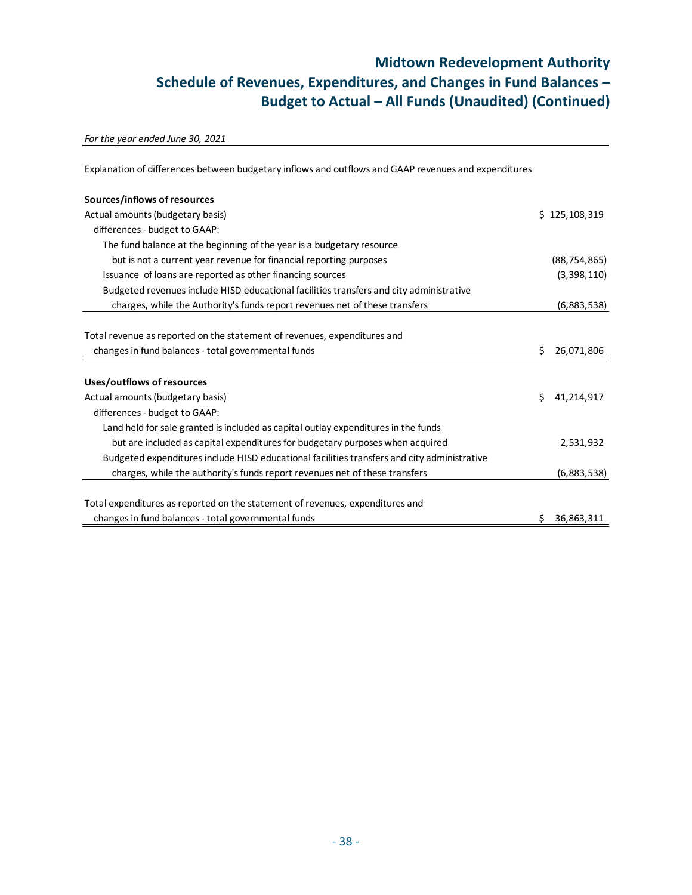## **Midtown Redevelopment Authority Schedule of Revenues, Expenditures, and Changes in Fund Balances – Budget to Actual – All Funds (Unaudited) (Continued)**

### *For the year ended June 30, 2021*

Explanation of differences between budgetary inflows and outflows and GAAP revenues and expenditures

| Sources/inflows of resources                                                                |    |                |
|---------------------------------------------------------------------------------------------|----|----------------|
| Actual amounts (budgetary basis)                                                            |    | \$125,108,319  |
| differences - budget to GAAP:                                                               |    |                |
| The fund balance at the beginning of the year is a budgetary resource                       |    |                |
| but is not a current year revenue for financial reporting purposes                          |    | (88, 754, 865) |
| Issuance of loans are reported as other financing sources                                   |    | (3,398,110)    |
| Budgeted revenues include HISD educational facilities transfers and city administrative     |    |                |
| charges, while the Authority's funds report revenues net of these transfers                 |    | (6,883,538)    |
|                                                                                             |    |                |
| Total revenue as reported on the statement of revenues, expenditures and                    |    |                |
| changes in fund balances - total governmental funds                                         | Ś. | 26,071,806     |
|                                                                                             |    |                |
| Uses/outflows of resources                                                                  |    |                |
| Actual amounts (budgetary basis)                                                            | Ś. | 41,214,917     |
| differences - budget to GAAP:                                                               |    |                |
| Land held for sale granted is included as capital outlay expenditures in the funds          |    |                |
| but are included as capital expenditures for budgetary purposes when acquired               |    | 2,531,932      |
| Budgeted expenditures include HISD educational facilities transfers and city administrative |    |                |
| charges, while the authority's funds report revenues net of these transfers                 |    | (6,883,538)    |
|                                                                                             |    |                |
| Total expenditures as reported on the statement of revenues, expenditures and               |    |                |
| changes in fund balances - total governmental funds                                         | S. | 36,863,311     |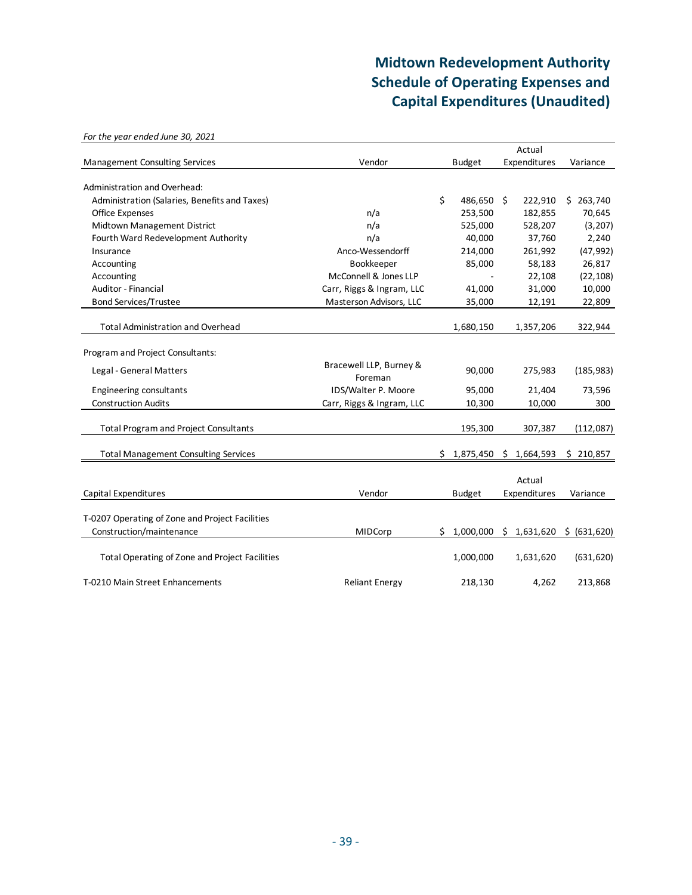## **Midtown Redevelopment Authority Schedule of Operating Expenses and Capital Expenditures (Unaudited)**

|                                                       |                           |    |               | Actual          |               |
|-------------------------------------------------------|---------------------------|----|---------------|-----------------|---------------|
| <b>Management Consulting Services</b>                 | Vendor                    |    | <b>Budget</b> | Expenditures    | Variance      |
|                                                       |                           |    |               |                 |               |
| Administration and Overhead:                          |                           |    |               |                 |               |
| Administration (Salaries, Benefits and Taxes)         |                           | \$ | 486,650 \$    | 222,910         | \$263,740     |
| <b>Office Expenses</b>                                | n/a                       |    | 253,500       | 182,855         | 70,645        |
| <b>Midtown Management District</b>                    | n/a                       |    | 525,000       | 528,207         | (3, 207)      |
| Fourth Ward Redevelopment Authority                   | n/a                       |    | 40,000        | 37,760          | 2,240         |
| Insurance                                             | Anco-Wessendorff          |    | 214,000       | 261,992         | (47, 992)     |
| Accounting                                            | Bookkeeper                |    | 85,000        | 58,183          | 26,817        |
| Accounting                                            | McConnell & Jones LLP     |    |               | 22,108          | (22, 108)     |
| Auditor - Financial                                   | Carr, Riggs & Ingram, LLC |    | 41,000        | 31,000          | 10,000        |
| <b>Bond Services/Trustee</b>                          | Masterson Advisors, LLC   |    | 35,000        | 12,191          | 22,809        |
|                                                       |                           |    |               |                 |               |
| <b>Total Administration and Overhead</b>              |                           |    | 1,680,150     | 1,357,206       | 322,944       |
|                                                       |                           |    |               |                 |               |
| Program and Project Consultants:                      |                           |    |               |                 |               |
| Legal - General Matters                               | Bracewell LLP, Burney &   |    | 90,000        | 275,983         | (185, 983)    |
|                                                       | Foreman                   |    |               |                 |               |
| <b>Engineering consultants</b>                        | IDS/Walter P. Moore       |    | 95,000        | 21,404          | 73,596        |
| <b>Construction Audits</b>                            | Carr, Riggs & Ingram, LLC |    | 10,300        | 10,000          | 300           |
|                                                       |                           |    |               |                 |               |
| <b>Total Program and Project Consultants</b>          |                           |    | 195,300       | 307,387         | (112,087)     |
|                                                       |                           |    |               |                 |               |
| <b>Total Management Consulting Services</b>           |                           | Ś. | 1,875,450     | \$<br>1,664,593 | \$210,857     |
|                                                       |                           |    |               |                 |               |
|                                                       |                           |    |               | Actual          |               |
| Capital Expenditures                                  | Vendor                    |    | <b>Budget</b> | Expenditures    | Variance      |
|                                                       |                           |    |               |                 |               |
| T-0207 Operating of Zone and Project Facilities       |                           |    |               |                 |               |
| Construction/maintenance                              | MIDCorp                   | \$ | 1,000,000     | \$1,631,620     | \$ (631, 620) |
|                                                       |                           |    |               |                 |               |
| <b>Total Operating of Zone and Project Facilities</b> |                           |    | 1,000,000     | 1,631,620       | (631, 620)    |
|                                                       |                           |    |               |                 |               |
| T-0210 Main Street Enhancements                       | <b>Reliant Energy</b>     |    | 218,130       | 4,262           | 213,868       |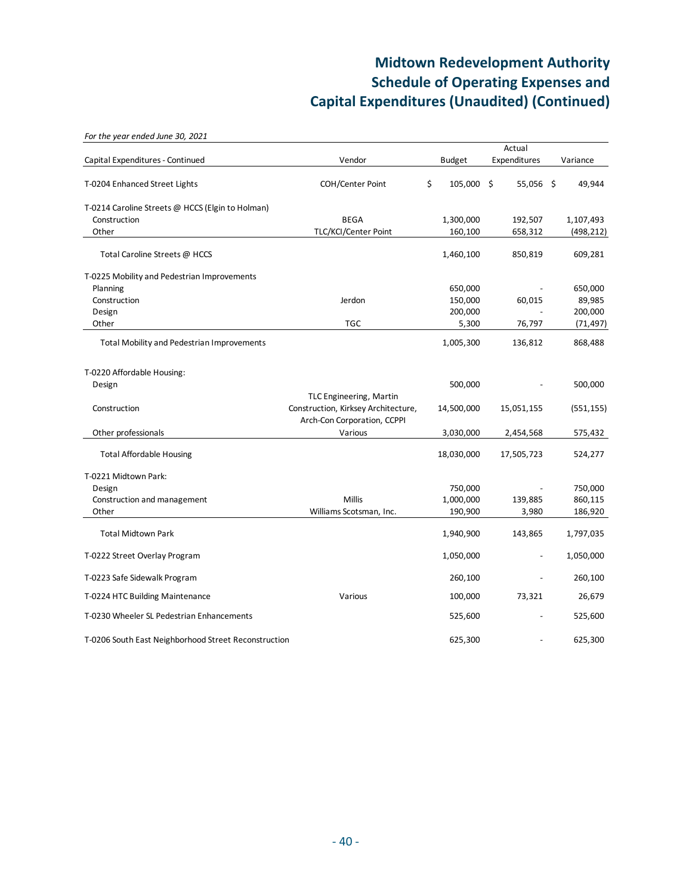## **Midtown Redevelopment Authority Schedule of Operating Expenses and Capital Expenditures (Unaudited) (Continued)**

|                                                      |                                                                    |                  | Actual       |            |
|------------------------------------------------------|--------------------------------------------------------------------|------------------|--------------|------------|
| Capital Expenditures - Continued                     | Vendor                                                             | <b>Budget</b>    | Expenditures | Variance   |
| T-0204 Enhanced Street Lights                        | COH/Center Point                                                   | \$<br>105,000 \$ | 55,056 \$    | 49,944     |
| T-0214 Caroline Streets @ HCCS (Elgin to Holman)     |                                                                    |                  |              |            |
| Construction                                         | <b>BEGA</b>                                                        | 1,300,000        | 192,507      | 1,107,493  |
| Other                                                | TLC/KCI/Center Point                                               | 160,100          | 658,312      | (498, 212) |
| Total Caroline Streets @ HCCS                        |                                                                    | 1,460,100        | 850,819      | 609,281    |
| T-0225 Mobility and Pedestrian Improvements          |                                                                    |                  |              |            |
| Planning                                             |                                                                    | 650,000          |              | 650,000    |
| Construction                                         | Jerdon                                                             | 150,000          | 60,015       | 89,985     |
| Design                                               |                                                                    | 200,000          |              | 200,000    |
| Other                                                | <b>TGC</b>                                                         | 5,300            | 76,797       | (71, 497)  |
| <b>Total Mobility and Pedestrian Improvements</b>    |                                                                    | 1,005,300        | 136,812      | 868,488    |
| T-0220 Affordable Housing:                           |                                                                    |                  |              |            |
| Design                                               |                                                                    | 500,000          |              | 500,000    |
|                                                      | <b>TLC Engineering, Martin</b>                                     |                  |              |            |
| Construction                                         | Construction, Kirksey Architecture,<br>Arch-Con Corporation, CCPPI | 14,500,000       | 15,051,155   | (551, 155) |
| Other professionals                                  | Various                                                            | 3,030,000        | 2,454,568    | 575,432    |
| <b>Total Affordable Housing</b>                      |                                                                    | 18,030,000       | 17,505,723   | 524,277    |
| T-0221 Midtown Park:                                 |                                                                    |                  |              |            |
| Design                                               |                                                                    | 750,000          |              | 750,000    |
| Construction and management                          | Millis                                                             | 1,000,000        | 139,885      | 860,115    |
| Other                                                | Williams Scotsman, Inc.                                            | 190,900          | 3,980        | 186,920    |
| <b>Total Midtown Park</b>                            |                                                                    | 1,940,900        | 143,865      | 1,797,035  |
| T-0222 Street Overlay Program                        |                                                                    | 1,050,000        |              | 1,050,000  |
| T-0223 Safe Sidewalk Program                         |                                                                    | 260,100          |              | 260,100    |
| T-0224 HTC Building Maintenance                      | Various                                                            | 100,000          | 73,321       | 26,679     |
| T-0230 Wheeler SL Pedestrian Enhancements            |                                                                    | 525,600          |              | 525,600    |
| T-0206 South East Neighborhood Street Reconstruction |                                                                    | 625,300          |              | 625,300    |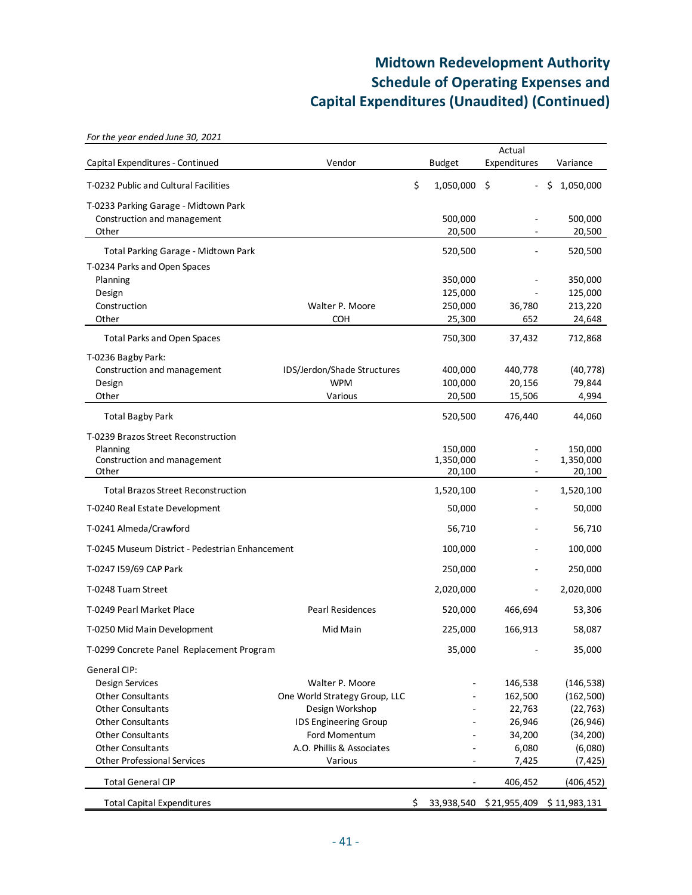## **Midtown Redevelopment Authority Schedule of Operating Expenses and Capital Expenditures (Unaudited) (Continued)**

|                                                 |                               |                     | Actual                  |                     |
|-------------------------------------------------|-------------------------------|---------------------|-------------------------|---------------------|
| Capital Expenditures - Continued                | Vendor                        | <b>Budget</b>       | Expenditures            | Variance            |
| T-0232 Public and Cultural Facilities           |                               | \$<br>1,050,000     | -\$                     | 1,050,000<br>\$     |
| T-0233 Parking Garage - Midtown Park            |                               |                     |                         |                     |
| Construction and management                     |                               | 500,000             |                         | 500,000             |
| Other                                           |                               | 20,500              |                         | 20,500              |
| Total Parking Garage - Midtown Park             |                               | 520,500             |                         | 520,500             |
| T-0234 Parks and Open Spaces                    |                               |                     |                         |                     |
| Planning                                        |                               | 350,000             |                         | 350,000             |
| Design                                          |                               | 125,000             |                         | 125,000             |
| Construction<br>Other                           | Walter P. Moore<br><b>COH</b> | 250,000<br>25,300   | 36,780<br>652           | 213,220<br>24,648   |
|                                                 |                               |                     |                         |                     |
| <b>Total Parks and Open Spaces</b>              |                               | 750,300             | 37,432                  | 712,868             |
| T-0236 Bagby Park:                              |                               |                     |                         |                     |
| Construction and management                     | IDS/Jerdon/Shade Structures   | 400,000             | 440,778                 | (40, 778)           |
| Design<br>Other                                 | <b>WPM</b><br>Various         | 100,000<br>20,500   | 20,156<br>15,506        | 79,844<br>4,994     |
|                                                 |                               |                     |                         |                     |
| <b>Total Bagby Park</b>                         |                               | 520,500             | 476,440                 | 44,060              |
| T-0239 Brazos Street Reconstruction             |                               |                     |                         |                     |
| Planning                                        |                               | 150,000             |                         | 150,000             |
| Construction and management<br>Other            |                               | 1,350,000<br>20,100 |                         | 1,350,000<br>20,100 |
| <b>Total Brazos Street Reconstruction</b>       |                               | 1,520,100           |                         | 1,520,100           |
| T-0240 Real Estate Development                  |                               | 50,000              |                         | 50,000              |
| T-0241 Almeda/Crawford                          |                               | 56,710              |                         | 56,710              |
| T-0245 Museum District - Pedestrian Enhancement |                               | 100,000             |                         | 100,000             |
| T-0247 159/69 CAP Park                          |                               | 250,000             |                         | 250,000             |
| T-0248 Tuam Street                              |                               | 2,020,000           |                         | 2,020,000           |
| T-0249 Pearl Market Place                       | <b>Pearl Residences</b>       | 520,000             | 466,694                 | 53,306              |
| T-0250 Mid Main Development                     | Mid Main                      | 225,000             | 166,913                 | 58,087              |
| T-0299 Concrete Panel Replacement Program       |                               | 35,000              |                         | 35,000              |
| General CIP:                                    |                               |                     |                         |                     |
| <b>Design Services</b>                          | Walter P. Moore               |                     | 146,538                 | (146, 538)          |
| Other Consultants                               | One World Strategy Group, LLC |                     | 162,500                 | (162, 500)          |
| <b>Other Consultants</b>                        | Design Workshop               |                     | 22,763                  | (22, 763)           |
| <b>Other Consultants</b>                        | <b>IDS Engineering Group</b>  |                     | 26,946                  | (26, 946)           |
| <b>Other Consultants</b>                        | Ford Momentum                 |                     | 34,200                  | (34, 200)           |
| <b>Other Consultants</b>                        | A.O. Phillis & Associates     |                     | 6,080                   | (6,080)             |
| <b>Other Professional Services</b>              | Various                       |                     | 7,425                   | (7, 425)            |
| <b>Total General CIP</b>                        |                               | ٠                   | 406,452                 | (406, 452)          |
| <b>Total Capital Expenditures</b>               |                               | \$                  | 33,938,540 \$21,955,409 | \$11,983,131        |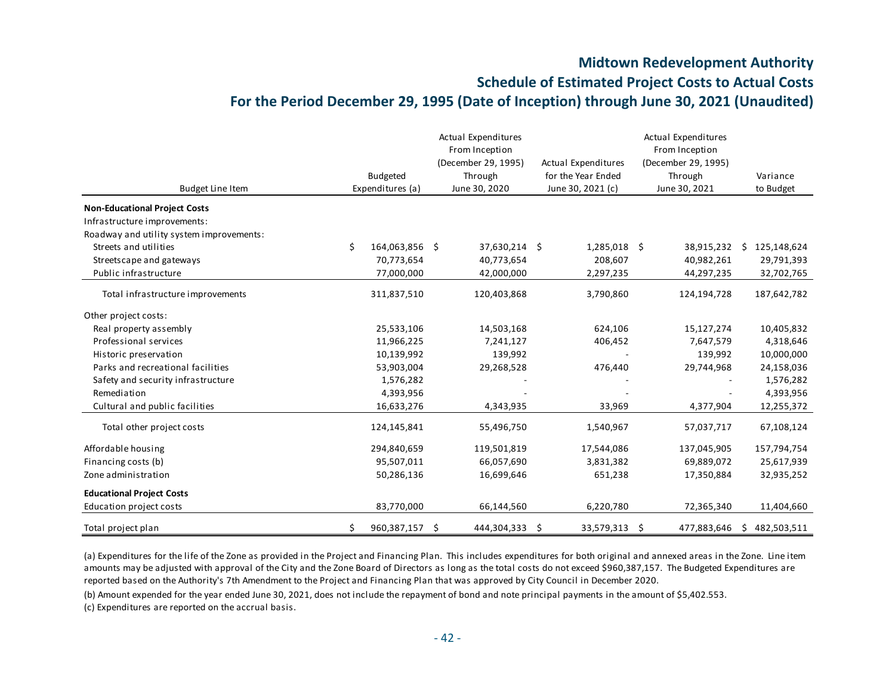### **Midtown Redevelopment Authority Schedule of Estimated Project Costs to Actual Costs For the Period December 29, 1995 (Date of Inception) through June 30, 2021 (Unaudited)**

|                                          |                      | <b>Actual Expenditures</b> |                    |                            |                     | <b>Actual Expenditures</b> |                   |             |
|------------------------------------------|----------------------|----------------------------|--------------------|----------------------------|---------------------|----------------------------|-------------------|-------------|
|                                          |                      | From Inception             |                    |                            | From Inception      |                            |                   |             |
|                                          |                      | (December 29, 1995)        |                    | <b>Actual Expenditures</b> | (December 29, 1995) |                            |                   |             |
|                                          | <b>Budgeted</b>      | Through                    | for the Year Ended |                            | Through             |                            | Variance          |             |
| <b>Budget Line Item</b>                  | Expenditures (a)     | June 30, 2020              |                    | June 30, 2021 (c)          |                     | June 30, 2021              | to Budget         |             |
| <b>Non-Educational Project Costs</b>     |                      |                            |                    |                            |                     |                            |                   |             |
| Infrastructure improvements:             |                      |                            |                    |                            |                     |                            |                   |             |
| Roadway and utility system improvements: |                      |                            |                    |                            |                     |                            |                   |             |
| Streets and utilities                    | \$<br>164,063,856 \$ | 37,630,214 \$              |                    | 1,285,018 \$               |                     | 38,915,232 \$              | 125,148,624       |             |
| Streetscape and gateways                 | 70,773,654           | 40,773,654                 |                    | 208,607                    |                     | 40,982,261                 |                   | 29,791,393  |
| Public infrastructure                    | 77,000,000           | 42,000,000                 |                    | 2,297,235                  |                     | 44,297,235                 |                   | 32,702,765  |
| Total infrastructure improvements        | 311,837,510          | 120,403,868                |                    | 3,790,860                  |                     | 124,194,728                |                   | 187,642,782 |
| Other project costs:                     |                      |                            |                    |                            |                     |                            |                   |             |
| Real property assembly                   | 25,533,106           | 14,503,168                 |                    | 624,106                    |                     | 15,127,274                 |                   | 10,405,832  |
| Professional services                    | 11,966,225           | 7,241,127                  |                    | 406,452                    |                     | 7,647,579                  |                   | 4,318,646   |
| Historic preservation                    | 10,139,992           | 139,992                    |                    |                            |                     | 139,992                    |                   | 10,000,000  |
| Parks and recreational facilities        | 53,903,004           | 29,268,528                 |                    | 476,440                    |                     | 29,744,968                 |                   | 24,158,036  |
| Safety and security infrastructure       | 1,576,282            |                            |                    |                            |                     |                            |                   | 1,576,282   |
| Remediation                              | 4,393,956            |                            |                    |                            |                     |                            |                   | 4,393,956   |
| Cultural and public facilities           | 16,633,276           | 4,343,935                  |                    | 33,969                     |                     | 4,377,904                  |                   | 12,255,372  |
| Total other project costs                | 124,145,841          | 55,496,750                 |                    | 1,540,967                  |                     | 57,037,717                 |                   | 67,108,124  |
| Affordable housing                       | 294,840,659          | 119,501,819                |                    | 17,544,086                 |                     | 137,045,905                | 157,794,754       |             |
| Financing costs (b)                      | 95,507,011           | 66,057,690                 |                    | 3,831,382                  |                     | 69,889,072                 |                   | 25,617,939  |
| Zone administration                      | 50,286,136           | 16,699,646                 |                    | 651,238                    |                     | 17,350,884                 |                   | 32,935,252  |
| <b>Educational Project Costs</b>         |                      |                            |                    |                            |                     |                            |                   |             |
| Education project costs                  | 83,770,000           | 66,144,560                 |                    | 6,220,780                  |                     | 72,365,340                 |                   | 11,404,660  |
| Total project plan                       | \$<br>960,387,157    | \$<br>444,304,333 \$       |                    | 33,579,313 \$              |                     | 477,883,646                | Ŝ.<br>482,503,511 |             |

(a) Expenditures for the life of the Zone as provided in the Project and Financing Plan. This includes expenditures for both original and annexed areas in the Zone. Line item amounts may be adjusted with approval of the City and the Zone Board of Directors as long as the total costs do not exceed \$960,387,157. The Budgeted Expenditures are reported based on the Authority's 7th Amendment to the Project and Financing Plan that was approved by City Council in December 2020.

(b) Amount expended for the year ended June 30, 2021, does not include the repayment of bond and note principal payments in the amount of \$5,402.553.

(c) Expenditures are reported on the accrual basis.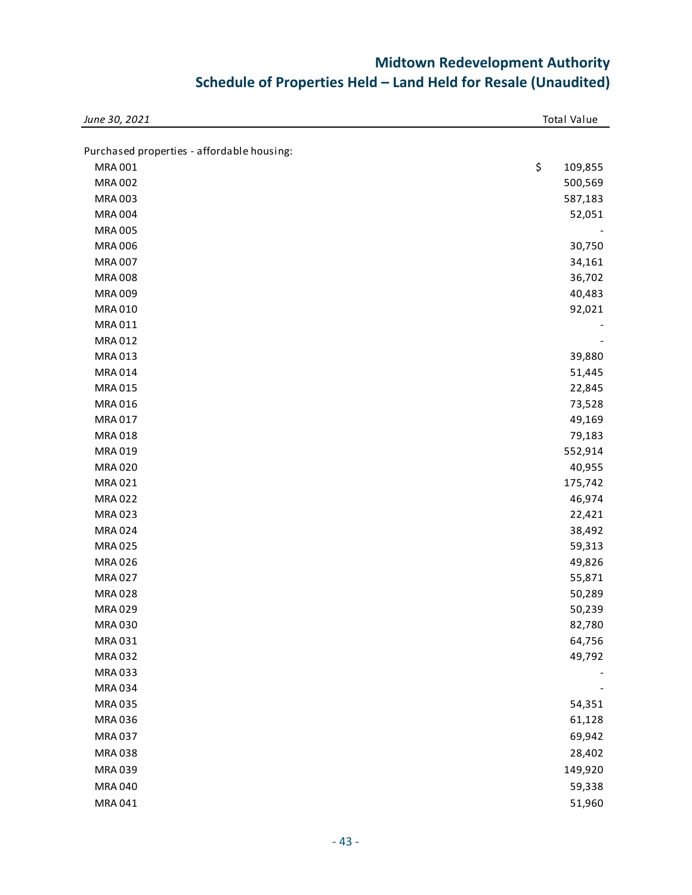| June 30, 2021                              | <b>Total Value</b> |
|--------------------------------------------|--------------------|
| Purchased properties - affordable housing: |                    |
| MRA001                                     | \$<br>109,855      |
| <b>MRA002</b>                              | 500,569            |
| <b>MRA003</b>                              | 587,183            |
| <b>MRA004</b>                              | 52,051             |
| <b>MRA005</b>                              |                    |
| <b>MRA006</b>                              | 30,750             |
| <b>MRA007</b>                              | 34,161             |
| <b>MRA008</b>                              | 36,702             |
| <b>MRA009</b>                              | 40,483             |
| MRA010                                     | 92,021             |
| MRA011                                     |                    |
| MRA012                                     |                    |
| MRA013                                     | 39,880             |
| MRA014                                     | 51,445             |
| MRA015                                     | 22,845             |
| MRA016                                     | 73,528             |
| MRA 017                                    | 49,169             |
| MRA018                                     | 79,183             |
| MRA019                                     | 552,914            |
| <b>MRA020</b>                              | 40,955             |
| MRA021                                     | 175,742            |
| <b>MRA022</b>                              | 46,974             |
| <b>MRA023</b>                              | 22,421             |
| MRA024                                     | 38,492             |
| <b>MRA025</b>                              | 59,313             |
| <b>MRA026</b>                              | 49,826             |
| MRA 027                                    | 55,871             |
| <b>MRA028</b>                              | 50,289             |
| <b>MRA029</b>                              | 50,239             |
| <b>MRA030</b>                              | 82,780             |
| MRA031                                     | 64,756             |
| <b>MRA032</b>                              | 49,792             |
| <b>MRA033</b>                              |                    |
| MRA 034                                    |                    |
| <b>MRA035</b>                              | 54,351             |
| MRA036                                     | 61,128             |
| MRA 037                                    | 69,942             |
|                                            |                    |
| <b>MRA038</b>                              | 28,402             |
| <b>MRA039</b>                              | 149,920            |
| <b>MRA040</b>                              | 59,338             |
| MRA041                                     | 51,960             |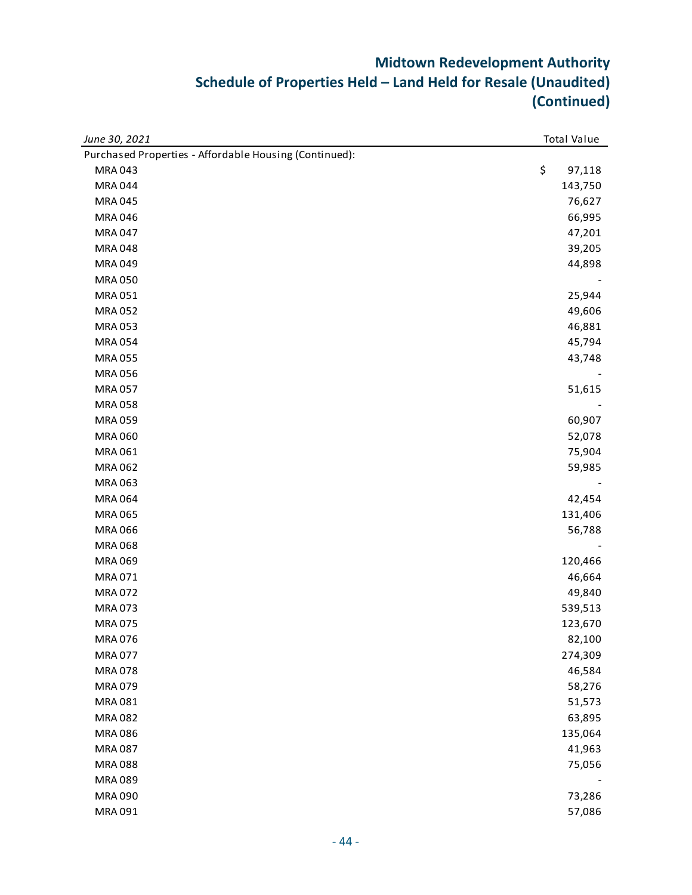| June 30, 2021                                          | <b>Total Value</b> |         |
|--------------------------------------------------------|--------------------|---------|
| Purchased Properties - Affordable Housing (Continued): |                    |         |
| MRA 043                                                | \$                 | 97,118  |
| <b>MRA044</b>                                          |                    | 143,750 |
| <b>MRA045</b>                                          |                    | 76,627  |
| <b>MRA046</b>                                          |                    | 66,995  |
| <b>MRA047</b>                                          |                    | 47,201  |
| <b>MRA048</b>                                          |                    | 39,205  |
| MRA 049                                                |                    | 44,898  |
| <b>MRA050</b>                                          |                    |         |
| MRA 051                                                |                    | 25,944  |
| <b>MRA052</b>                                          |                    | 49,606  |
| <b>MRA053</b>                                          |                    | 46,881  |
| <b>MRA054</b>                                          |                    | 45,794  |
| <b>MRA055</b>                                          |                    | 43,748  |
| <b>MRA056</b>                                          |                    |         |
| <b>MRA057</b>                                          |                    | 51,615  |
| <b>MRA058</b>                                          |                    |         |
| <b>MRA059</b>                                          |                    | 60,907  |
| <b>MRA060</b>                                          |                    | 52,078  |
| MRA 061                                                |                    | 75,904  |
| <b>MRA062</b>                                          |                    | 59,985  |
| <b>MRA063</b>                                          |                    |         |
| <b>MRA064</b>                                          |                    | 42,454  |
| <b>MRA065</b>                                          |                    | 131,406 |
| <b>MRA066</b>                                          |                    | 56,788  |
| <b>MRA068</b>                                          |                    |         |
| MRA 069                                                |                    | 120,466 |
| MRA 071                                                |                    | 46,664  |
| <b>MRA072</b>                                          |                    | 49,840  |
| <b>MRA073</b>                                          |                    | 539,513 |
| MRA 075                                                |                    | 123,670 |
| <b>MRA076</b>                                          |                    | 82,100  |
| <b>MRA077</b>                                          |                    | 274,309 |
| <b>MRA078</b>                                          |                    | 46,584  |
| MRA 079                                                |                    | 58,276  |
| MRA 081                                                |                    | 51,573  |
| <b>MRA082</b>                                          |                    | 63,895  |
| <b>MRA086</b>                                          |                    | 135,064 |
| MRA 087                                                |                    | 41,963  |
| <b>MRA088</b>                                          |                    | 75,056  |
| <b>MRA089</b>                                          |                    |         |
| MRA 090                                                |                    | 73,286  |
| MRA 091                                                |                    | 57,086  |
|                                                        |                    |         |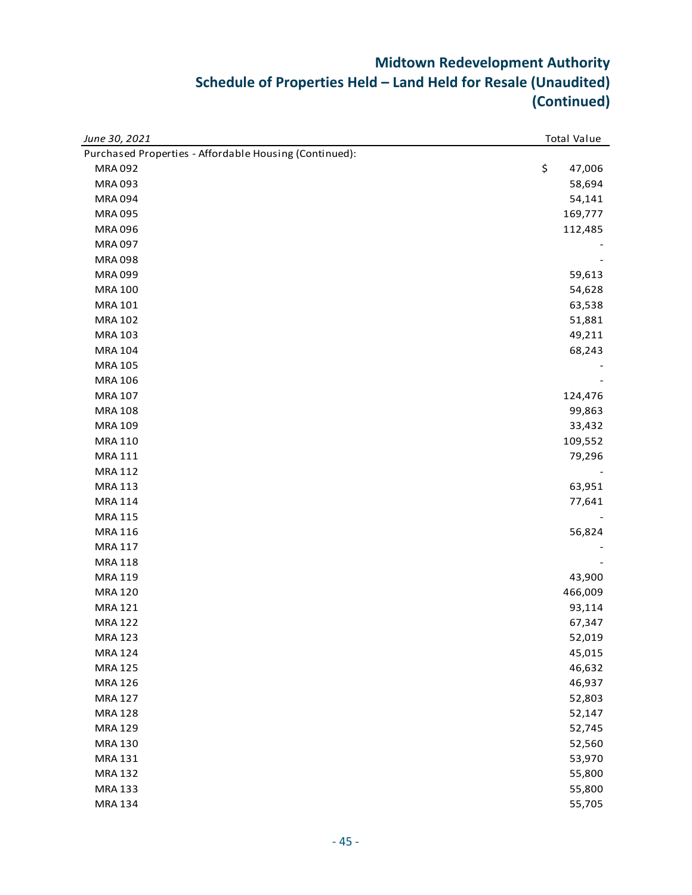| June 30, 2021                                          | <b>Total Value</b> |         |
|--------------------------------------------------------|--------------------|---------|
| Purchased Properties - Affordable Housing (Continued): |                    |         |
| MRA 092                                                | \$                 | 47,006  |
| MRA 093                                                |                    | 58,694  |
| <b>MRA 094</b>                                         |                    | 54,141  |
| MRA 095                                                |                    | 169,777 |
| <b>MRA096</b>                                          |                    | 112,485 |
| MRA 097                                                |                    |         |
| <b>MRA 098</b>                                         |                    |         |
| MRA 099                                                |                    | 59,613  |
| <b>MRA 100</b>                                         |                    | 54,628  |
| MRA 101                                                |                    | 63,538  |
| MRA 102                                                |                    | 51,881  |
| MRA 103                                                |                    | 49,211  |
| MRA 104                                                |                    | 68,243  |
| MRA 105                                                |                    |         |
| MRA 106                                                |                    |         |
| MRA 107                                                |                    | 124,476 |
| <b>MRA 108</b>                                         |                    | 99,863  |
| MRA 109                                                |                    | 33,432  |
| MRA 110                                                |                    | 109,552 |
| MRA 111                                                |                    | 79,296  |
| MRA 112                                                |                    |         |
| MRA 113                                                |                    | 63,951  |
| MRA 114                                                |                    | 77,641  |
| MRA 115                                                |                    |         |
| MRA 116                                                |                    | 56,824  |
| MRA 117                                                |                    |         |
| MRA 118                                                |                    |         |
| MRA 119                                                |                    | 43,900  |
| <b>MRA 120</b>                                         |                    | 466,009 |
| MRA 121                                                |                    | 93,114  |
| <b>MRA 122</b>                                         |                    | 67,347  |
| MRA 123                                                |                    | 52,019  |
| MRA 124                                                |                    | 45,015  |
| <b>MRA 125</b>                                         |                    | 46,632  |
| MRA 126                                                |                    | 46,937  |
| MRA 127                                                |                    | 52,803  |
| <b>MRA 128</b>                                         |                    | 52,147  |
| MRA 129                                                |                    | 52,745  |
| MRA 130                                                |                    | 52,560  |
| MRA 131                                                |                    | 53,970  |
| MRA 132                                                |                    | 55,800  |
| MRA 133                                                |                    | 55,800  |
| MRA 134                                                |                    | 55,705  |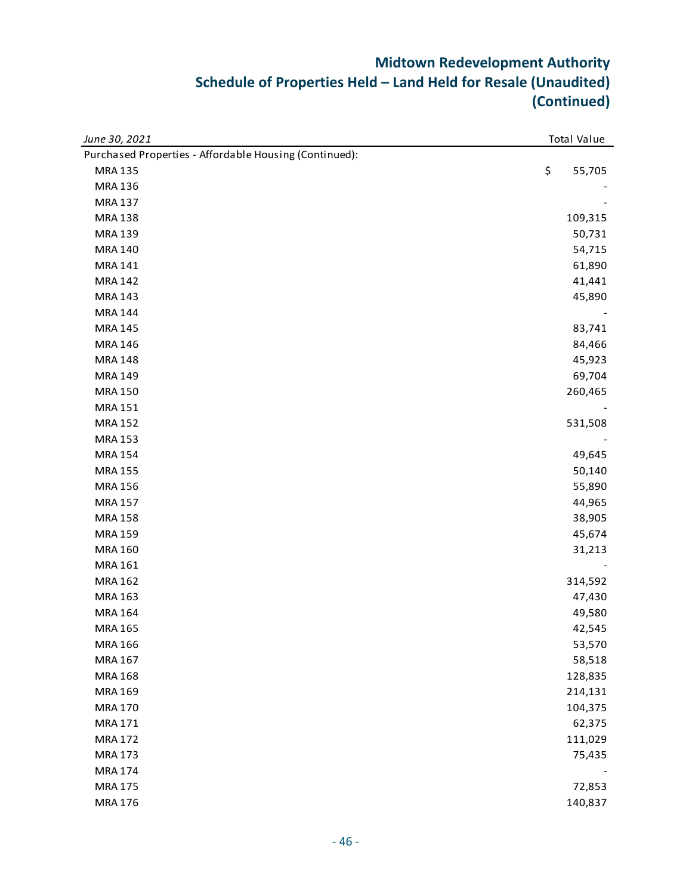| June 30, 2021                    |                                                        | <b>Total Value</b> |  |
|----------------------------------|--------------------------------------------------------|--------------------|--|
|                                  | Purchased Properties - Affordable Housing (Continued): |                    |  |
| <b>MRA 135</b>                   |                                                        | \$<br>55,705       |  |
| MRA 136                          |                                                        |                    |  |
| MRA 137                          |                                                        |                    |  |
| <b>MRA 138</b>                   |                                                        | 109,315            |  |
| MRA 139                          |                                                        | 50,731             |  |
| <b>MRA 140</b>                   |                                                        | 54,715             |  |
| MRA 141                          |                                                        | 61,890             |  |
| <b>MRA 142</b>                   |                                                        | 41,441             |  |
| <b>MRA 143</b>                   |                                                        | 45,890             |  |
| <b>MRA 144</b>                   |                                                        |                    |  |
| <b>MRA 145</b>                   |                                                        | 83,741             |  |
| <b>MRA 146</b>                   |                                                        | 84,466             |  |
| <b>MRA 148</b>                   |                                                        | 45,923             |  |
| MRA 149                          |                                                        | 69,704             |  |
| <b>MRA 150</b>                   |                                                        | 260,465            |  |
| MRA 151                          |                                                        |                    |  |
| <b>MRA 152</b>                   |                                                        | 531,508            |  |
| <b>MRA 153</b>                   |                                                        |                    |  |
| <b>MRA 154</b>                   |                                                        | 49,645             |  |
| <b>MRA 155</b>                   |                                                        | 50,140             |  |
| <b>MRA 156</b>                   |                                                        | 55,890             |  |
| <b>MRA 157</b>                   |                                                        | 44,965             |  |
| <b>MRA 158</b>                   |                                                        | 38,905             |  |
| <b>MRA 159</b>                   |                                                        | 45,674             |  |
| <b>MRA 160</b>                   |                                                        | 31,213             |  |
| MRA 161                          |                                                        |                    |  |
| MRA 162                          |                                                        | 314,592            |  |
| <b>MRA 163</b>                   |                                                        | 47,430             |  |
| MRA 164                          |                                                        | 49,580             |  |
| <b>MRA 165</b>                   |                                                        | 42,545             |  |
| MRA 166                          |                                                        | 53,570             |  |
| MRA 167                          |                                                        | 58,518             |  |
| <b>MRA 168</b>                   |                                                        | 128,835            |  |
| MRA 169                          |                                                        | 214,131            |  |
| MRA 170<br>MRA 171               |                                                        | 104,375            |  |
| <b>MRA 172</b>                   |                                                        | 62,375             |  |
|                                  |                                                        | 111,029            |  |
| <b>MRA 173</b><br><b>MRA 174</b> |                                                        | 75,435             |  |
| <b>MRA 175</b>                   |                                                        | 72,853             |  |
|                                  |                                                        |                    |  |
| MRA 176                          |                                                        | 140,837            |  |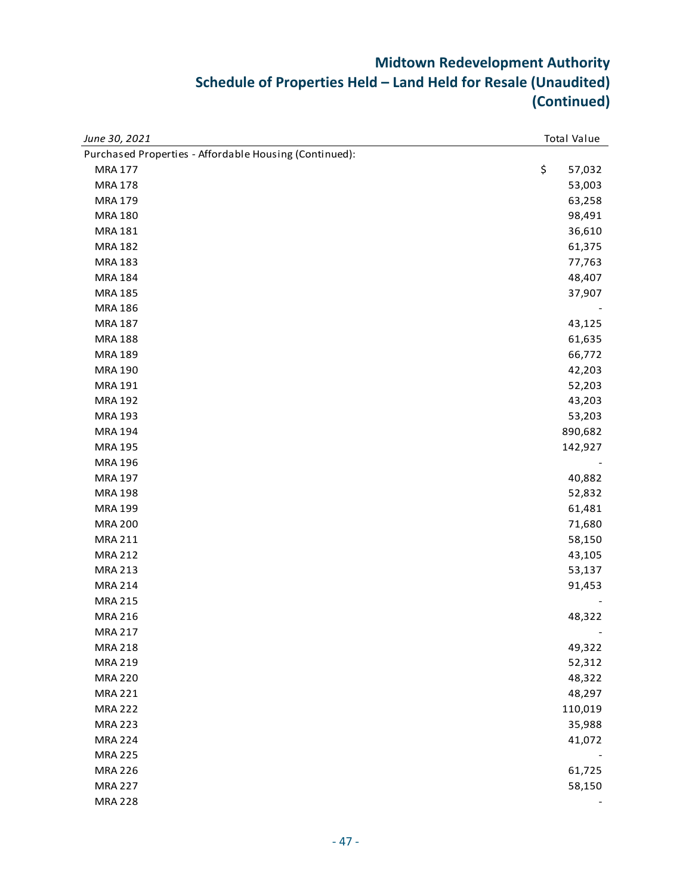| June 30, 2021                                          | <b>Total Value</b> |         |
|--------------------------------------------------------|--------------------|---------|
| Purchased Properties - Affordable Housing (Continued): |                    |         |
| <b>MRA 177</b>                                         | \$                 | 57,032  |
| <b>MRA 178</b>                                         |                    | 53,003  |
| MRA 179                                                |                    | 63,258  |
| MRA 180                                                |                    | 98,491  |
| MRA 181                                                |                    | 36,610  |
| MRA 182                                                |                    | 61,375  |
| <b>MRA 183</b>                                         |                    | 77,763  |
| MRA 184                                                |                    | 48,407  |
| <b>MRA 185</b>                                         |                    | 37,907  |
| MRA 186                                                |                    |         |
| MRA 187                                                |                    | 43,125  |
| <b>MRA 188</b>                                         |                    | 61,635  |
| MRA 189                                                |                    | 66,772  |
| MRA 190                                                |                    | 42,203  |
| MRA 191                                                |                    | 52,203  |
| MRA 192                                                |                    | 43,203  |
| MRA 193                                                |                    | 53,203  |
| <b>MRA 194</b>                                         |                    | 890,682 |
| MRA 195                                                |                    | 142,927 |
| MRA 196                                                |                    |         |
| MRA 197                                                |                    | 40,882  |
| <b>MRA 198</b>                                         |                    | 52,832  |
| MRA 199                                                |                    | 61,481  |
| <b>MRA 200</b>                                         |                    | 71,680  |
| MRA 211                                                |                    | 58,150  |
| <b>MRA 212</b>                                         |                    | 43,105  |
| <b>MRA 213</b>                                         |                    | 53,137  |
| <b>MRA 214</b>                                         |                    | 91,453  |
| <b>MRA 215</b>                                         |                    |         |
| <b>MRA 216</b>                                         |                    | 48,322  |
| <b>MRA 217</b>                                         |                    |         |
| <b>MRA 218</b>                                         |                    | 49,322  |
| <b>MRA 219</b>                                         |                    | 52,312  |
| <b>MRA 220</b>                                         |                    | 48,322  |
| <b>MRA 221</b>                                         |                    | 48,297  |
| <b>MRA 222</b>                                         |                    | 110,019 |
| <b>MRA 223</b>                                         |                    | 35,988  |
| <b>MRA 224</b>                                         |                    | 41,072  |
| <b>MRA 225</b>                                         |                    |         |
| <b>MRA 226</b>                                         |                    | 61,725  |
| <b>MRA 227</b>                                         |                    | 58,150  |
| <b>MRA 228</b>                                         |                    |         |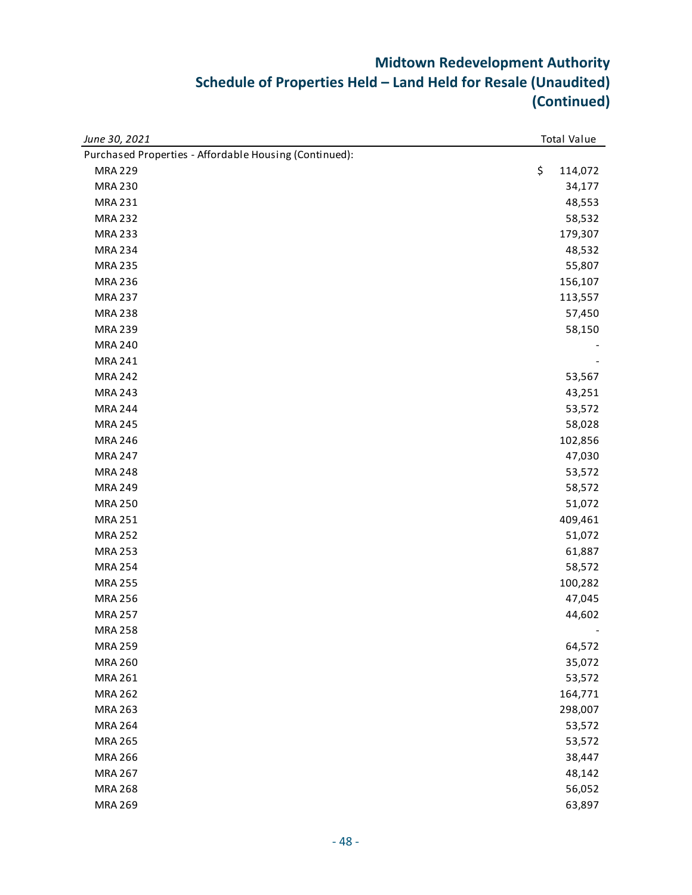| June 30, 2021                                          | <b>Total Value</b> |
|--------------------------------------------------------|--------------------|
| Purchased Properties - Affordable Housing (Continued): |                    |
| <b>MRA 229</b>                                         | \$<br>114,072      |
| <b>MRA 230</b>                                         | 34,177             |
| <b>MRA 231</b>                                         | 48,553             |
| <b>MRA 232</b>                                         | 58,532             |
| <b>MRA 233</b>                                         | 179,307            |
| <b>MRA 234</b>                                         | 48,532             |
| <b>MRA 235</b>                                         | 55,807             |
| <b>MRA 236</b>                                         | 156,107            |
| <b>MRA 237</b>                                         | 113,557            |
| <b>MRA 238</b>                                         | 57,450             |
| <b>MRA 239</b>                                         | 58,150             |
| <b>MRA 240</b>                                         |                    |
| <b>MRA 241</b>                                         |                    |
| <b>MRA 242</b>                                         | 53,567             |
| <b>MRA 243</b>                                         | 43,251             |
| <b>MRA 244</b>                                         | 53,572             |
| <b>MRA 245</b>                                         | 58,028             |
| <b>MRA 246</b>                                         | 102,856            |
| <b>MRA 247</b>                                         | 47,030             |
| <b>MRA 248</b>                                         | 53,572             |
| <b>MRA 249</b>                                         | 58,572             |
| <b>MRA 250</b>                                         | 51,072             |
| <b>MRA 251</b>                                         | 409,461            |
| <b>MRA 252</b>                                         | 51,072             |
| <b>MRA 253</b>                                         | 61,887             |
| <b>MRA 254</b>                                         | 58,572             |
| <b>MRA 255</b>                                         | 100,282            |
| <b>MRA 256</b>                                         | 47,045             |
| <b>MRA 257</b>                                         | 44,602             |
| <b>MRA 258</b>                                         |                    |
| <b>MRA 259</b>                                         | 64,572             |
| <b>MRA 260</b>                                         | 35,072             |
| <b>MRA 261</b>                                         | 53,572             |
| <b>MRA 262</b>                                         | 164,771            |
| <b>MRA 263</b>                                         | 298,007            |
| <b>MRA 264</b>                                         | 53,572             |
| <b>MRA 265</b>                                         | 53,572             |
| <b>MRA 266</b>                                         | 38,447             |
| <b>MRA 267</b>                                         | 48,142             |
| <b>MRA 268</b>                                         | 56,052             |
| MRA 269                                                | 63,897             |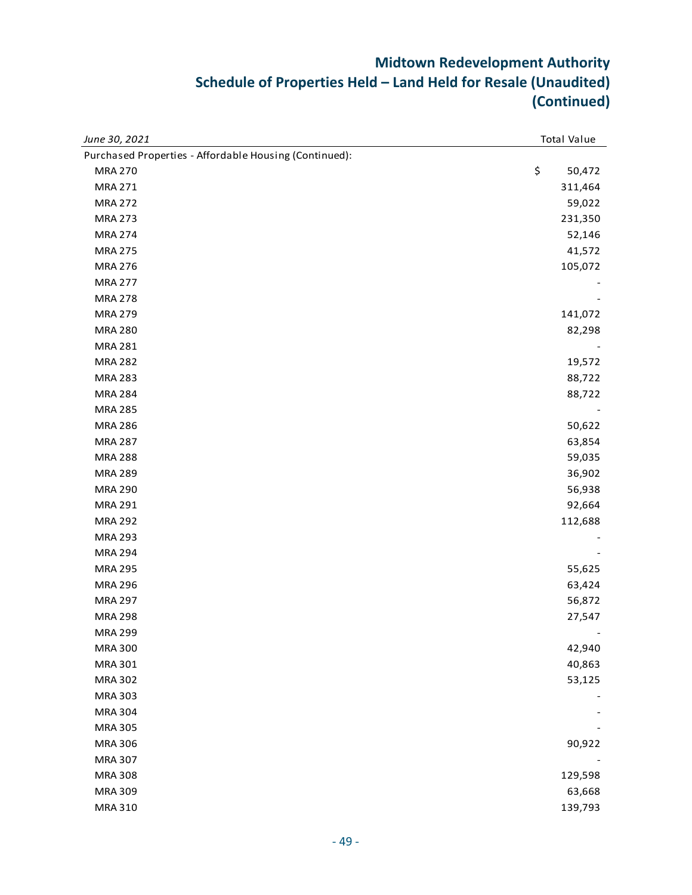| June 30, 2021                                          | <b>Total Value</b> |         |
|--------------------------------------------------------|--------------------|---------|
| Purchased Properties - Affordable Housing (Continued): |                    |         |
| <b>MRA 270</b>                                         | \$                 | 50,472  |
| MRA 271                                                |                    | 311,464 |
| <b>MRA 272</b>                                         |                    | 59,022  |
| <b>MRA 273</b>                                         |                    | 231,350 |
| <b>MRA 274</b>                                         |                    | 52,146  |
| <b>MRA 275</b>                                         |                    | 41,572  |
| <b>MRA 276</b>                                         |                    | 105,072 |
| <b>MRA 277</b>                                         |                    |         |
| <b>MRA 278</b>                                         |                    |         |
| MRA 279                                                |                    | 141,072 |
| <b>MRA 280</b>                                         |                    | 82,298  |
| MRA 281                                                |                    |         |
| <b>MRA 282</b>                                         |                    | 19,572  |
| <b>MRA 283</b>                                         |                    | 88,722  |
| <b>MRA 284</b>                                         |                    | 88,722  |
| <b>MRA 285</b>                                         |                    |         |
| <b>MRA 286</b>                                         |                    | 50,622  |
| <b>MRA 287</b>                                         |                    | 63,854  |
| <b>MRA 288</b>                                         |                    | 59,035  |
| <b>MRA 289</b>                                         |                    | 36,902  |
| <b>MRA 290</b>                                         |                    | 56,938  |
| MRA 291                                                |                    | 92,664  |
| <b>MRA 292</b>                                         |                    | 112,688 |
| <b>MRA 293</b>                                         |                    |         |
| <b>MRA 294</b>                                         |                    |         |
| <b>MRA 295</b>                                         |                    | 55,625  |
| <b>MRA 296</b>                                         |                    | 63,424  |
| <b>MRA 297</b>                                         |                    | 56,872  |
| <b>MRA 298</b>                                         |                    | 27,547  |
| <b>MRA 299</b>                                         |                    |         |
| <b>MRA 300</b>                                         |                    | 42,940  |
| MRA 301                                                |                    | 40,863  |
| MRA 302                                                |                    | 53,125  |
| MRA 303                                                |                    |         |
| <b>MRA 304</b>                                         |                    |         |
| MRA 305                                                |                    |         |
| MRA 306                                                |                    | 90,922  |
| MRA 307                                                |                    |         |
| <b>MRA 308</b>                                         |                    | 129,598 |
| MRA 309                                                |                    | 63,668  |
| MRA 310                                                |                    | 139,793 |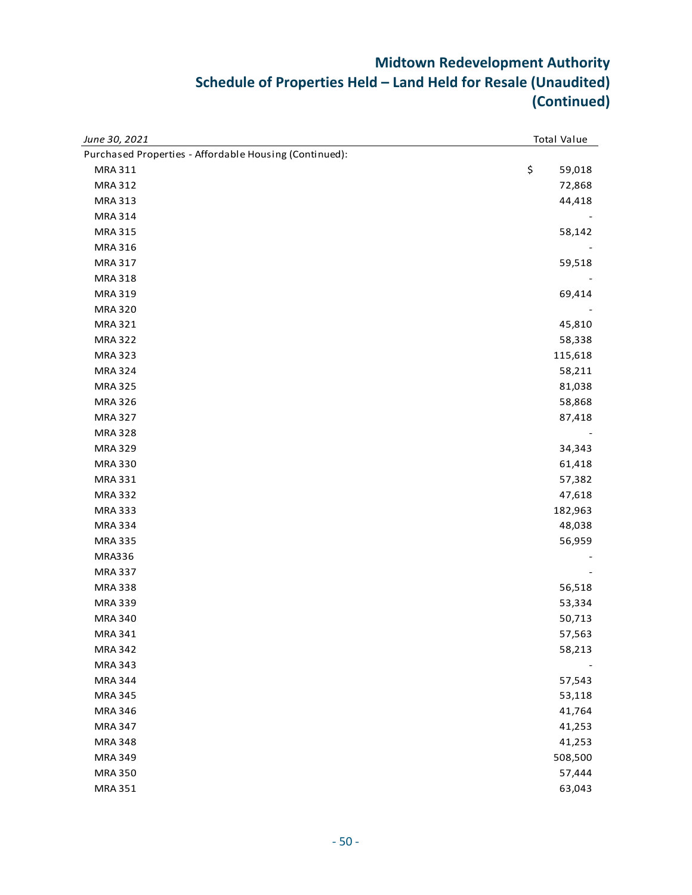| June 30, 2021                                          | <b>Total Value</b> |         |
|--------------------------------------------------------|--------------------|---------|
| Purchased Properties - Affordable Housing (Continued): |                    |         |
| MRA 311                                                | \$                 | 59,018  |
| MRA 312                                                |                    | 72,868  |
| MRA 313                                                |                    | 44,418  |
| MRA 314                                                |                    |         |
| <b>MRA 315</b>                                         |                    | 58,142  |
| MRA 316                                                |                    |         |
| MRA 317                                                |                    | 59,518  |
| <b>MRA 318</b>                                         |                    |         |
| MRA 319                                                |                    | 69,414  |
| <b>MRA 320</b>                                         |                    |         |
| MRA 321                                                |                    | 45,810  |
| <b>MRA 322</b>                                         |                    | 58,338  |
| <b>MRA 323</b>                                         |                    | 115,618 |
| <b>MRA 324</b>                                         |                    | 58,211  |
| <b>MRA 325</b>                                         |                    | 81,038  |
| <b>MRA 326</b>                                         |                    | 58,868  |
| <b>MRA 327</b>                                         |                    | 87,418  |
| <b>MRA 328</b>                                         |                    |         |
| <b>MRA 329</b>                                         |                    | 34,343  |
| <b>MRA 330</b>                                         |                    | 61,418  |
| MRA 331                                                |                    | 57,382  |
| <b>MRA 332</b>                                         |                    | 47,618  |
| <b>MRA 333</b>                                         |                    | 182,963 |
| <b>MRA 334</b>                                         |                    | 48,038  |
| <b>MRA 335</b>                                         |                    | 56,959  |
| <b>MRA336</b>                                          |                    |         |
| <b>MRA 337</b>                                         |                    |         |
| <b>MRA 338</b>                                         |                    | 56,518  |
| MRA 339                                                |                    | 53,334  |
| <b>MRA 340</b>                                         |                    | 50,713  |
| <b>MRA 341</b>                                         |                    | 57,563  |
| <b>MRA 342</b>                                         |                    | 58,213  |
| <b>MRA 343</b>                                         |                    |         |
| <b>MRA 344</b>                                         |                    | 57,543  |
| <b>MRA 345</b>                                         |                    | 53,118  |
| <b>MRA 346</b>                                         |                    | 41,764  |
| MRA 347                                                |                    | 41,253  |
| <b>MRA 348</b>                                         |                    | 41,253  |
| <b>MRA 349</b>                                         |                    | 508,500 |
| <b>MRA 350</b>                                         |                    | 57,444  |
| MRA 351                                                |                    | 63,043  |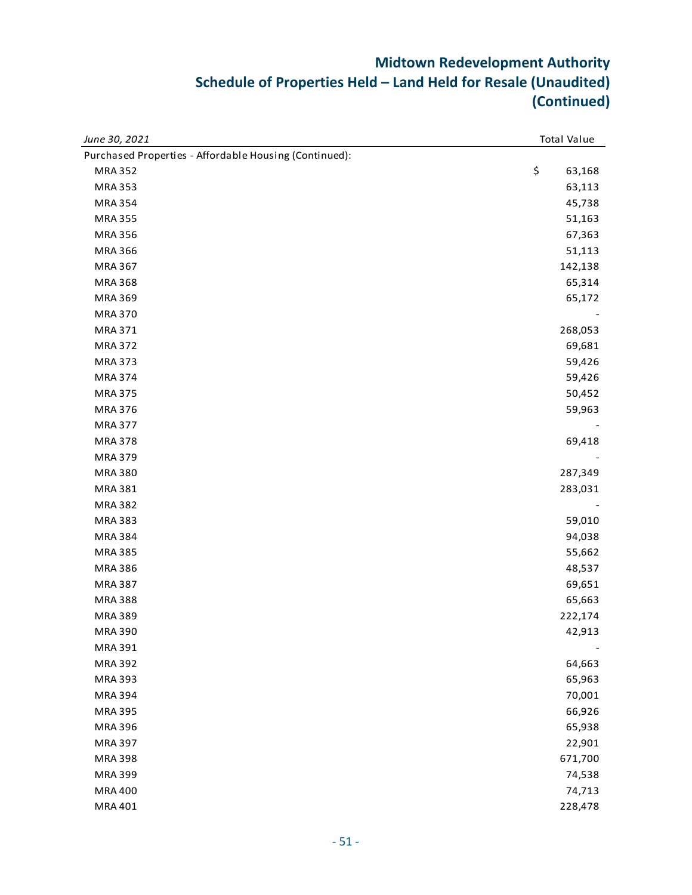| June 30, 2021                                          | <b>Total Value</b> |  |
|--------------------------------------------------------|--------------------|--|
| Purchased Properties - Affordable Housing (Continued): |                    |  |
| <b>MRA 352</b>                                         | \$<br>63,168       |  |
| <b>MRA 353</b>                                         | 63,113             |  |
| <b>MRA 354</b>                                         | 45,738             |  |
| <b>MRA 355</b>                                         | 51,163             |  |
| <b>MRA 356</b>                                         | 67,363             |  |
| MRA 366                                                | 51,113             |  |
| MRA 367                                                | 142,138            |  |
| <b>MRA 368</b>                                         | 65,314             |  |
| MRA 369                                                | 65,172             |  |
| MRA 370                                                |                    |  |
| MRA 371                                                | 268,053            |  |
| <b>MRA 372</b>                                         | 69,681             |  |
| MRA 373                                                | 59,426             |  |
| <b>MRA 374</b>                                         | 59,426             |  |
| <b>MRA 375</b>                                         | 50,452             |  |
| MRA 376                                                | 59,963             |  |
| <b>MRA 377</b>                                         |                    |  |
| <b>MRA 378</b>                                         | 69,418             |  |
| MRA 379                                                |                    |  |
| MRA 380                                                | 287,349            |  |
| MRA 381                                                | 283,031            |  |
| <b>MRA 382</b>                                         |                    |  |
| <b>MRA 383</b>                                         | 59,010             |  |
| <b>MRA 384</b>                                         | 94,038             |  |
| <b>MRA 385</b>                                         | 55,662             |  |
| MRA 386                                                | 48,537             |  |
| <b>MRA 387</b>                                         | 69,651             |  |
| <b>MRA 388</b>                                         | 65,663             |  |
| MRA 389                                                | 222,174            |  |
| <b>MRA 390</b>                                         | 42,913             |  |
| MRA 391                                                |                    |  |
| <b>MRA 392</b>                                         | 64,663             |  |
| <b>MRA 393</b>                                         | 65,963             |  |
| <b>MRA 394</b>                                         | 70,001             |  |
| <b>MRA 395</b>                                         | 66,926             |  |
| MRA 396                                                | 65,938             |  |
| MRA 397                                                | 22,901             |  |
| <b>MRA 398</b>                                         | 671,700            |  |
| MRA 399                                                | 74,538             |  |
| <b>MRA 400</b>                                         | 74,713             |  |
| MRA 401                                                | 228,478            |  |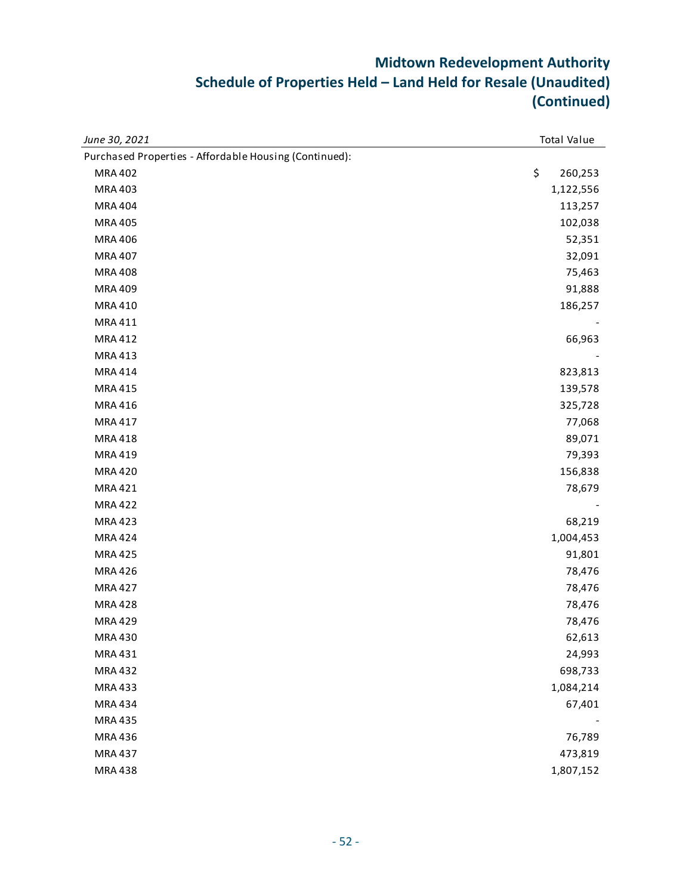| June 30, 2021                                          | <b>Total Value</b> |           |
|--------------------------------------------------------|--------------------|-----------|
| Purchased Properties - Affordable Housing (Continued): |                    |           |
| <b>MRA 402</b>                                         | \$                 | 260,253   |
| <b>MRA 403</b>                                         |                    | 1,122,556 |
| <b>MRA 404</b>                                         |                    | 113,257   |
| <b>MRA 405</b>                                         |                    | 102,038   |
| <b>MRA 406</b>                                         |                    | 52,351    |
| <b>MRA 407</b>                                         |                    | 32,091    |
| <b>MRA 408</b>                                         |                    | 75,463    |
| MRA 409                                                |                    | 91,888    |
| MRA 410                                                |                    | 186,257   |
| MRA 411                                                |                    |           |
| MRA 412                                                |                    | 66,963    |
| MRA 413                                                |                    |           |
| <b>MRA 414</b>                                         |                    | 823,813   |
| <b>MRA 415</b>                                         |                    | 139,578   |
| MRA 416                                                |                    | 325,728   |
| MRA 417                                                |                    | 77,068    |
| <b>MRA 418</b>                                         |                    | 89,071    |
| MRA 419                                                |                    | 79,393    |
| <b>MRA 420</b>                                         |                    | 156,838   |
| MRA 421                                                |                    | 78,679    |
| <b>MRA 422</b>                                         |                    |           |
| <b>MRA 423</b>                                         |                    | 68,219    |
| <b>MRA 424</b>                                         |                    | 1,004,453 |
| <b>MRA 425</b>                                         |                    | 91,801    |
| <b>MRA 426</b>                                         |                    | 78,476    |
| <b>MRA 427</b>                                         |                    | 78,476    |
| <b>MRA 428</b>                                         |                    | 78,476    |
| <b>MRA 429</b>                                         |                    | 78,476    |
| MRA 430                                                |                    | 62,613    |
| MRA 431                                                |                    | 24,993    |
| <b>MRA 432</b>                                         |                    | 698,733   |
| <b>MRA 433</b>                                         |                    | 1,084,214 |
| <b>MRA 434</b>                                         |                    | 67,401    |
| <b>MRA 435</b>                                         |                    |           |
| MRA 436                                                |                    | 76,789    |
| <b>MRA 437</b>                                         |                    | 473,819   |
| <b>MRA 438</b>                                         |                    | 1,807,152 |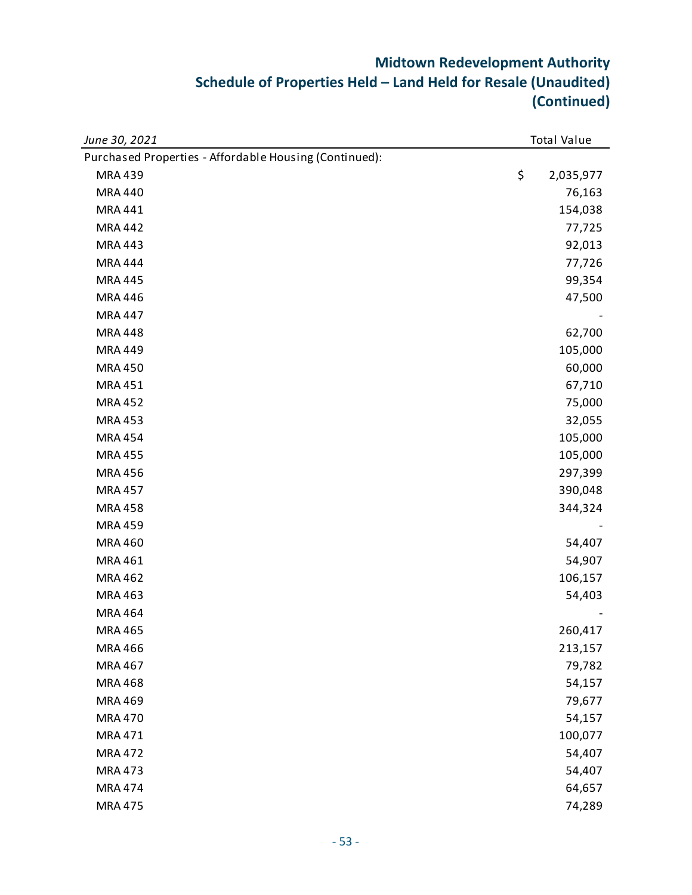| June 30, 2021                                          | <b>Total Value</b> |
|--------------------------------------------------------|--------------------|
| Purchased Properties - Affordable Housing (Continued): |                    |
| <b>MRA 439</b>                                         | \$<br>2,035,977    |
| <b>MRA 440</b>                                         | 76,163             |
| <b>MRA 441</b>                                         | 154,038            |
| <b>MRA 442</b>                                         | 77,725             |
| <b>MRA 443</b>                                         | 92,013             |
| <b>MRA 444</b>                                         | 77,726             |
| <b>MRA 445</b>                                         | 99,354             |
| <b>MRA 446</b>                                         | 47,500             |
| <b>MRA 447</b>                                         |                    |
| <b>MRA 448</b>                                         | 62,700             |
| <b>MRA 449</b>                                         | 105,000            |
| <b>MRA 450</b>                                         | 60,000             |
| MRA 451                                                | 67,710             |
| <b>MRA 452</b>                                         | 75,000             |
| <b>MRA 453</b>                                         | 32,055             |
| <b>MRA 454</b>                                         | 105,000            |
| <b>MRA 455</b>                                         | 105,000            |
| <b>MRA 456</b>                                         | 297,399            |
| <b>MRA 457</b>                                         | 390,048            |
| <b>MRA 458</b>                                         | 344,324            |
| <b>MRA 459</b>                                         |                    |
| <b>MRA 460</b>                                         | 54,407             |
| MRA 461                                                | 54,907             |
| <b>MRA 462</b>                                         | 106,157            |
| <b>MRA 463</b>                                         | 54,403             |
| <b>MRA 464</b>                                         |                    |
| <b>MRA 465</b>                                         | 260,417            |
| <b>MRA 466</b>                                         | 213,157            |
| <b>MRA 467</b>                                         | 79,782             |
| <b>MRA 468</b>                                         | 54,157             |
| <b>MRA 469</b>                                         | 79,677             |
| <b>MRA 470</b>                                         | 54,157             |
| MRA 471                                                | 100,077            |
| <b>MRA 472</b>                                         | 54,407             |
| <b>MRA 473</b>                                         | 54,407             |
| <b>MRA 474</b>                                         | 64,657             |
| <b>MRA 475</b>                                         | 74,289             |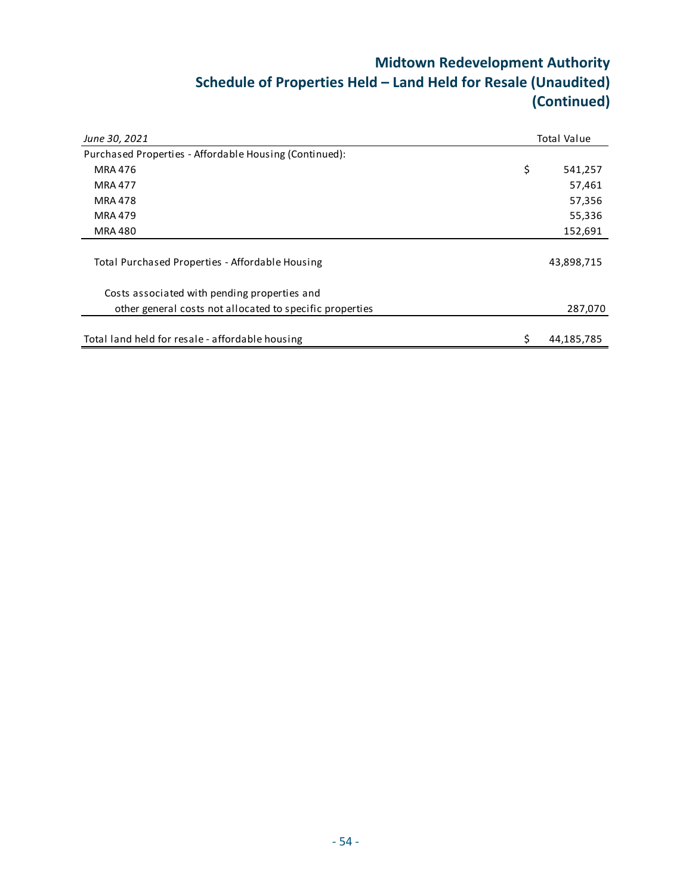| June 30, 2021                                            | <b>Total Value</b> |
|----------------------------------------------------------|--------------------|
| Purchased Properties - Affordable Housing (Continued):   |                    |
| <b>MRA 476</b>                                           | \$<br>541,257      |
| <b>MRA 477</b>                                           | 57,461             |
| <b>MRA 478</b>                                           | 57,356             |
| <b>MRA 479</b>                                           | 55,336             |
| <b>MRA 480</b>                                           | 152,691            |
| Total Purchased Properties - Affordable Housing          | 43,898,715         |
| Costs associated with pending properties and             |                    |
| other general costs not allocated to specific properties | 287,070            |
| Total land held for resale - affordable housing          | 44,185,785         |